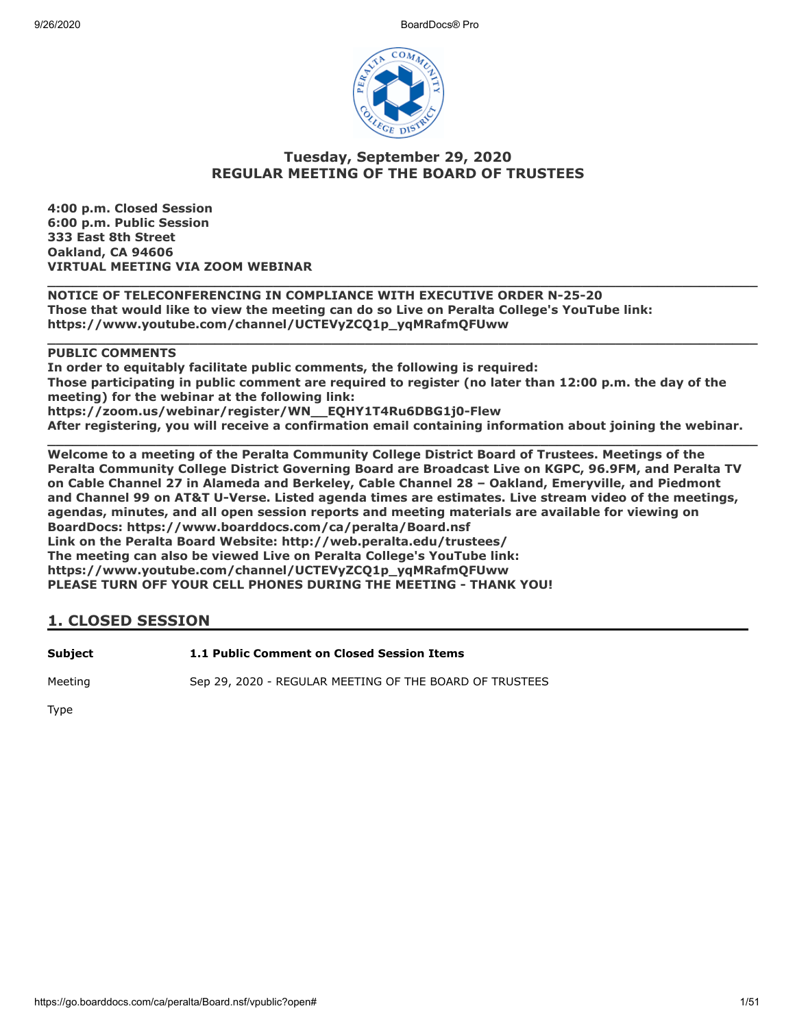9/26/2020 BoardDocs® Pro



# **Tuesday, September 29, 2020 REGULAR MEETING OF THE BOARD OF TRUSTEES**

**4:00 p.m. Closed Session 6:00 p.m. Public Session 333 East 8th Street Oakland, CA 94606 VIRTUAL MEETING VIA ZOOM WEBINAR**

**\_\_\_\_\_\_\_\_\_\_\_\_\_\_\_\_\_\_\_\_\_\_\_\_\_\_\_\_\_\_\_\_\_\_\_\_\_\_\_\_\_\_\_\_\_\_\_\_\_\_\_\_\_\_\_\_\_\_\_\_\_\_\_\_\_\_\_\_\_\_\_\_\_\_\_\_\_\_\_\_\_\_\_\_\_ NOTICE OF TELECONFERENCING IN COMPLIANCE WITH EXECUTIVE ORDER N-25-20 Those that would like to view the meeting can do so Live on Peralta College's YouTube link: https://www.youtube.com/channel/UCTEVyZCQ1p\_yqMRafmQFUww**

#### **PUBLIC COMMENTS**

**In order to equitably facilitate public comments, the following is required: Those participating in public comment are required to register (no later than 12:00 p.m. the day of the meeting) for the webinar at the following link: https://zoom.us/webinar/register/WN\_\_EQHY1T4Ru6DBG1j0-Flew After registering, you will receive a confirmation email containing information about joining the webinar.**

**\_\_\_\_\_\_\_\_\_\_\_\_\_\_\_\_\_\_\_\_\_\_\_\_\_\_\_\_\_\_\_\_\_\_\_\_\_\_\_\_\_\_\_\_\_\_\_\_\_\_\_\_\_\_\_\_\_\_\_\_\_\_\_\_\_\_\_\_\_\_\_\_\_\_\_\_\_\_\_\_\_\_\_\_\_**

**\_\_\_\_\_\_\_\_\_\_\_\_\_\_\_\_\_\_\_\_\_\_\_\_\_\_\_\_\_\_\_\_\_\_\_\_\_\_\_\_\_\_\_\_\_\_\_\_\_\_\_\_\_\_\_\_\_\_\_\_\_\_\_\_\_\_\_\_\_\_\_\_\_\_\_\_\_\_\_\_\_\_\_\_\_ Welcome to a meeting of the Peralta Community College District Board of Trustees. Meetings of the Peralta Community College District Governing Board are Broadcast Live on KGPC, 96.9FM, and Peralta TV on Cable Channel 27 in Alameda and Berkeley, Cable Channel 28 – Oakland, Emeryville, and Piedmont and Channel 99 on AT&T U-Verse. Listed agenda times are estimates. Live stream video of the meetings, agendas, minutes, and all open session reports and meeting materials are available for viewing on BoardDocs: https://www.boarddocs.com/ca/peralta/Board.nsf Link on the Peralta Board Website: http://web.peralta.edu/trustees/ The meeting can also be viewed Live on Peralta College's YouTube link: https://www.youtube.com/channel/UCTEVyZCQ1p\_yqMRafmQFUww PLEASE TURN OFF YOUR CELL PHONES DURING THE MEETING - THANK YOU!**

# **1. CLOSED SESSION**

**Subject 1.1 Public Comment on Closed Session Items**

Meeting Sep 29, 2020 - REGULAR MEETING OF THE BOARD OF TRUSTEES

Type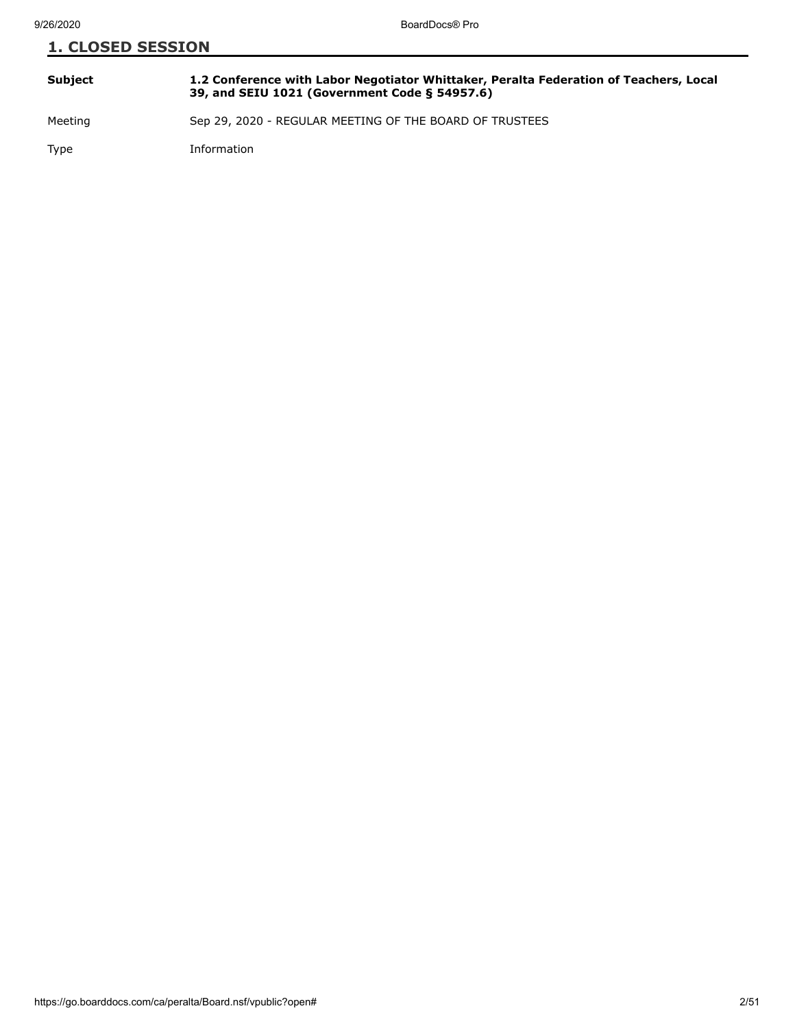| <b>1. CLOSED SESSION</b> |                                                                                                                                        |
|--------------------------|----------------------------------------------------------------------------------------------------------------------------------------|
| Subject                  | 1.2 Conference with Labor Negotiator Whittaker, Peralta Federation of Teachers, Local<br>39, and SEIU 1021 (Government Code § 54957.6) |
| Meeting                  | Sep 29, 2020 - REGULAR MEETING OF THE BOARD OF TRUSTEES                                                                                |

Type Information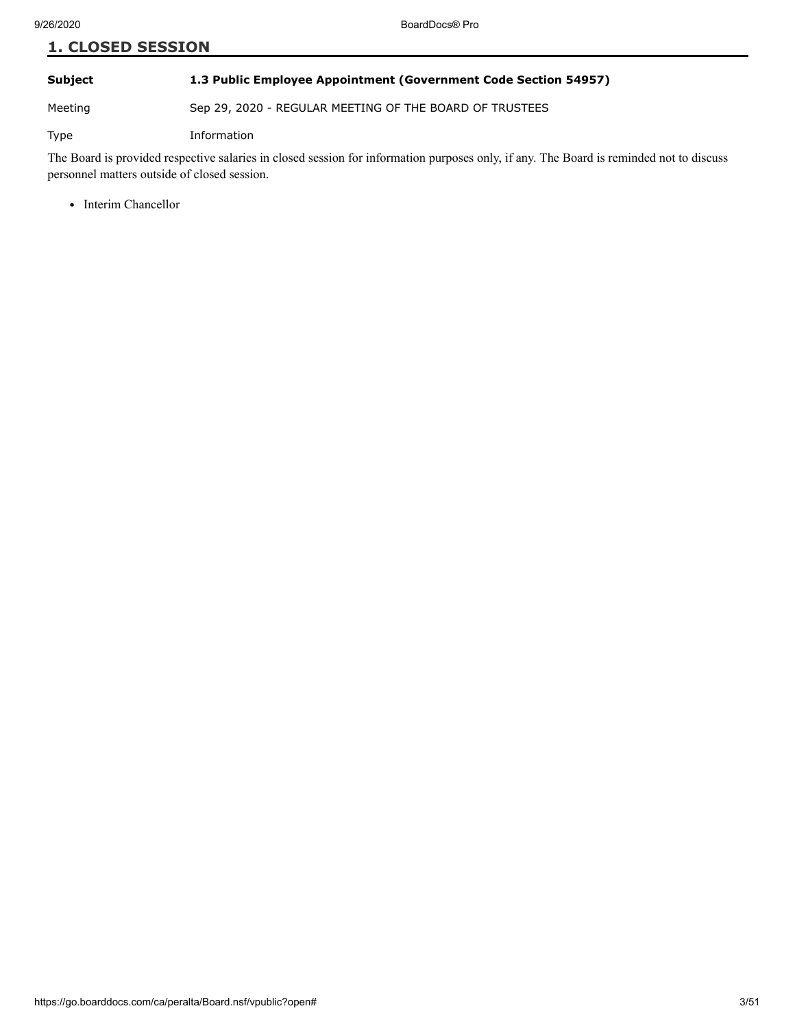#### **Subject 1.3 Public Employee Appointment (Government Code Section 54957)**

Meeting Sep 29, 2020 - REGULAR MEETING OF THE BOARD OF TRUSTEES

Type Information

The Board is provided respective salaries in closed session for information purposes only, if any. The Board is reminded not to discuss personnel matters outside of closed session.

• Interim Chancellor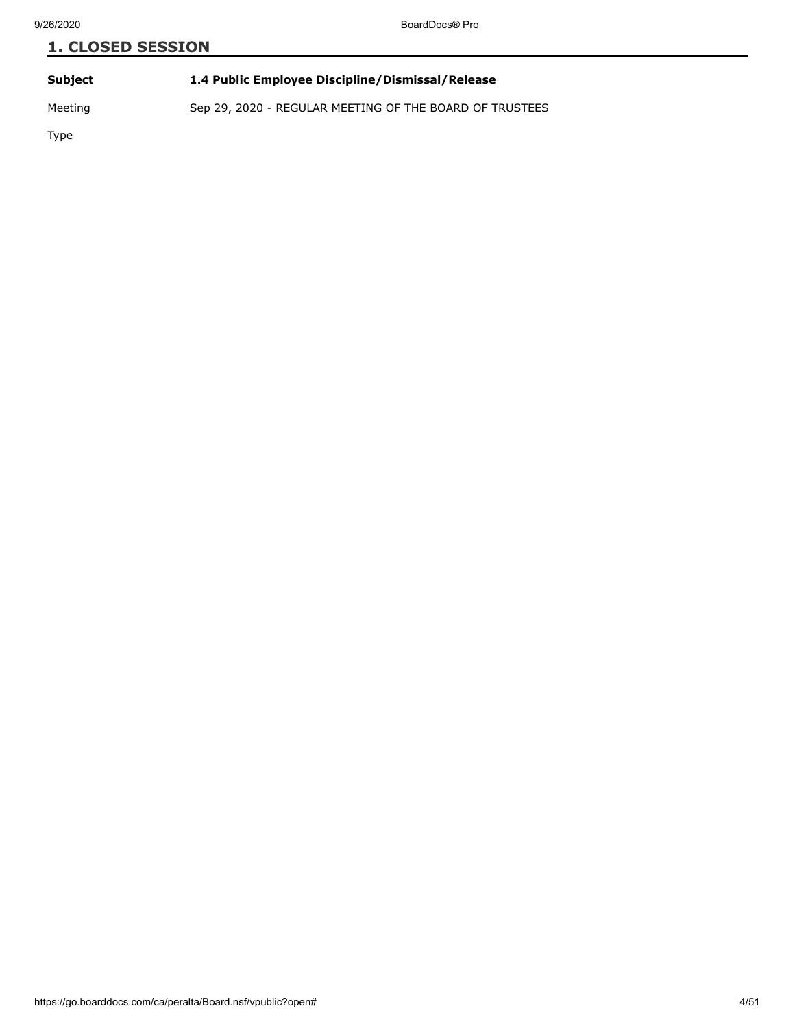| Subject | 1.4 Public Employee Discipline/Dismissal/Release |
|---------|--------------------------------------------------|

Meeting Sep 29, 2020 - REGULAR MEETING OF THE BOARD OF TRUSTEES

Type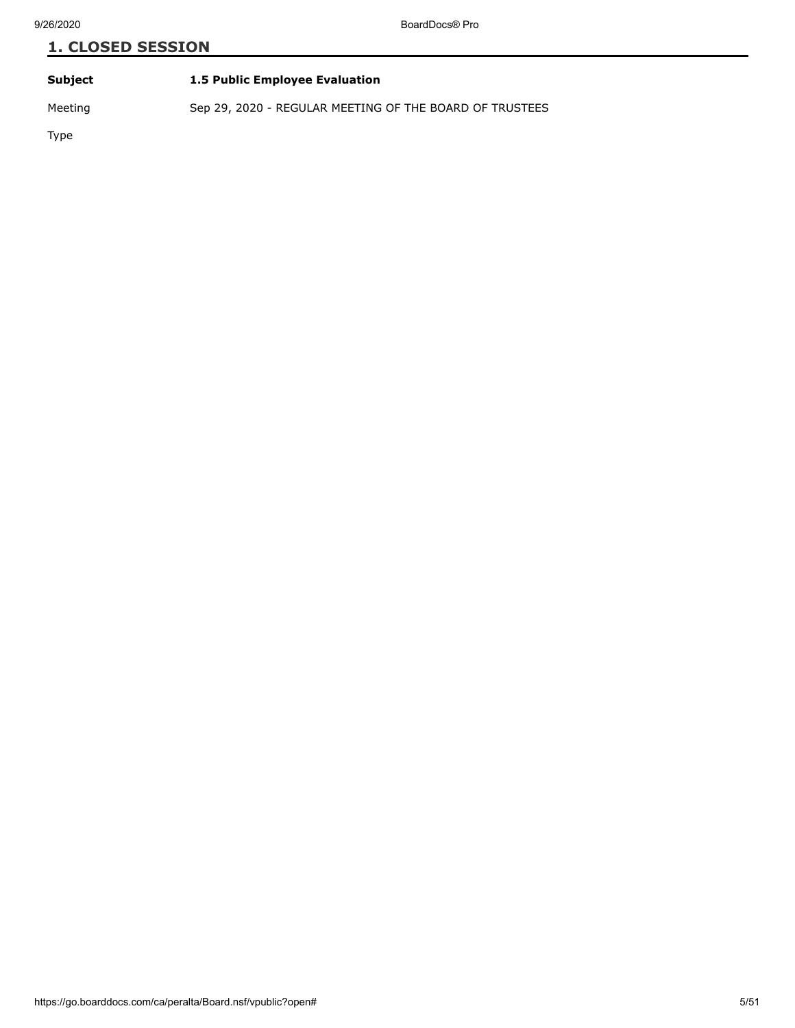| Subject | 1.5 Public Employee Evaluation |
|---------|--------------------------------|
|         |                                |

Meeting Sep 29, 2020 - REGULAR MEETING OF THE BOARD OF TRUSTEES

Type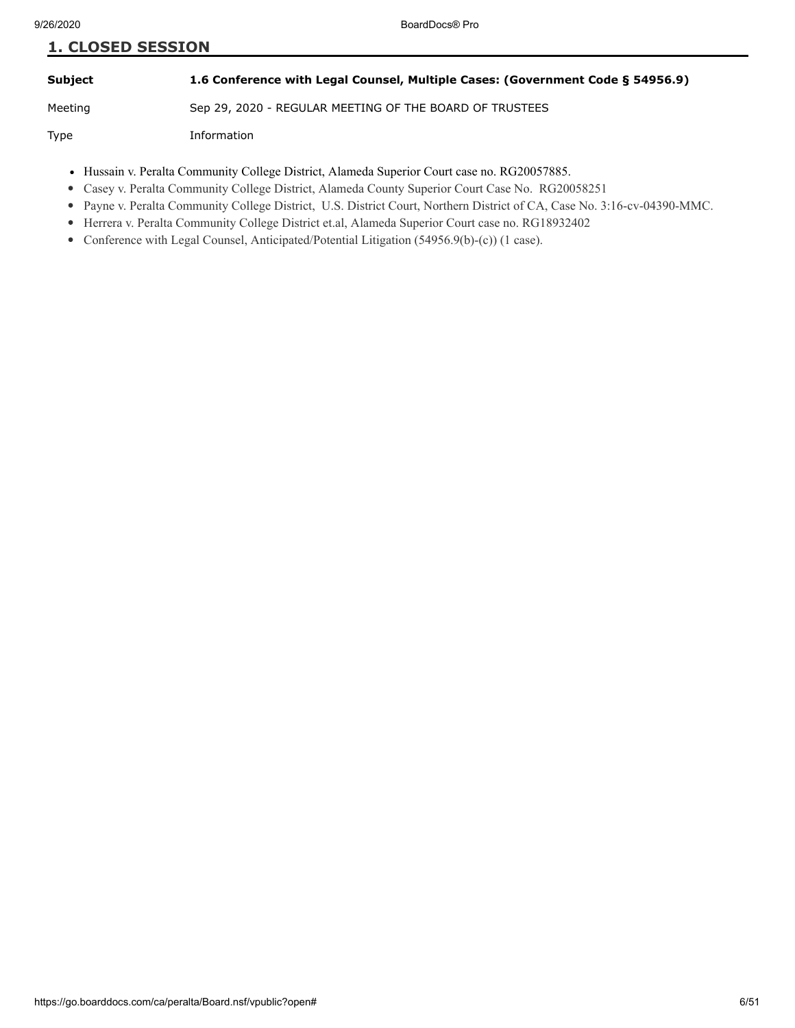**Subject 1.6 Conference with Legal Counsel, Multiple Cases: (Government Code § 54956.9)**

Meeting Sep 29, 2020 - REGULAR MEETING OF THE BOARD OF TRUSTEES

Type Information

- Hussain v. Peralta Community College District, Alameda Superior Court case no. RG20057885.
- Casey v. Peralta Community College District, Alameda County Superior Court Case No. RG20058251
- Payne v. Peralta Community College District, U.S. District Court, Northern District of CA, Case No. 3:16-cv-04390-MMC.
- Herrera v. Peralta Community College District et.al, Alameda Superior Court case no. RG18932402
- Conference with Legal Counsel, Anticipated/Potential Litigation (54956.9(b)-(c)) (1 case).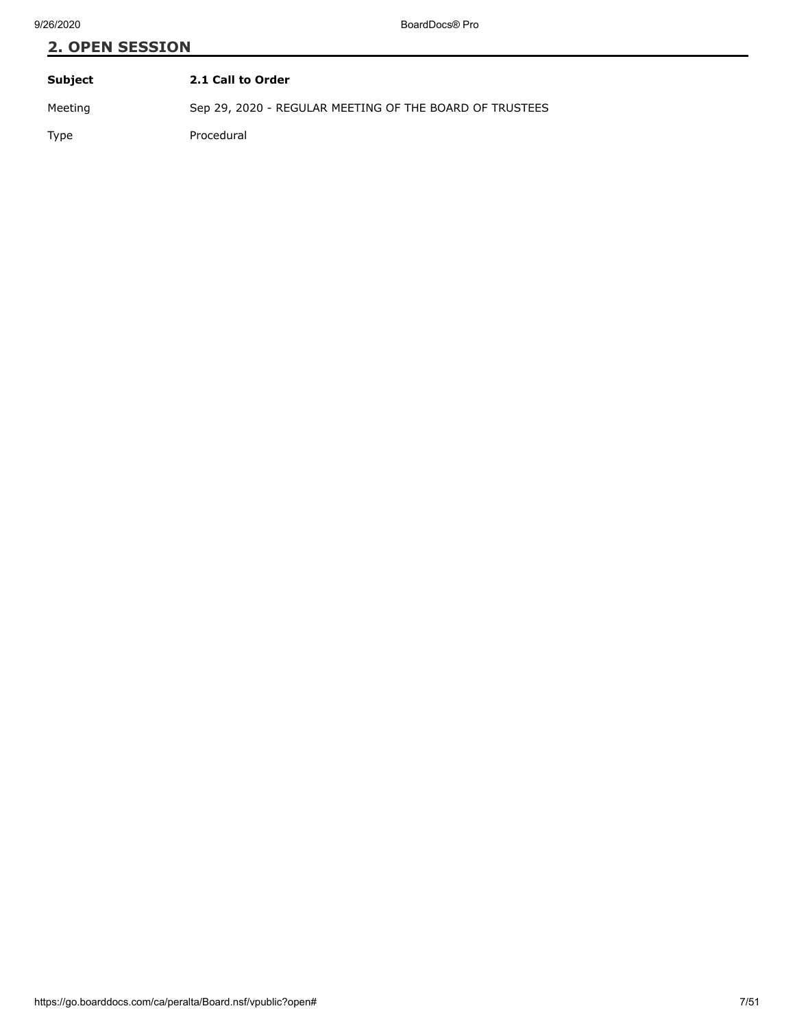# **2. OPEN SESSION Subject 2.1 Call to Order**

Meeting Sep 29, 2020 - REGULAR MEETING OF THE BOARD OF TRUSTEES

Type Procedural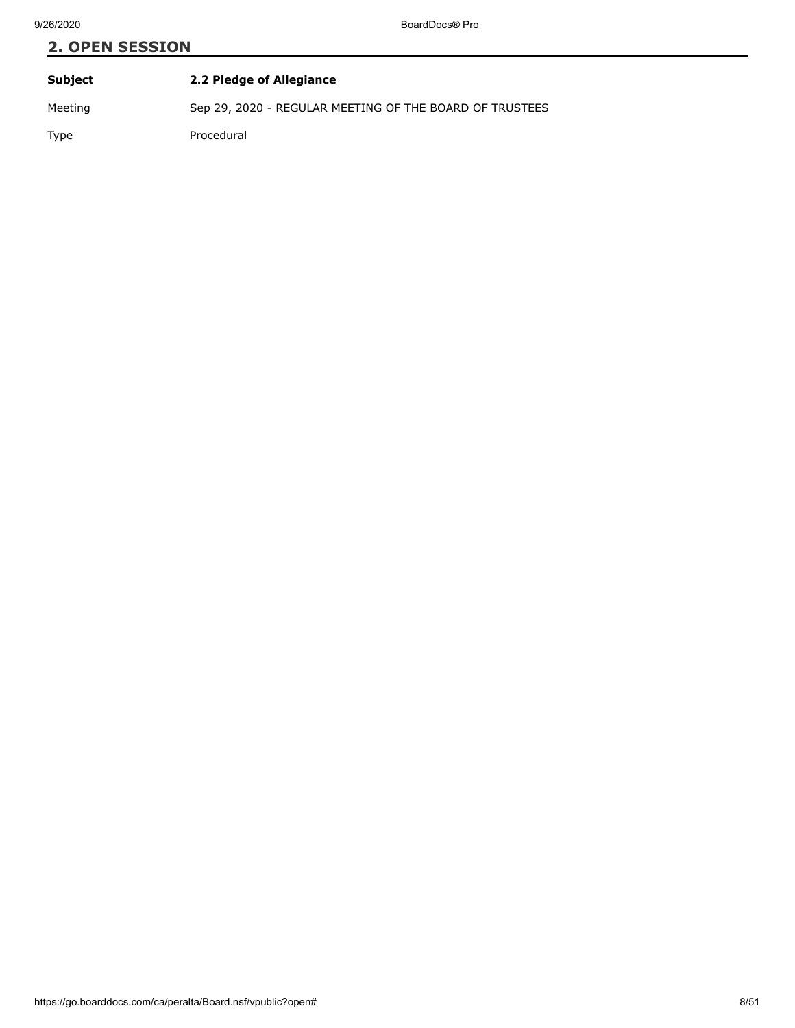| Subject | 2.2 Pledge of Allegiance                                |
|---------|---------------------------------------------------------|
| Meeting | Sep 29, 2020 - REGULAR MEETING OF THE BOARD OF TRUSTEES |
| Type    | Procedural                                              |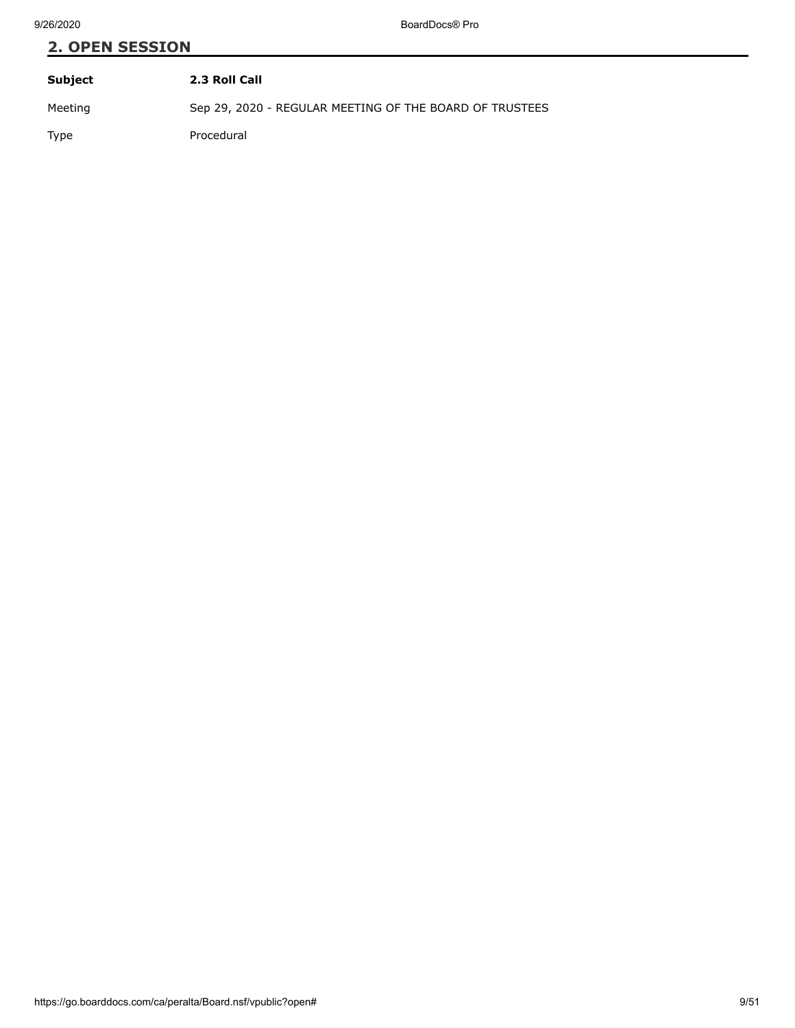| Subject     | <b>2.3 Roll Call</b>                                    |
|-------------|---------------------------------------------------------|
| Meeting     | Sep 29, 2020 - REGULAR MEETING OF THE BOARD OF TRUSTEES |
| <b>Type</b> | Procedural                                              |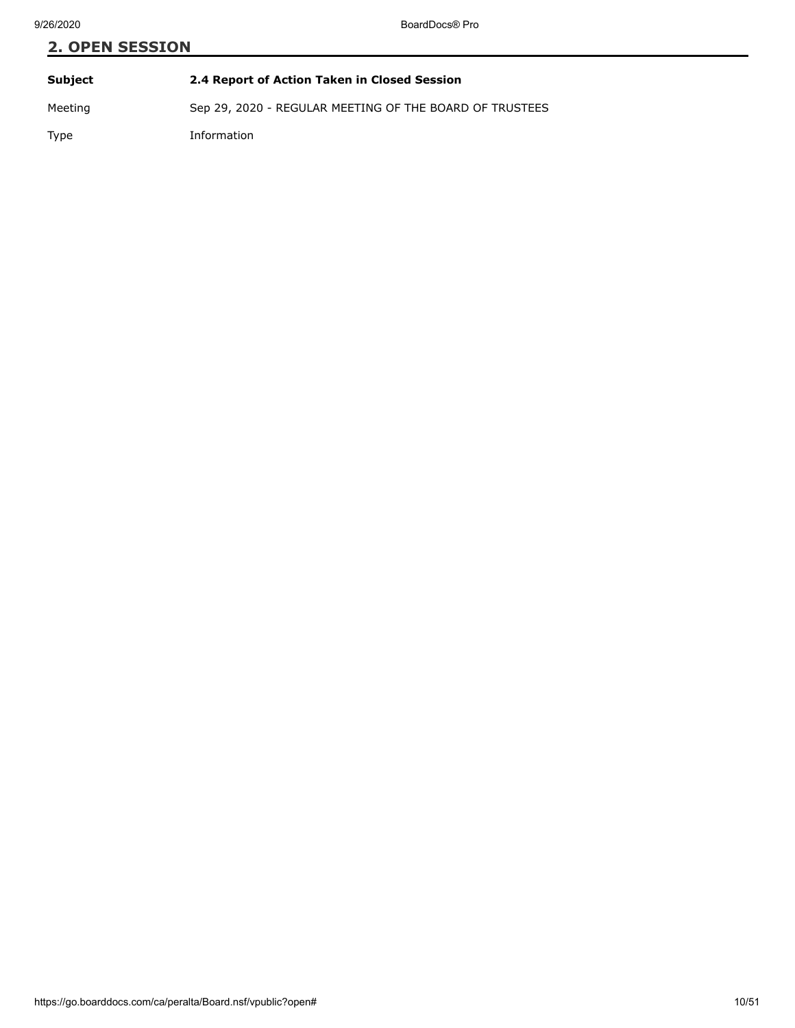# **2. OPEN SESSION Subject 2.4 Report of Action Taken in Closed Session** Meeting Sep 29, 2020 - REGULAR MEETING OF THE BOARD OF TRUSTEES

Type Information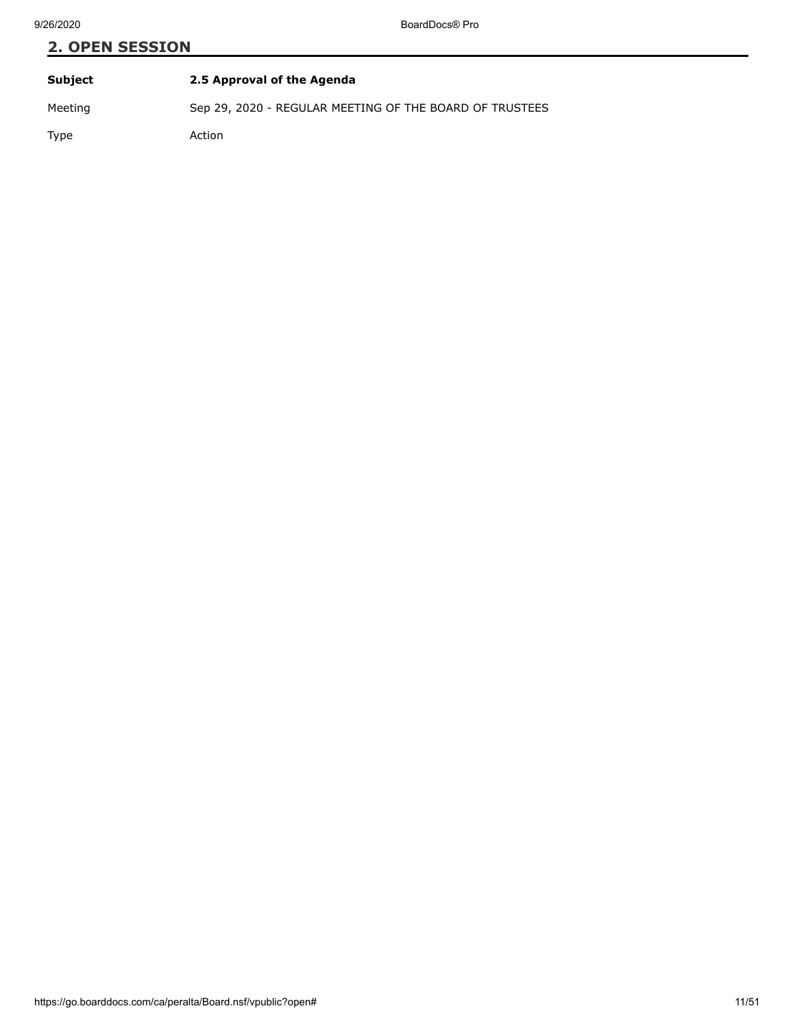| Subject | 2.5 Approval of the Agenda                              |
|---------|---------------------------------------------------------|
| Meeting | Sep 29, 2020 - REGULAR MEETING OF THE BOARD OF TRUSTEES |

Type Action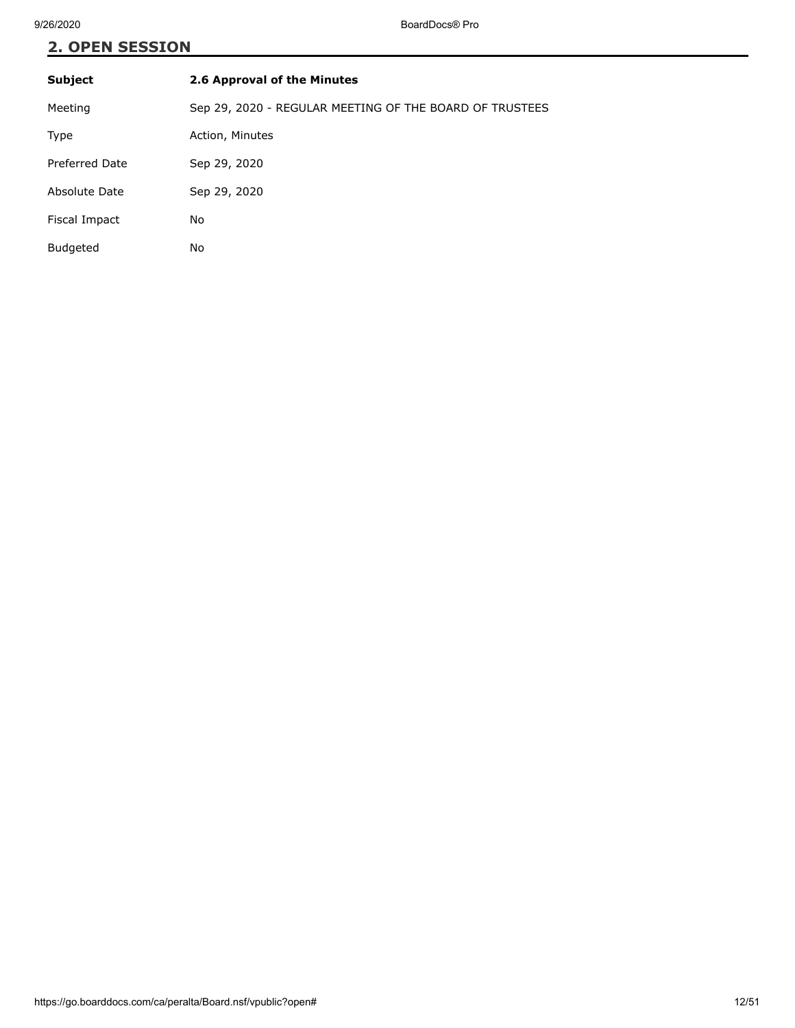| <b>Subject</b>  | 2.6 Approval of the Minutes                             |
|-----------------|---------------------------------------------------------|
| Meeting         | Sep 29, 2020 - REGULAR MEETING OF THE BOARD OF TRUSTEES |
| Type            | Action, Minutes                                         |
| Preferred Date  | Sep 29, 2020                                            |
| Absolute Date   | Sep 29, 2020                                            |
| Fiscal Impact   | No                                                      |
| <b>Budgeted</b> | No                                                      |
|                 |                                                         |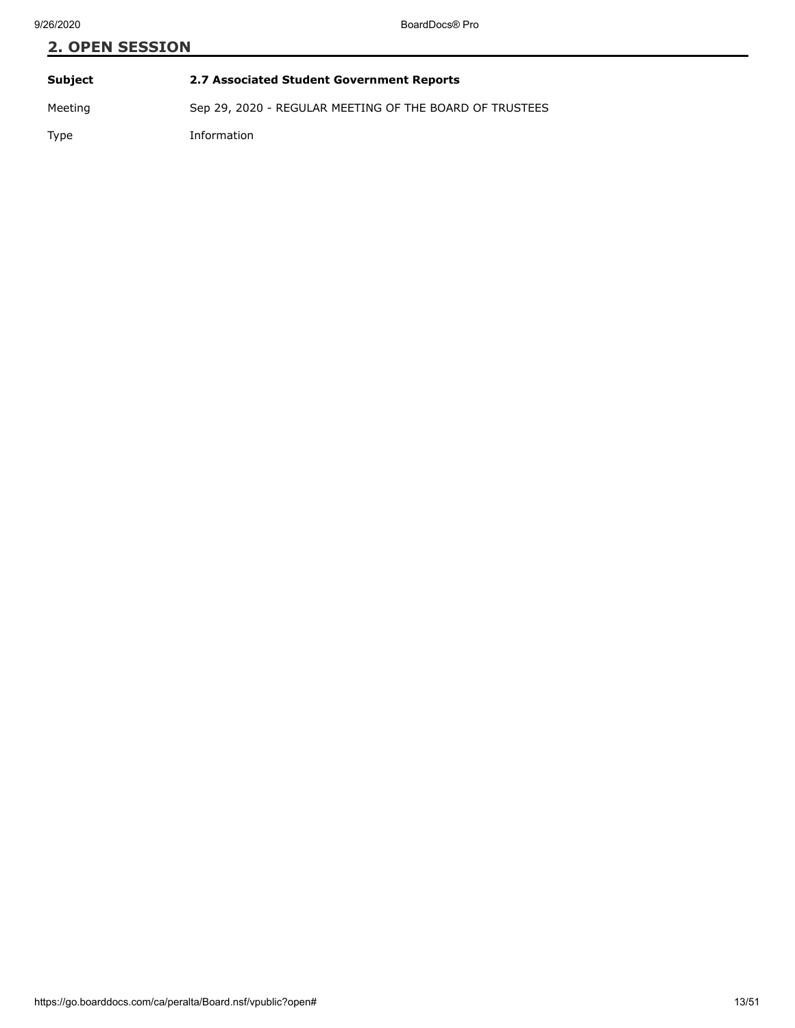# **2. OPEN SESSION Subject 2.7 Associated Student Government Reports** Meeting Sep 29, 2020 - REGULAR MEETING OF THE BOARD OF TRUSTEES

Type Information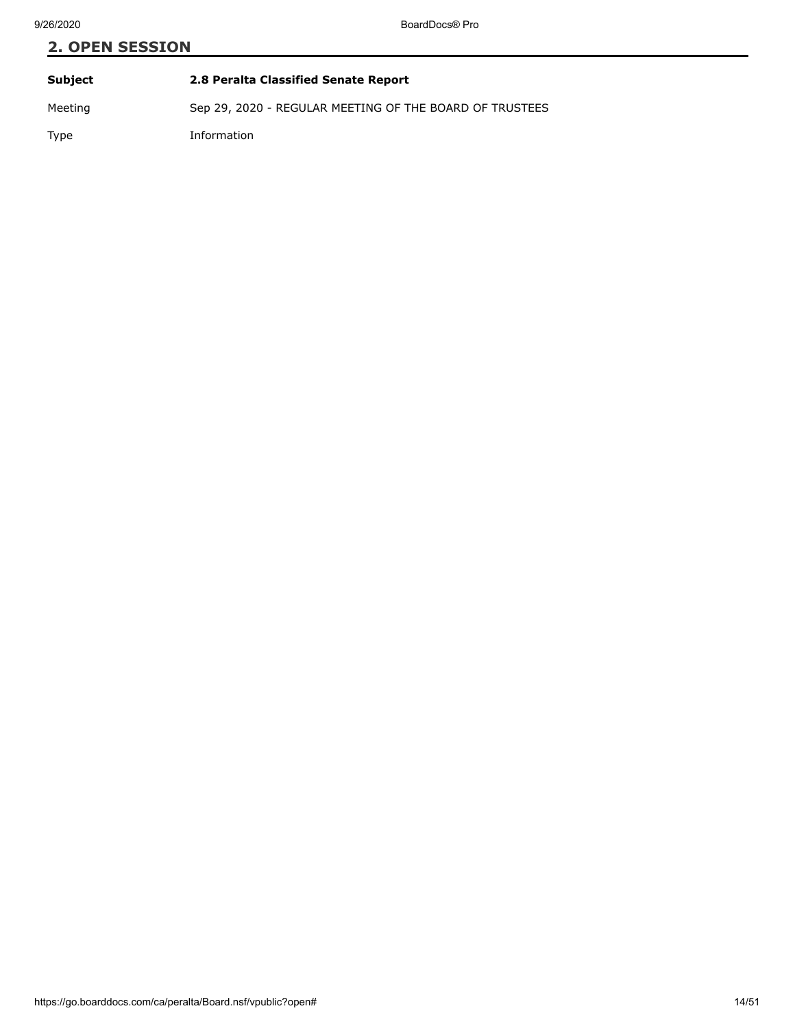| Subject | 2.8 Peralta Classified Senate Report                    |
|---------|---------------------------------------------------------|
| Meeting | Sep 29, 2020 - REGULAR MEETING OF THE BOARD OF TRUSTEES |
| Type    | Information                                             |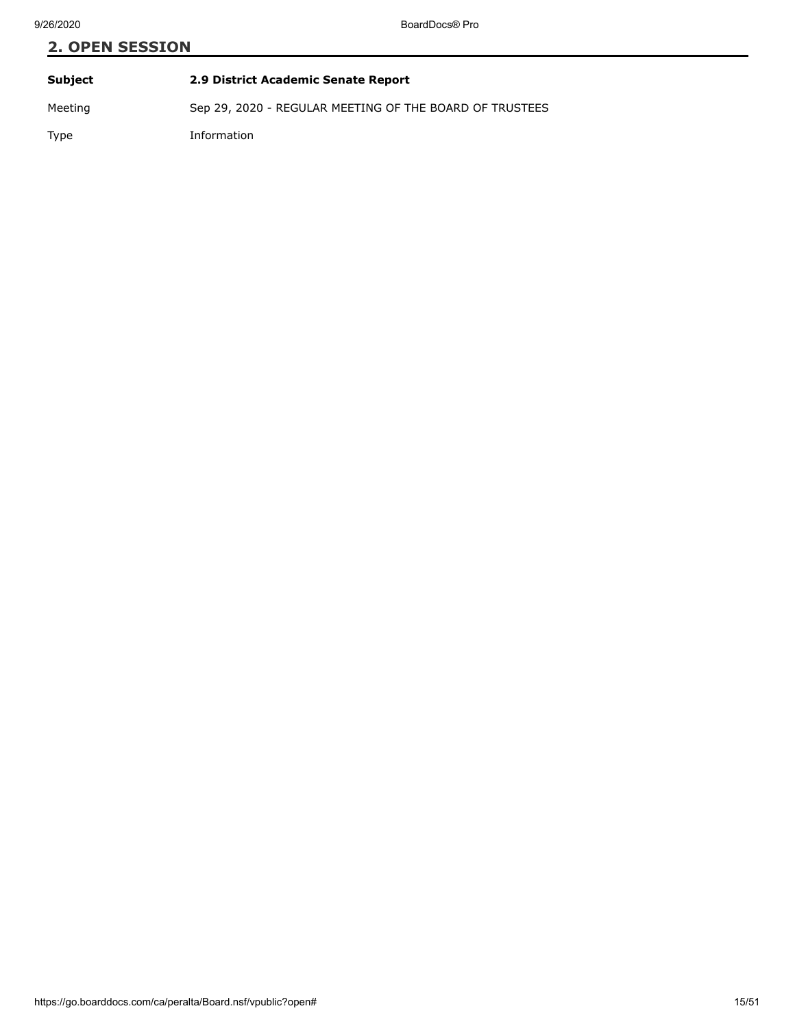**Subject 2.9 District Academic Senate Report** Meeting Sep 29, 2020 - REGULAR MEETING OF THE BOARD OF TRUSTEES Type Information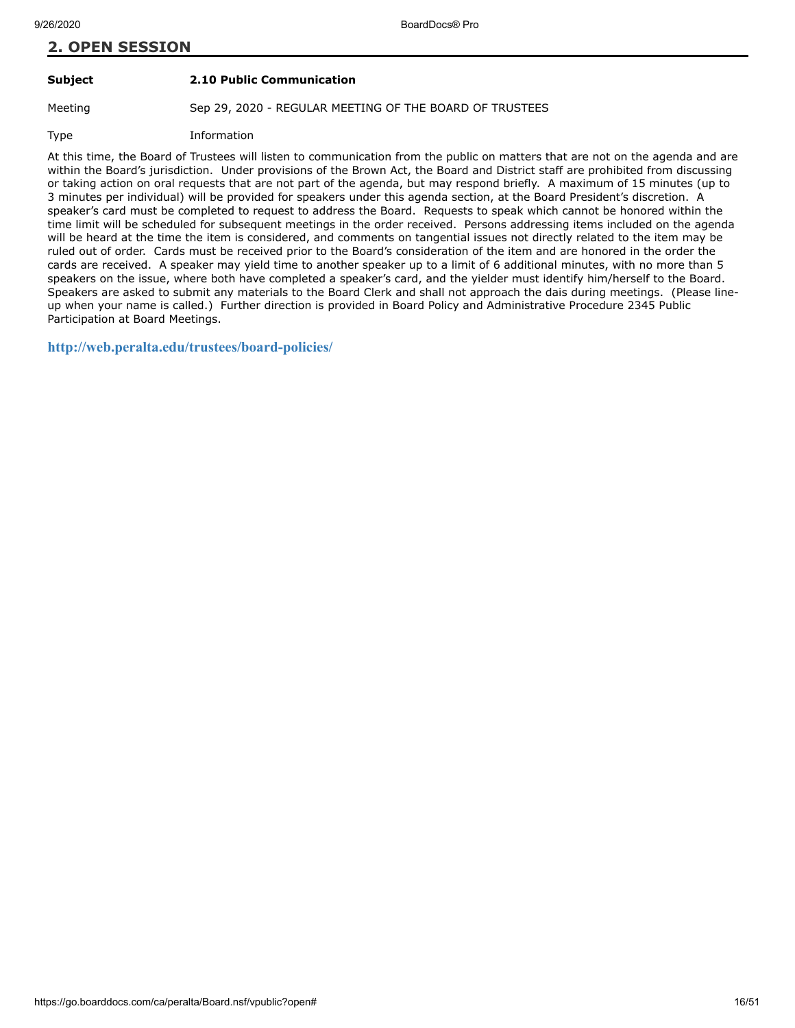#### **Subject 2.10 Public Communication**

Meeting Sep 29, 2020 - REGULAR MEETING OF THE BOARD OF TRUSTEES

Type Information

At this time, the Board of Trustees will listen to communication from the public on matters that are not on the agenda and are within the Board's jurisdiction. Under provisions of the Brown Act, the Board and District staff are prohibited from discussing or taking action on oral requests that are not part of the agenda, but may respond briefly. A maximum of 15 minutes (up to 3 minutes per individual) will be provided for speakers under this agenda section, at the Board President's discretion. A speaker's card must be completed to request to address the Board. Requests to speak which cannot be honored within the time limit will be scheduled for subsequent meetings in the order received. Persons addressing items included on the agenda will be heard at the time the item is considered, and comments on tangential issues not directly related to the item may be ruled out of order. Cards must be received prior to the Board's consideration of the item and are honored in the order the cards are received. A speaker may yield time to another speaker up to a limit of 6 additional minutes, with no more than 5 speakers on the issue, where both have completed a speaker's card, and the yielder must identify him/herself to the Board. Speakers are asked to submit any materials to the Board Clerk and shall not approach the dais during meetings. (Please lineup when your name is called.) Further direction is provided in Board Policy and Administrative Procedure 2345 Public Participation at Board Meetings.

**<http://web.peralta.edu/trustees/board-policies/>**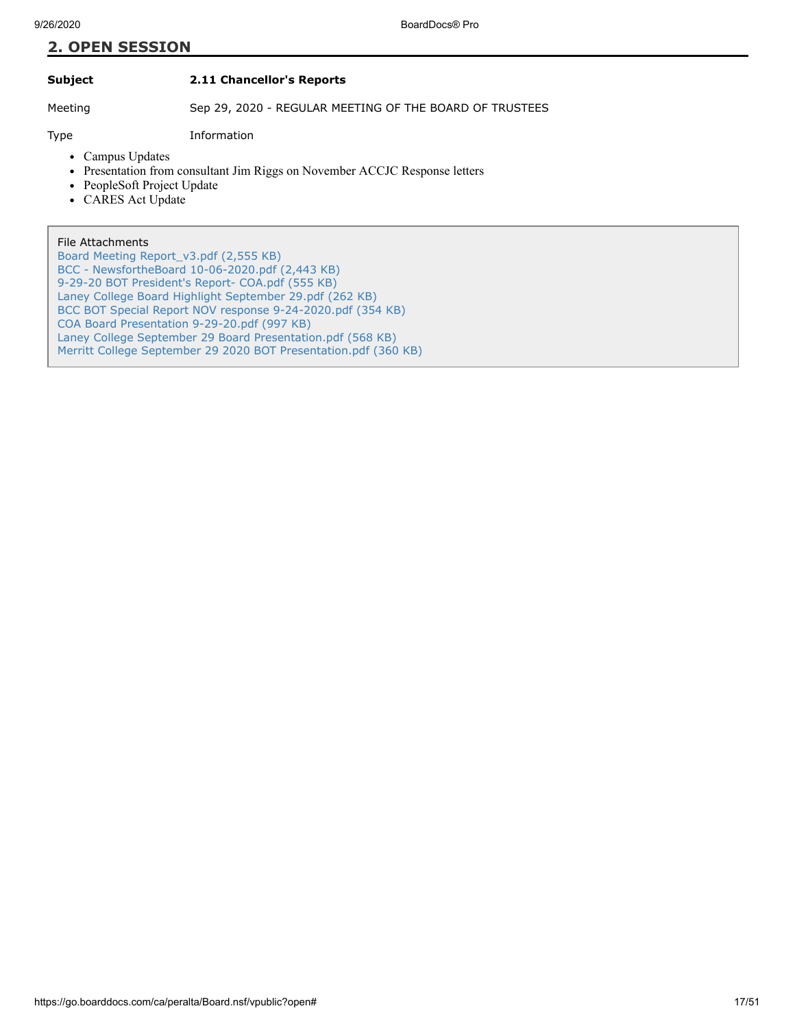#### **Subject 2.11 Chancellor's Reports**

Meeting Sep 29, 2020 - REGULAR MEETING OF THE BOARD OF TRUSTEES

Type Information

- Campus Updates
- Presentation from consultant Jim Riggs on November ACCJC Response letters
- PeopleSoft Project Update
- CARES Act Update

#### File Attachments

[Board Meeting Report\\_v3.pdf \(2,555 KB\)](https://go.boarddocs.com/ca/peralta/Board.nsf/files/BTR98N21C77B/$file/Board%20Meeting%20Report_v3.pdf) [BCC - NewsfortheBoard 10-06-2020.pdf \(2,443 KB\)](https://go.boarddocs.com/ca/peralta/Board.nsf/files/BTSMAB5A464F/$file/BCC%20-%20NewsfortheBoard%2010-06-2020.pdf) [9-29-20 BOT President's Report- COA.pdf \(555 KB\)](https://go.boarddocs.com/ca/peralta/Board.nsf/files/BTRVVN829AEF/$file/9-29-20%20BOT%20President) [Laney College Board Highlight September 29.pdf \(262 KB\)](https://go.boarddocs.com/ca/peralta/Board.nsf/files/BTSP785FE6CC/$file/Laney%20College%20Board%20Highlight%20September%2029.pdf) [BCC BOT Special Report NOV response 9-24-2020.pdf \(354 KB\)](https://go.boarddocs.com/ca/peralta/Board.nsf/files/BTSP6T5FE159/$file/BCC%20BOT%20Special%20Report%20NOV%20response%209-24-2020.pdf) [COA Board Presentation 9-29-20.pdf \(997 KB\)](https://go.boarddocs.com/ca/peralta/Board.nsf/files/BTSP6Z5FE279/$file/COA%20Board%20Presentation%209-29-20.pdf) [Laney College September 29 Board Presentation.pdf \(568 KB\)](https://go.boarddocs.com/ca/peralta/Board.nsf/files/BTSP6X5FE1E4/$file/Laney%20College%20September%2029%20Board%20Presentation.pdf) [Merritt College September 29 2020 BOT Presentation.pdf \(360 KB\)](https://go.boarddocs.com/ca/peralta/Board.nsf/files/BTSP6V5FE190/$file/Merritt%20College%20September%2029%202020%20BOT%20Presentation.pdf)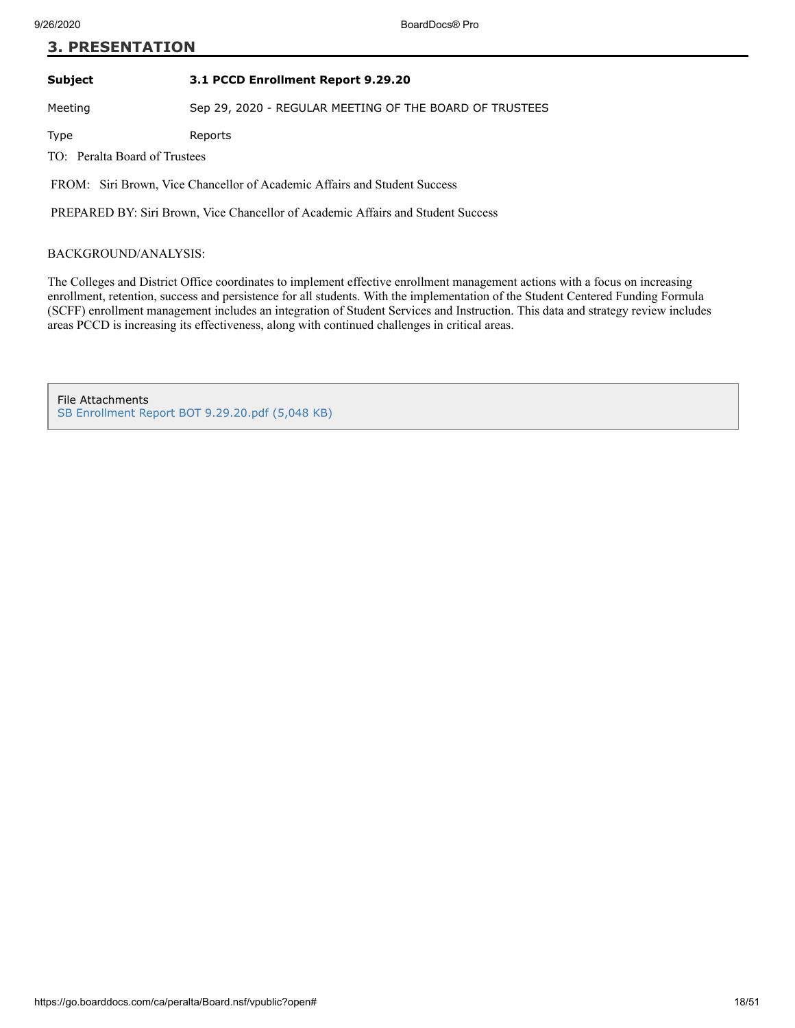#### **3. PRESENTATION**

**Subject 3.1 PCCD Enrollment Report 9.29.20**

Meeting Sep 29, 2020 - REGULAR MEETING OF THE BOARD OF TRUSTEES

Type Reports

TO: Peralta Board of Trustees

FROM: Siri Brown, Vice Chancellor of Academic Affairs and Student Success

PREPARED BY: Siri Brown, Vice Chancellor of Academic Affairs and Student Success

#### BACKGROUND/ANALYSIS:

The Colleges and District Office coordinates to implement effective enrollment management actions with a focus on increasing enrollment, retention, success and persistence for all students. With the implementation of the Student Centered Funding Formula (SCFF) enrollment management includes an integration of Student Services and Instruction. This data and strategy review includes areas PCCD is increasing its effectiveness, along with continued challenges in critical areas.

File Attachments [SB Enrollment Report BOT 9.29.20.pdf \(5,048 KB\)](https://go.boarddocs.com/ca/peralta/Board.nsf/files/BTPR8X6CCF04/$file/SB%20Enrollment%20Report%20BOT%209.29.20.pdf)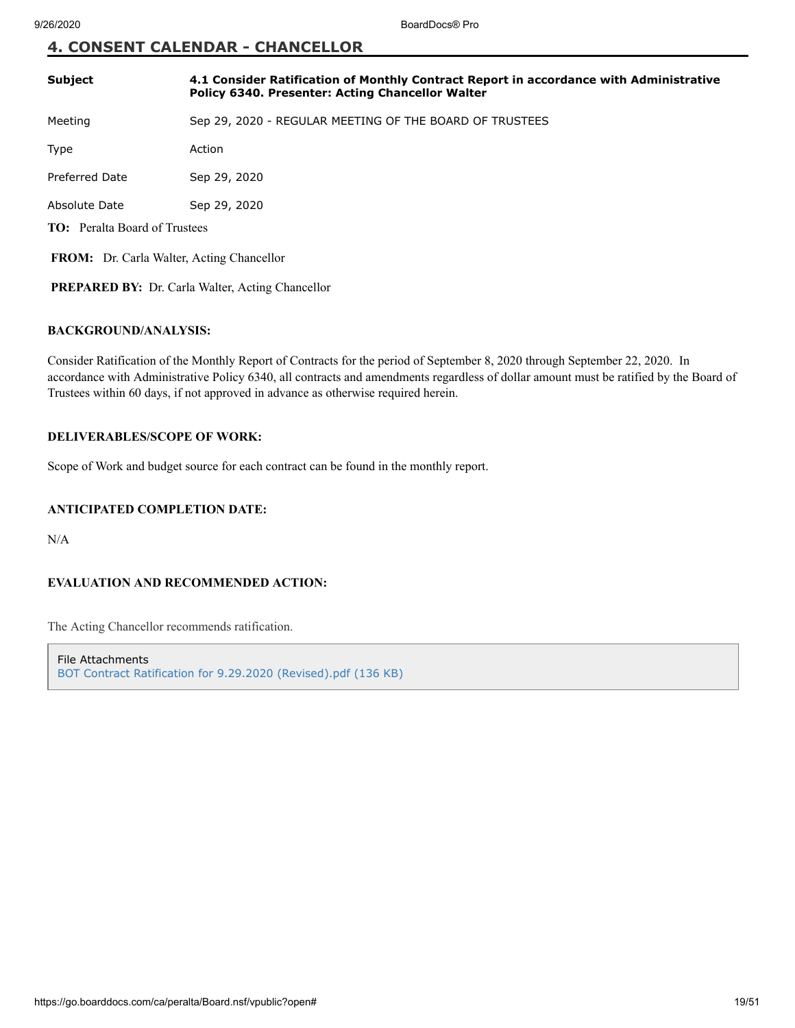#### **4. CONSENT CALENDAR - CHANCELLOR**

| <b>Subject</b>                                          | 4.1 Consider Ratification of Monthly Contract Report in accordance with Administrative<br>Policy 6340. Presenter: Acting Chancellor Walter |  |
|---------------------------------------------------------|--------------------------------------------------------------------------------------------------------------------------------------------|--|
| Meeting                                                 | Sep 29, 2020 - REGULAR MEETING OF THE BOARD OF TRUSTEES                                                                                    |  |
| Type                                                    | Action                                                                                                                                     |  |
| <b>Preferred Date</b>                                   | Sep 29, 2020                                                                                                                               |  |
| Absolute Date                                           | Sep 29, 2020                                                                                                                               |  |
| <b>TO:</b> Peralta Board of Trustees                    |                                                                                                                                            |  |
| <b>FROM:</b> Dr. Carla Walter, Acting Chancellor        |                                                                                                                                            |  |
| <b>PREPARED BY:</b> Dr. Carla Walter, Acting Chancellor |                                                                                                                                            |  |

#### **BACKGROUND/ANALYSIS:**

Consider Ratification of the Monthly Report of Contracts for the period of September 8, 2020 through September 22, 2020. In accordance with Administrative Policy 6340, all contracts and amendments regardless of dollar amount must be ratified by the Board of Trustees within 60 days, if not approved in advance as otherwise required herein.

#### **DELIVERABLES/SCOPE OF WORK:**

Scope of Work and budget source for each contract can be found in the monthly report.

#### **ANTICIPATED COMPLETION DATE:**

N/A

#### **EVALUATION AND RECOMMENDED ACTION:**

The Acting Chancellor recommends ratification.

File Attachments [BOT Contract Ratification for 9.29.2020 \(Revised\).pdf \(136 KB\)](https://go.boarddocs.com/ca/peralta/Board.nsf/files/BTPPA4639C7B/$file/BOT%20Contract%20Ratification%20for%20%209.29.2020%20(Revised).pdf)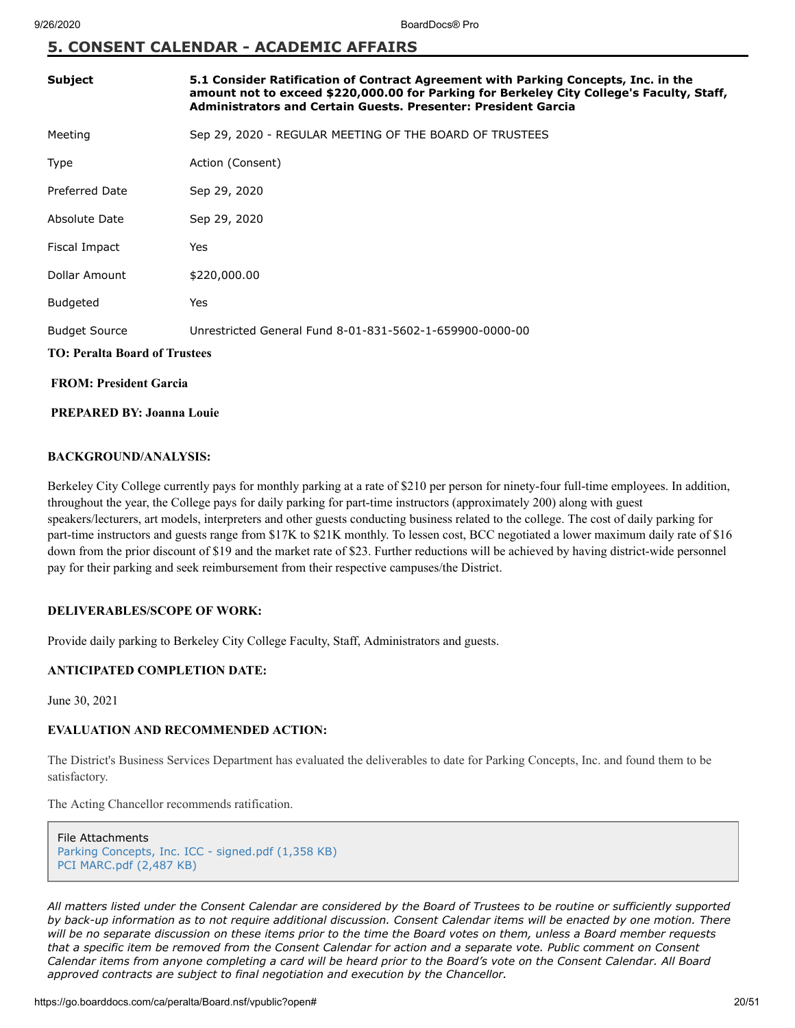## **5. CONSENT CALENDAR - ACADEMIC AFFAIRS**

| Subject                              | 5.1 Consider Ratification of Contract Agreement with Parking Concepts, Inc. in the<br>amount not to exceed \$220,000.00 for Parking for Berkeley City College's Faculty, Staff,<br><b>Administrators and Certain Guests. Presenter: President Garcia</b> |
|--------------------------------------|----------------------------------------------------------------------------------------------------------------------------------------------------------------------------------------------------------------------------------------------------------|
| Meeting                              | Sep 29, 2020 - REGULAR MEETING OF THE BOARD OF TRUSTEES                                                                                                                                                                                                  |
| Type                                 | Action (Consent)                                                                                                                                                                                                                                         |
| Preferred Date                       | Sep 29, 2020                                                                                                                                                                                                                                             |
| Absolute Date                        | Sep 29, 2020                                                                                                                                                                                                                                             |
| Fiscal Impact                        | Yes                                                                                                                                                                                                                                                      |
| Dollar Amount                        | \$220,000.00                                                                                                                                                                                                                                             |
| <b>Budgeted</b>                      | Yes                                                                                                                                                                                                                                                      |
| <b>Budget Source</b>                 | Unrestricted General Fund 8-01-831-5602-1-659900-0000-00                                                                                                                                                                                                 |
| <b>TO: Peralta Board of Trustees</b> |                                                                                                                                                                                                                                                          |
| <b>FROM: President Garcia</b>        |                                                                                                                                                                                                                                                          |
| <b>PREPARED BY: Joanna Louie</b>     |                                                                                                                                                                                                                                                          |

#### **BACKGROUND/ANALYSIS:**

Berkeley City College currently pays for monthly parking at a rate of \$210 per person for ninety-four full-time employees. In addition, throughout the year, the College pays for daily parking for part-time instructors (approximately 200) along with guest speakers/lecturers, art models, interpreters and other guests conducting business related to the college. The cost of daily parking for part-time instructors and guests range from \$17K to \$21K monthly. To lessen cost, BCC negotiated a lower maximum daily rate of \$16 down from the prior discount of \$19 and the market rate of \$23. Further reductions will be achieved by having district-wide personnel pay for their parking and seek reimbursement from their respective campuses/the District.

#### **DELIVERABLES/SCOPE OF WORK:**

Provide daily parking to Berkeley City College Faculty, Staff, Administrators and guests.

#### **ANTICIPATED COMPLETION DATE:**

June 30, 2021

#### **EVALUATION AND RECOMMENDED ACTION:**

The District's Business Services Department has evaluated the deliverables to date for Parking Concepts, Inc. and found them to be satisfactory.

The Acting Chancellor recommends ratification.

```
File Attachments
Parking Concepts, Inc. ICC - signed.pdf (1,358 KB)
PCI MARC.pdf (2,487 KB)
```
*All matters listed under the Consent Calendar are considered by the Board of Trustees to be routine or sufficiently supported by back-up information as to not require additional discussion. Consent Calendar items will be enacted by one motion. There will be no separate discussion on these items prior to the time the Board votes on them, unless a Board member requests that a specific item be removed from the Consent Calendar for action and a separate vote. Public comment on Consent Calendar items from anyone completing a card will be heard prior to the Board's vote on the Consent Calendar. All Board approved contracts are subject to final negotiation and execution by the Chancellor.*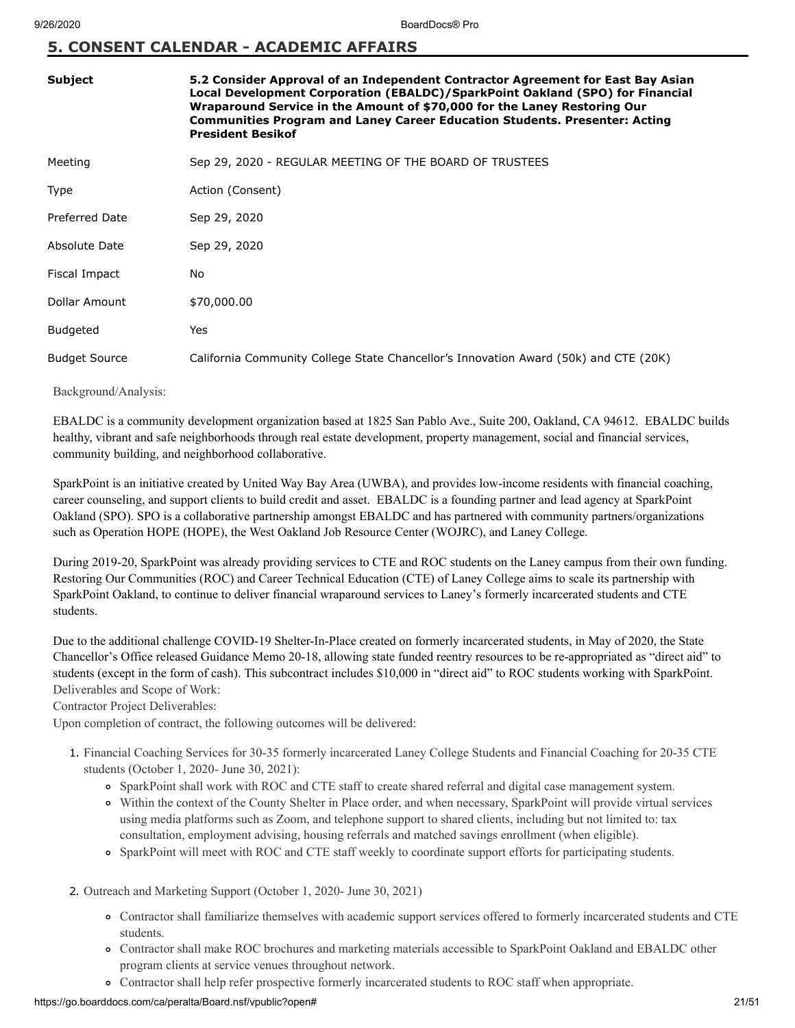# **5. CONSENT CALENDAR - ACADEMIC AFFAIRS**

| <b>Subject</b>        | 5.2 Consider Approval of an Independent Contractor Agreement for East Bay Asian<br>Local Development Corporation (EBALDC)/SparkPoint Oakland (SPO) for Financial<br>Wraparound Service in the Amount of \$70,000 for the Laney Restoring Our<br><b>Communities Program and Laney Career Education Students. Presenter: Acting</b><br><b>President Besikof</b> |
|-----------------------|---------------------------------------------------------------------------------------------------------------------------------------------------------------------------------------------------------------------------------------------------------------------------------------------------------------------------------------------------------------|
| Meeting               | Sep 29, 2020 - REGULAR MEETING OF THE BOARD OF TRUSTEES                                                                                                                                                                                                                                                                                                       |
| Type                  | Action (Consent)                                                                                                                                                                                                                                                                                                                                              |
| <b>Preferred Date</b> | Sep 29, 2020                                                                                                                                                                                                                                                                                                                                                  |
| Absolute Date         | Sep 29, 2020                                                                                                                                                                                                                                                                                                                                                  |
| Fiscal Impact         | No                                                                                                                                                                                                                                                                                                                                                            |
| Dollar Amount         | \$70,000.00                                                                                                                                                                                                                                                                                                                                                   |
| <b>Budgeted</b>       | Yes                                                                                                                                                                                                                                                                                                                                                           |
| <b>Budget Source</b>  | California Community College State Chancellor's Innovation Award (50k) and CTE (20K)                                                                                                                                                                                                                                                                          |

Background/Analysis:

EBALDC is a community development organization based at 1825 San Pablo Ave., Suite 200, Oakland, CA 94612. EBALDC builds healthy, vibrant and safe neighborhoods through real estate development, property management, social and financial services, community building, and neighborhood collaborative.

SparkPoint is an initiative created by United Way Bay Area (UWBA), and provides low-income residents with financial coaching, career counseling, and support clients to build credit and asset. EBALDC is a founding partner and lead agency at SparkPoint Oakland (SPO). SPO is a collaborative partnership amongst EBALDC and has partnered with community partners/organizations such as Operation HOPE (HOPE), the West Oakland Job Resource Center (WOJRC), and Laney College.

During 2019-20, SparkPoint was already providing services to CTE and ROC students on the Laney campus from their own funding. Restoring Our Communities (ROC) and Career Technical Education (CTE) of Laney College aims to scale its partnership with SparkPoint Oakland, to continue to deliver financial wraparound services to Laney's formerly incarcerated students and CTE students.

Due to the additional challenge COVID-19 Shelter-In-Place created on formerly incarcerated students, in May of 2020, the State Chancellor's Office released Guidance Memo 20-18, allowing state funded reentry resources to be re-appropriated as "direct aid" to students (except in the form of cash). This subcontract includes \$10,000 in "direct aid" to ROC students working with SparkPoint. Deliverables and Scope of Work:

Contractor Project Deliverables:

Upon completion of contract, the following outcomes will be delivered:

- 1. Financial Coaching Services for 30-35 formerly incarcerated Laney College Students and Financial Coaching for 20-35 CTE students (October 1, 2020- June 30, 2021):
	- SparkPoint shall work with ROC and CTE staff to create shared referral and digital case management system.
	- Within the context of the County Shelter in Place order, and when necessary, SparkPoint will provide virtual services using media platforms such as Zoom, and telephone support to shared clients, including but not limited to: tax consultation, employment advising, housing referrals and matched savings enrollment (when eligible).
	- SparkPoint will meet with ROC and CTE staff weekly to coordinate support efforts for participating students.
- 2. Outreach and Marketing Support (October 1, 2020- June 30, 2021)
	- Contractor shall familiarize themselves with academic support services offered to formerly incarcerated students and CTE students.
	- Contractor shall make ROC brochures and marketing materials accessible to SparkPoint Oakland and EBALDC other program clients at service venues throughout network.
	- Contractor shall help refer prospective formerly incarcerated students to ROC staff when appropriate.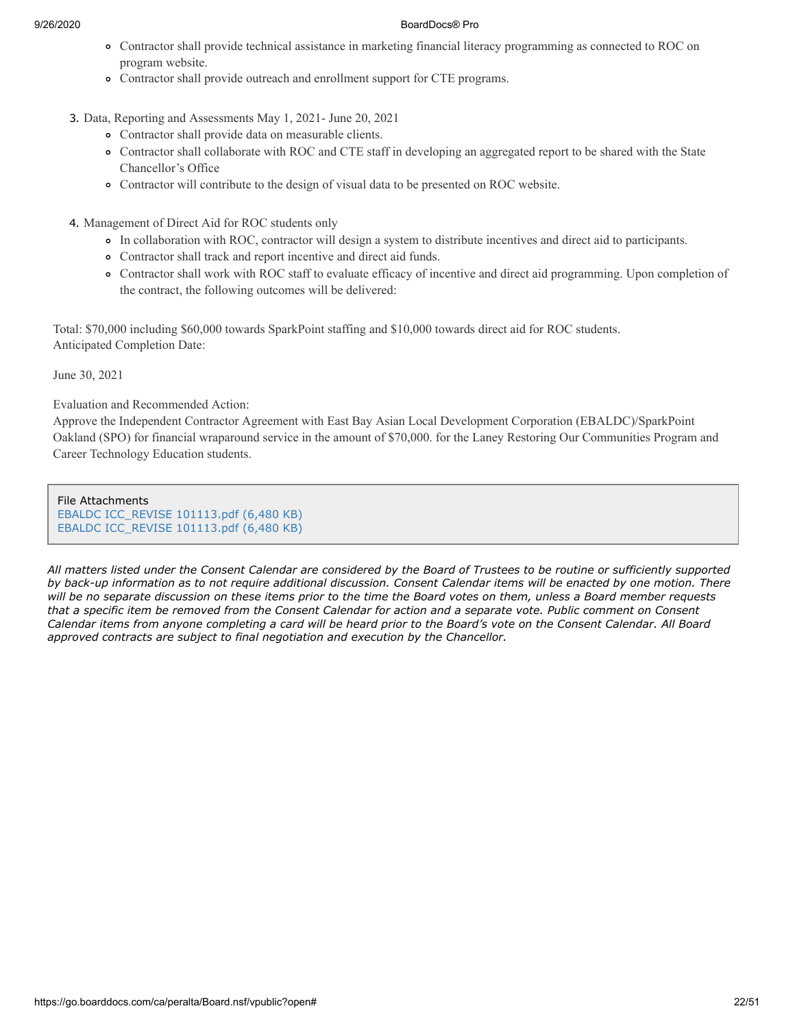#### 9/26/2020 BoardDocs® Pro

- Contractor shall provide technical assistance in marketing financial literacy programming as connected to ROC on program website.
- Contractor shall provide outreach and enrollment support for CTE programs.
- 3. Data, Reporting and Assessments May 1, 2021- June 20, 2021
	- Contractor shall provide data on measurable clients.
	- Contractor shall collaborate with ROC and CTE staff in developing an aggregated report to be shared with the State Chancellor's Office
	- Contractor will contribute to the design of visual data to be presented on ROC website.
- 4. Management of Direct Aid for ROC students only
	- In collaboration with ROC, contractor will design a system to distribute incentives and direct aid to participants.
	- Contractor shall track and report incentive and direct aid funds.
	- Contractor shall work with ROC staff to evaluate efficacy of incentive and direct aid programming. Upon completion of the contract, the following outcomes will be delivered:

Total: \$70,000 including \$60,000 towards SparkPoint staffing and \$10,000 towards direct aid for ROC students. Anticipated Completion Date:

June 30, 2021

Evaluation and Recommended Action:

Approve the Independent Contractor Agreement with East Bay Asian Local Development Corporation (EBALDC)/SparkPoint Oakland (SPO) for financial wraparound service in the amount of \$70,000. for the Laney Restoring Our Communities Program and Career Technology Education students.

File Attachments [EBALDC ICC\\_REVISE 101113.pdf \(6,480 KB\)](https://go.boarddocs.com/ca/peralta/Board.nsf/files/BTNW5Q83C9D7/$file/EBALDC%20ICC_REVISE%20101113.pdf) [EBALDC ICC\\_REVISE 101113.pdf \(6,480 KB\)](https://go.boarddocs.com/ca/peralta/Board.nsf/files/BTP247005041/$file/EBALDC%20ICC_REVISE%20101113.pdf)

*All matters listed under the Consent Calendar are considered by the Board of Trustees to be routine or sufficiently supported by back-up information as to not require additional discussion. Consent Calendar items will be enacted by one motion. There will be no separate discussion on these items prior to the time the Board votes on them, unless a Board member requests that a specific item be removed from the Consent Calendar for action and a separate vote. Public comment on Consent Calendar items from anyone completing a card will be heard prior to the Board's vote on the Consent Calendar. All Board approved contracts are subject to final negotiation and execution by the Chancellor.*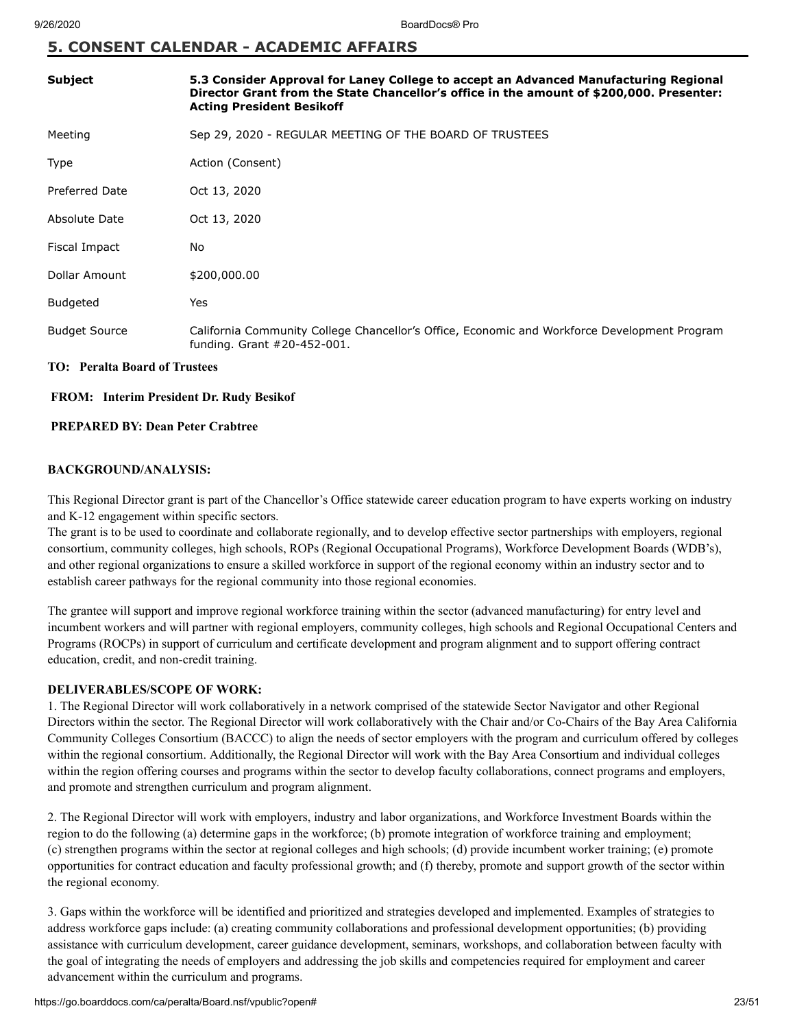## **5. CONSENT CALENDAR - ACADEMIC AFFAIRS**

| <b>Subject</b>        | 5.3 Consider Approval for Laney College to accept an Advanced Manufacturing Regional<br>Director Grant from the State Chancellor's office in the amount of \$200,000. Presenter:<br><b>Acting President Besikoff</b> |
|-----------------------|----------------------------------------------------------------------------------------------------------------------------------------------------------------------------------------------------------------------|
| Meeting               | Sep 29, 2020 - REGULAR MEETING OF THE BOARD OF TRUSTEES                                                                                                                                                              |
| Type                  | Action (Consent)                                                                                                                                                                                                     |
| <b>Preferred Date</b> | Oct 13, 2020                                                                                                                                                                                                         |
| Absolute Date         | Oct 13, 2020                                                                                                                                                                                                         |
| Fiscal Impact         | No                                                                                                                                                                                                                   |
| Dollar Amount         | \$200,000.00                                                                                                                                                                                                         |
| <b>Budgeted</b>       | Yes                                                                                                                                                                                                                  |
| <b>Budget Source</b>  | California Community College Chancellor's Office, Economic and Workforce Development Program<br>funding. Grant #20-452-001.                                                                                          |

#### **TO: Peralta Board of Trustees**

#### **FROM: Interim President Dr. Rudy Besikof**

#### **PREPARED BY: Dean Peter Crabtree**

#### **BACKGROUND/ANALYSIS:**

This Regional Director grant is part of the Chancellor's Office statewide career education program to have experts working on industry and K-12 engagement within specific sectors.

The grant is to be used to coordinate and collaborate regionally, and to develop effective sector partnerships with employers, regional consortium, community colleges, high schools, ROPs (Regional Occupational Programs), Workforce Development Boards (WDB's), and other regional organizations to ensure a skilled workforce in support of the regional economy within an industry sector and to establish career pathways for the regional community into those regional economies.

The grantee will support and improve regional workforce training within the sector (advanced manufacturing) for entry level and incumbent workers and will partner with regional employers, community colleges, high schools and Regional Occupational Centers and Programs (ROCPs) in support of curriculum and certificate development and program alignment and to support offering contract education, credit, and non-credit training.

#### **DELIVERABLES/SCOPE OF WORK:**

1. The Regional Director will work collaboratively in a network comprised of the statewide Sector Navigator and other Regional Directors within the sector. The Regional Director will work collaboratively with the Chair and/or Co-Chairs of the Bay Area California Community Colleges Consortium (BACCC) to align the needs of sector employers with the program and curriculum offered by colleges within the regional consortium. Additionally, the Regional Director will work with the Bay Area Consortium and individual colleges within the region offering courses and programs within the sector to develop faculty collaborations, connect programs and employers, and promote and strengthen curriculum and program alignment.

2. The Regional Director will work with employers, industry and labor organizations, and Workforce Investment Boards within the region to do the following (a) determine gaps in the workforce; (b) promote integration of workforce training and employment; (c) strengthen programs within the sector at regional colleges and high schools; (d) provide incumbent worker training; (e) promote opportunities for contract education and faculty professional growth; and (f) thereby, promote and support growth of the sector within the regional economy.

3. Gaps within the workforce will be identified and prioritized and strategies developed and implemented. Examples of strategies to address workforce gaps include: (a) creating community collaborations and professional development opportunities; (b) providing assistance with curriculum development, career guidance development, seminars, workshops, and collaboration between faculty with the goal of integrating the needs of employers and addressing the job skills and competencies required for employment and career advancement within the curriculum and programs.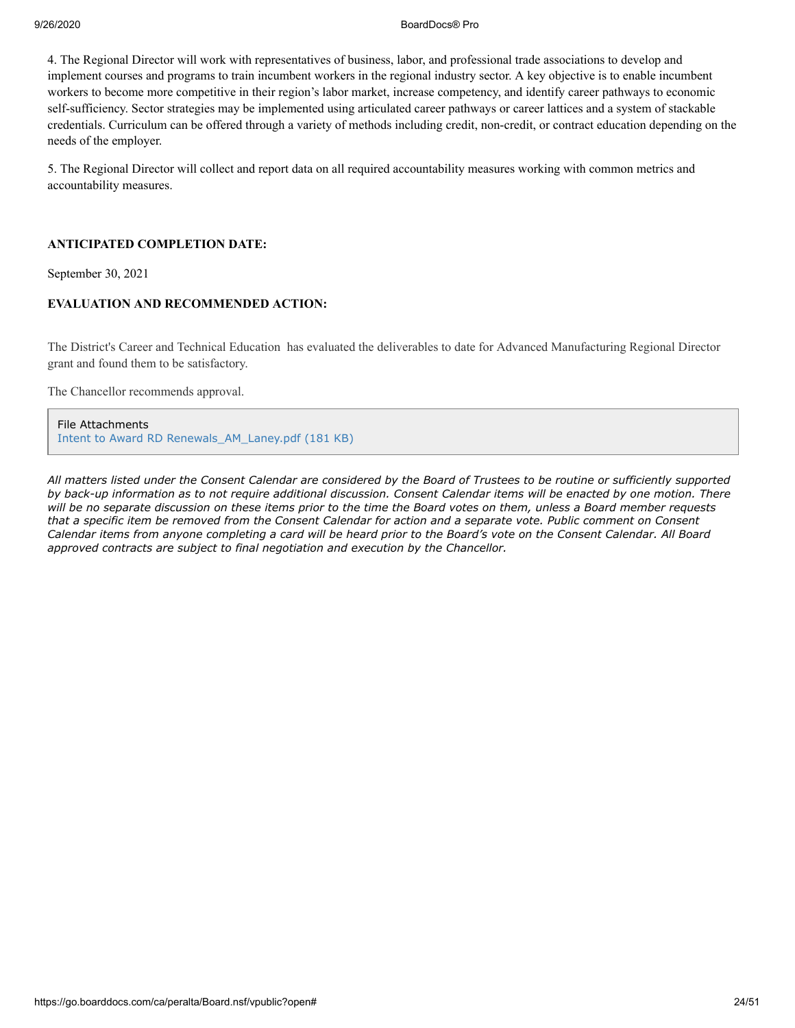#### 9/26/2020 BoardDocs® Pro

4. The Regional Director will work with representatives of business, labor, and professional trade associations to develop and implement courses and programs to train incumbent workers in the regional industry sector. A key objective is to enable incumbent workers to become more competitive in their region's labor market, increase competency, and identify career pathways to economic self-sufficiency. Sector strategies may be implemented using articulated career pathways or career lattices and a system of stackable credentials. Curriculum can be offered through a variety of methods including credit, non-credit, or contract education depending on the needs of the employer.

5. The Regional Director will collect and report data on all required accountability measures working with common metrics and accountability measures.

#### **ANTICIPATED COMPLETION DATE:**

September 30, 2021

#### **EVALUATION AND RECOMMENDED ACTION:**

The District's Career and Technical Education has evaluated the deliverables to date for Advanced Manufacturing Regional Director grant and found them to be satisfactory.

The Chancellor recommends approval.

File Attachments [Intent to Award RD Renewals\\_AM\\_Laney.pdf \(181 KB\)](https://go.boarddocs.com/ca/peralta/Board.nsf/files/BSV6C21436D3/$file/Intent%20to%20Award%20RD%20Renewals_AM_Laney.pdf)

*All matters listed under the Consent Calendar are considered by the Board of Trustees to be routine or sufficiently supported by back-up information as to not require additional discussion. Consent Calendar items will be enacted by one motion. There will be no separate discussion on these items prior to the time the Board votes on them, unless a Board member requests that a specific item be removed from the Consent Calendar for action and a separate vote. Public comment on Consent Calendar items from anyone completing a card will be heard prior to the Board's vote on the Consent Calendar. All Board approved contracts are subject to final negotiation and execution by the Chancellor.*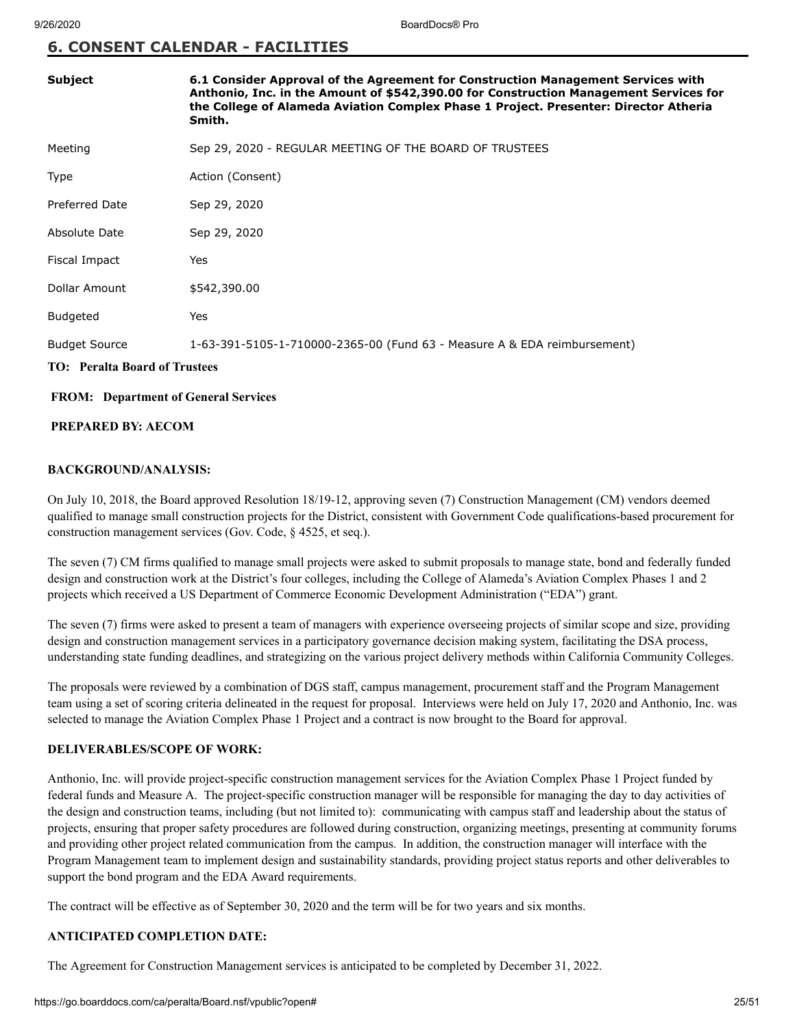#### **6. CONSENT CALENDAR - FACILITIES**

| <b>Subject</b>                       | 6.1 Consider Approval of the Agreement for Construction Management Services with<br>Anthonio, Inc. in the Amount of \$542,390.00 for Construction Management Services for<br>the College of Alameda Aviation Complex Phase 1 Project. Presenter: Director Atheria<br>Smith. |
|--------------------------------------|-----------------------------------------------------------------------------------------------------------------------------------------------------------------------------------------------------------------------------------------------------------------------------|
| Meeting                              | Sep 29, 2020 - REGULAR MEETING OF THE BOARD OF TRUSTEES                                                                                                                                                                                                                     |
| Type                                 | Action (Consent)                                                                                                                                                                                                                                                            |
| <b>Preferred Date</b>                | Sep 29, 2020                                                                                                                                                                                                                                                                |
| Absolute Date                        | Sep 29, 2020                                                                                                                                                                                                                                                                |
| Fiscal Impact                        | Yes                                                                                                                                                                                                                                                                         |
| Dollar Amount                        | \$542,390.00                                                                                                                                                                                                                                                                |
| <b>Budgeted</b>                      | Yes                                                                                                                                                                                                                                                                         |
| <b>Budget Source</b>                 | 1-63-391-5105-1-710000-2365-00 (Fund 63 - Measure A & EDA reimbursement)                                                                                                                                                                                                    |
| <b>TO: Peralta Board of Trustees</b> |                                                                                                                                                                                                                                                                             |

#### **FROM: Department of General Services**

#### **PREPARED BY: AECOM**

#### **BACKGROUND/ANALYSIS:**

On July 10, 2018, the Board approved Resolution 18/19-12, approving seven (7) Construction Management (CM) vendors deemed qualified to manage small construction projects for the District, consistent with Government Code qualifications-based procurement for construction management services (Gov. Code, § 4525, et seq.).

The seven (7) CM firms qualified to manage small projects were asked to submit proposals to manage state, bond and federally funded design and construction work at the District's four colleges, including the College of Alameda's Aviation Complex Phases 1 and 2 projects which received a US Department of Commerce Economic Development Administration ("EDA") grant.

The seven (7) firms were asked to present a team of managers with experience overseeing projects of similar scope and size, providing design and construction management services in a participatory governance decision making system, facilitating the DSA process, understanding state funding deadlines, and strategizing on the various project delivery methods within California Community Colleges.

The proposals were reviewed by a combination of DGS staff, campus management, procurement staff and the Program Management team using a set of scoring criteria delineated in the request for proposal. Interviews were held on July 17, 2020 and Anthonio, Inc. was selected to manage the Aviation Complex Phase 1 Project and a contract is now brought to the Board for approval.

#### **DELIVERABLES/SCOPE OF WORK:**

Anthonio, Inc. will provide project-specific construction management services for the Aviation Complex Phase 1 Project funded by federal funds and Measure A. The project-specific construction manager will be responsible for managing the day to day activities of the design and construction teams, including (but not limited to): communicating with campus staff and leadership about the status of projects, ensuring that proper safety procedures are followed during construction, organizing meetings, presenting at community forums and providing other project related communication from the campus. In addition, the construction manager will interface with the Program Management team to implement design and sustainability standards, providing project status reports and other deliverables to support the bond program and the EDA Award requirements.

The contract will be effective as of September 30, 2020 and the term will be for two years and six months.

#### **ANTICIPATED COMPLETION DATE:**

The Agreement for Construction Management services is anticipated to be completed by December 31, 2022.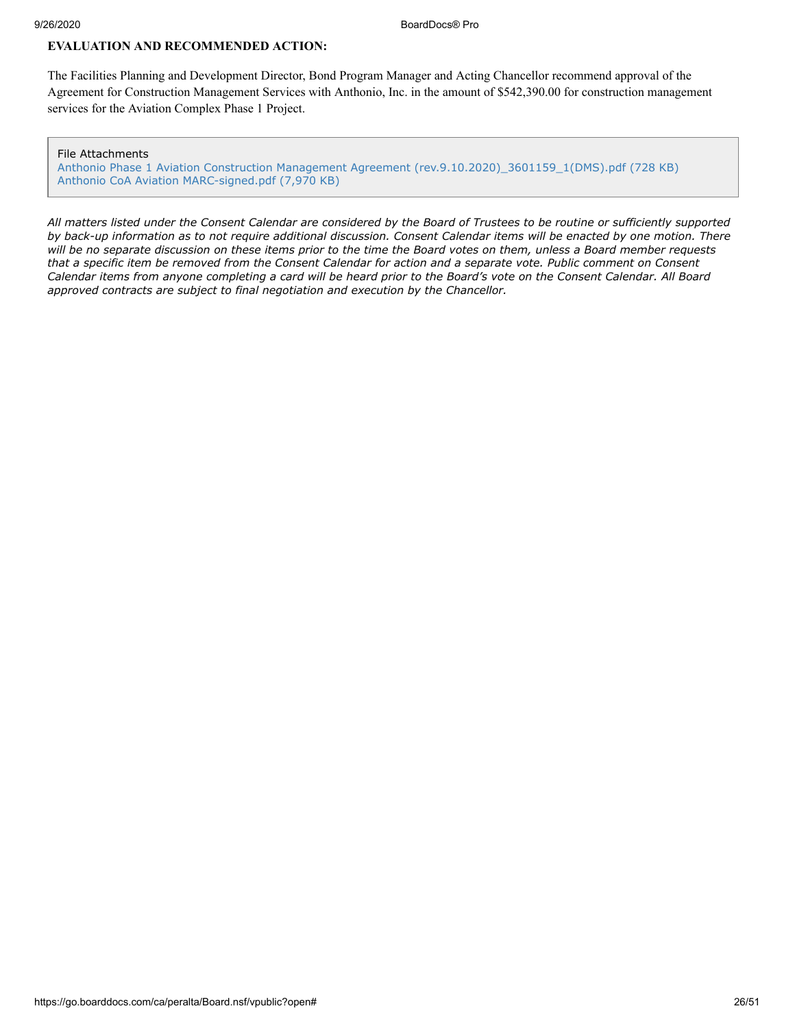#### **EVALUATION AND RECOMMENDED ACTION:**

The Facilities Planning and Development Director, Bond Program Manager and Acting Chancellor recommend approval of the Agreement for Construction Management Services with Anthonio, Inc. in the amount of \$542,390.00 for construction management services for the Aviation Complex Phase 1 Project.

File Attachments

Anthonio Phase 1 Aviation Construction Management Agreement (rev.9.10.2020) 3601159 1(DMS).pdf (728 KB) [Anthonio CoA Aviation MARC-signed.pdf \(7,970 KB\)](https://go.boarddocs.com/ca/peralta/Board.nsf/files/BTRUSH7D74F0/$file/Anthonio%20CoA%20Aviation%20MARC-signed.pdf)

*All matters listed under the Consent Calendar are considered by the Board of Trustees to be routine or sufficiently supported by back-up information as to not require additional discussion. Consent Calendar items will be enacted by one motion. There will be no separate discussion on these items prior to the time the Board votes on them, unless a Board member requests that a specific item be removed from the Consent Calendar for action and a separate vote. Public comment on Consent Calendar items from anyone completing a card will be heard prior to the Board's vote on the Consent Calendar. All Board approved contracts are subject to final negotiation and execution by the Chancellor.*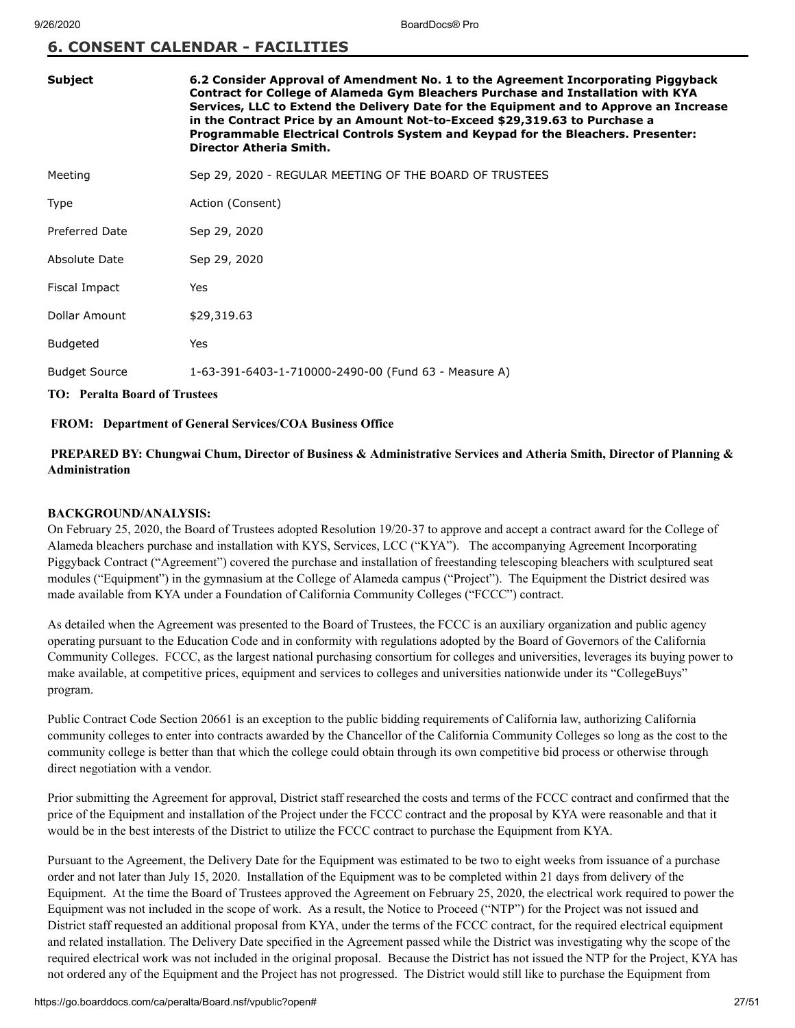### **6. CONSENT CALENDAR - FACILITIES**

| <b>Subject</b> | 6.2 Consider Approval of Amendment No. 1 to the Agreement Incorporating Piggyback<br>Contract for College of Alameda Gym Bleachers Purchase and Installation with KYA<br>Services, LLC to Extend the Delivery Date for the Equipment and to Approve an Increase<br>in the Contract Price by an Amount Not-to-Exceed \$29,319.63 to Purchase a<br>Programmable Electrical Controls System and Keypad for the Bleachers. Presenter:<br>Director Atheria Smith. |
|----------------|--------------------------------------------------------------------------------------------------------------------------------------------------------------------------------------------------------------------------------------------------------------------------------------------------------------------------------------------------------------------------------------------------------------------------------------------------------------|
| Meeting        | Sep 29, 2020 - REGULAR MEETING OF THE BOARD OF TRUSTEES                                                                                                                                                                                                                                                                                                                                                                                                      |
| Type           | Action (Consent)                                                                                                                                                                                                                                                                                                                                                                                                                                             |
| Preferred Date | Sep 29, 2020                                                                                                                                                                                                                                                                                                                                                                                                                                                 |

| Absolute Date | Sep 29, 2020 |
|---------------|--------------|
| Fiscal Impact | Yes          |

Dollar Amount \$29,319.63

Budgeted Yes

Budget Source 1-63-391-6403-1-710000-2490-00 (Fund 63 - Measure A)

#### **TO: Peralta Board of Trustees**

#### **FROM: Department of General Services/COA Business Office**

#### **PREPARED BY: Chungwai Chum, Director of Business & Administrative Services and Atheria Smith, Director of Planning & Administration**

#### **BACKGROUND/ANALYSIS:**

On February 25, 2020, the Board of Trustees adopted Resolution 19/20-37 to approve and accept a contract award for the College of Alameda bleachers purchase and installation with KYS, Services, LCC ("KYA"). The accompanying Agreement Incorporating Piggyback Contract ("Agreement") covered the purchase and installation of freestanding telescoping bleachers with sculptured seat modules ("Equipment") in the gymnasium at the College of Alameda campus ("Project"). The Equipment the District desired was made available from KYA under a Foundation of California Community Colleges ("FCCC") contract.

As detailed when the Agreement was presented to the Board of Trustees, the FCCC is an auxiliary organization and public agency operating pursuant to the Education Code and in conformity with regulations adopted by the Board of Governors of the California Community Colleges. FCCC, as the largest national purchasing consortium for colleges and universities, leverages its buying power to make available, at competitive prices, equipment and services to colleges and universities nationwide under its "CollegeBuys" program.

Public Contract Code Section 20661 is an exception to the public bidding requirements of California law, authorizing California community colleges to enter into contracts awarded by the Chancellor of the California Community Colleges so long as the cost to the community college is better than that which the college could obtain through its own competitive bid process or otherwise through direct negotiation with a vendor.

Prior submitting the Agreement for approval, District staff researched the costs and terms of the FCCC contract and confirmed that the price of the Equipment and installation of the Project under the FCCC contract and the proposal by KYA were reasonable and that it would be in the best interests of the District to utilize the FCCC contract to purchase the Equipment from KYA.

Pursuant to the Agreement, the Delivery Date for the Equipment was estimated to be two to eight weeks from issuance of a purchase order and not later than July 15, 2020. Installation of the Equipment was to be completed within 21 days from delivery of the Equipment. At the time the Board of Trustees approved the Agreement on February 25, 2020, the electrical work required to power the Equipment was not included in the scope of work. As a result, the Notice to Proceed ("NTP") for the Project was not issued and District staff requested an additional proposal from KYA, under the terms of the FCCC contract, for the required electrical equipment and related installation. The Delivery Date specified in the Agreement passed while the District was investigating why the scope of the required electrical work was not included in the original proposal. Because the District has not issued the NTP for the Project, KYA has not ordered any of the Equipment and the Project has not progressed. The District would still like to purchase the Equipment from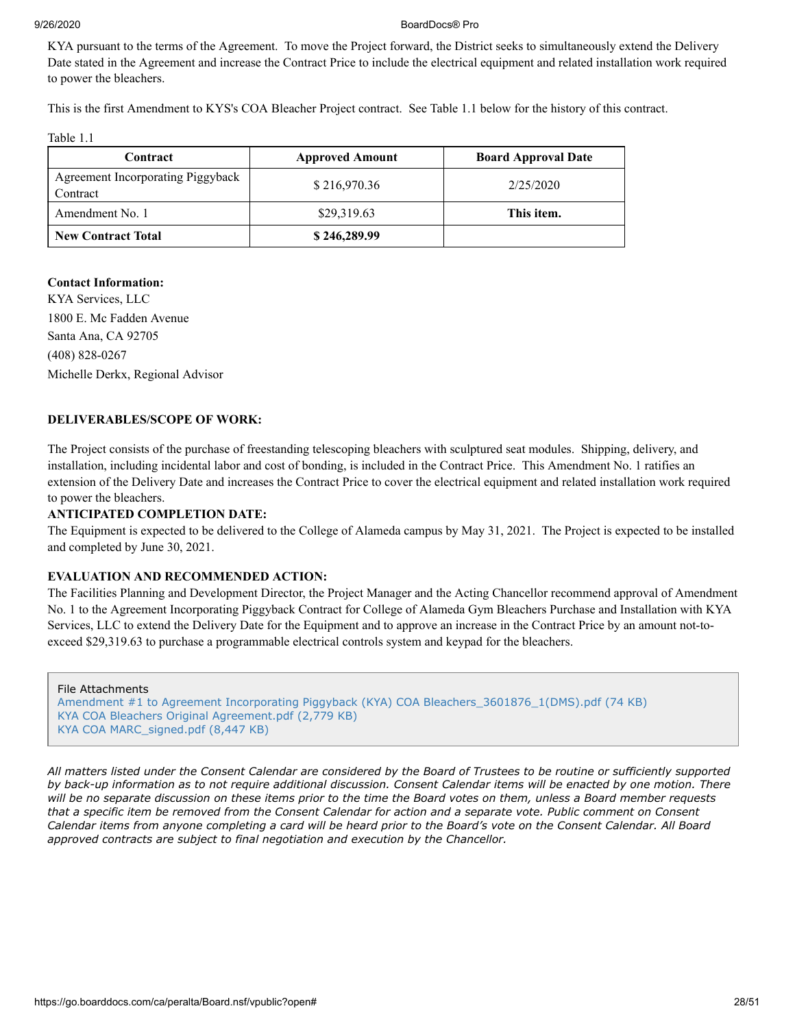#### 9/26/2020 BoardDocs® Pro

KYA pursuant to the terms of the Agreement. To move the Project forward, the District seeks to simultaneously extend the Delivery Date stated in the Agreement and increase the Contract Price to include the electrical equipment and related installation work required to power the bleachers.

This is the first Amendment to KYS's COA Bleacher Project contract. See Table 1.1 below for the history of this contract.

#### Table 1.1

| Contract                                      | <b>Approved Amount</b> | <b>Board Approval Date</b> |
|-----------------------------------------------|------------------------|----------------------------|
| Agreement Incorporating Piggyback<br>Contract | \$216,970.36           | 2/25/2020                  |
| Amendment No. 1                               | \$29,319.63            | This item.                 |
| <b>New Contract Total</b>                     | \$246,289.99           |                            |

#### **Contact Information:**

KYA Services, LLC 1800 E. Mc Fadden Avenue Santa Ana, CA 92705 (408) 828-0267 Michelle Derkx, Regional Advisor

#### **DELIVERABLES/SCOPE OF WORK:**

The Project consists of the purchase of freestanding telescoping bleachers with sculptured seat modules. Shipping, delivery, and installation, including incidental labor and cost of bonding, is included in the Contract Price. This Amendment No. 1 ratifies an extension of the Delivery Date and increases the Contract Price to cover the electrical equipment and related installation work required to power the bleachers.

#### **ANTICIPATED COMPLETION DATE:**

The Equipment is expected to be delivered to the College of Alameda campus by May 31, 2021. The Project is expected to be installed and completed by June 30, 2021.

#### **EVALUATION AND RECOMMENDED ACTION:**

The Facilities Planning and Development Director, the Project Manager and the Acting Chancellor recommend approval of Amendment No. 1 to the Agreement Incorporating Piggyback Contract for College of Alameda Gym Bleachers Purchase and Installation with KYA Services, LLC to extend the Delivery Date for the Equipment and to approve an increase in the Contract Price by an amount not-toexceed \$29,319.63 to purchase a programmable electrical controls system and keypad for the bleachers.

File Attachments [Amendment #1 to Agreement Incorporating Piggyback \(KYA\) COA Bleachers\\_3601876\\_1\(DMS\).pdf \(74 KB\)](https://go.boarddocs.com/ca/peralta/Board.nsf/files/BTJ3RA081765/$file/Amendment%20%231%20to%20Agreement%20Incorporating%20Piggyback%20(KYA)%20COA%20Bleachers_3601876_1(DMS).pdf) [KYA COA Bleachers Original Agreement.pdf \(2,779 KB\)](https://go.boarddocs.com/ca/peralta/Board.nsf/files/BTJ3RH081E9C/$file/KYA%20COA%20Bleachers%20Original%20Agreement.pdf) [KYA COA MARC\\_signed.pdf \(8,447 KB\)](https://go.boarddocs.com/ca/peralta/Board.nsf/files/BTS4EF0B304D/$file/KYA%20COA%20MARC_signed.pdf)

*All matters listed under the Consent Calendar are considered by the Board of Trustees to be routine or sufficiently supported by back-up information as to not require additional discussion. Consent Calendar items will be enacted by one motion. There will be no separate discussion on these items prior to the time the Board votes on them, unless a Board member requests that a specific item be removed from the Consent Calendar for action and a separate vote. Public comment on Consent Calendar items from anyone completing a card will be heard prior to the Board's vote on the Consent Calendar. All Board approved contracts are subject to final negotiation and execution by the Chancellor.*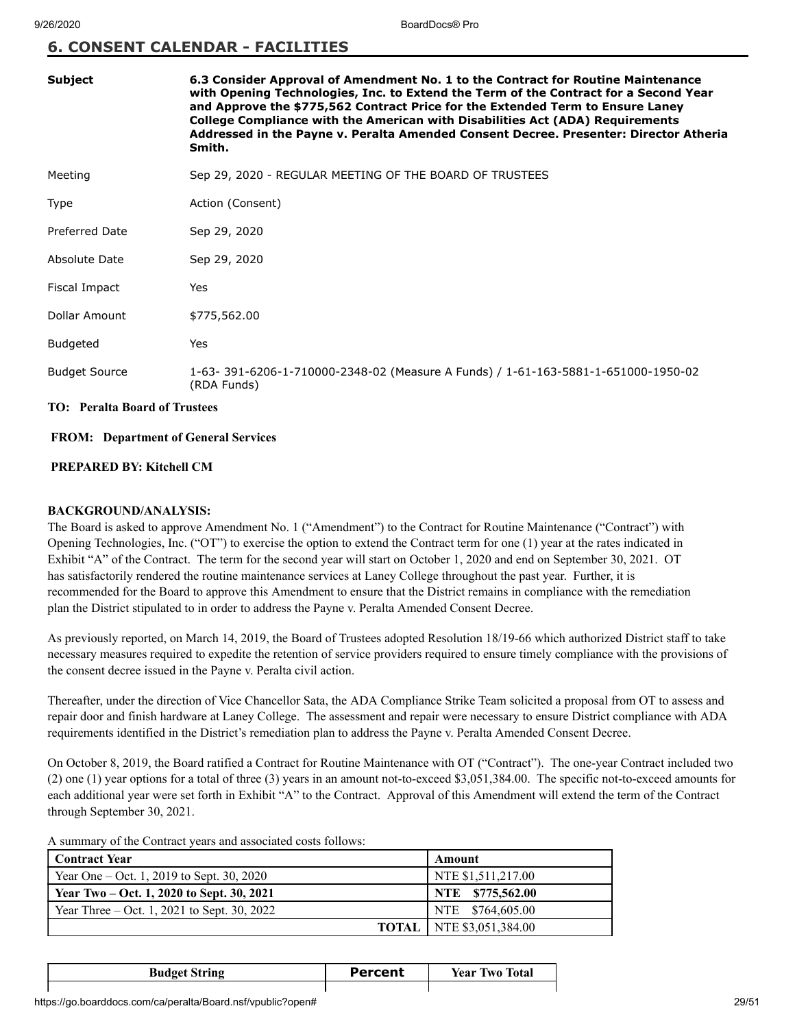#### **6. CONSENT CALENDAR - FACILITIES**

| <b>Subject</b>                       | 6.3 Consider Approval of Amendment No. 1 to the Contract for Routine Maintenance<br>with Opening Technologies, Inc. to Extend the Term of the Contract for a Second Year<br>and Approve the \$775,562 Contract Price for the Extended Term to Ensure Laney<br>College Compliance with the American with Disabilities Act (ADA) Requirements<br>Addressed in the Payne v. Peralta Amended Consent Decree. Presenter: Director Atheria<br>Smith. |
|--------------------------------------|------------------------------------------------------------------------------------------------------------------------------------------------------------------------------------------------------------------------------------------------------------------------------------------------------------------------------------------------------------------------------------------------------------------------------------------------|
| Meeting                              | Sep 29, 2020 - REGULAR MEETING OF THE BOARD OF TRUSTEES                                                                                                                                                                                                                                                                                                                                                                                        |
| Type                                 | Action (Consent)                                                                                                                                                                                                                                                                                                                                                                                                                               |
| <b>Preferred Date</b>                | Sep 29, 2020                                                                                                                                                                                                                                                                                                                                                                                                                                   |
| Absolute Date                        | Sep 29, 2020                                                                                                                                                                                                                                                                                                                                                                                                                                   |
| Fiscal Impact                        | Yes                                                                                                                                                                                                                                                                                                                                                                                                                                            |
| Dollar Amount                        | \$775,562.00                                                                                                                                                                                                                                                                                                                                                                                                                                   |
| <b>Budgeted</b>                      | Yes                                                                                                                                                                                                                                                                                                                                                                                                                                            |
| <b>Budget Source</b>                 | 1-63-391-6206-1-710000-2348-02 (Measure A Funds) / 1-61-163-5881-1-651000-1950-02<br>(RDA Funds)                                                                                                                                                                                                                                                                                                                                               |
| <b>TO: Peralta Board of Trustees</b> |                                                                                                                                                                                                                                                                                                                                                                                                                                                |

#### **FROM: Department of General Services**

#### **PREPARED BY: Kitchell CM**

#### **BACKGROUND/ANALYSIS:**

The Board is asked to approve Amendment No. 1 ("Amendment") to the Contract for Routine Maintenance ("Contract") with Opening Technologies, Inc. ("OT") to exercise the option to extend the Contract term for one (1) year at the rates indicated in Exhibit "A" of the Contract. The term for the second year will start on October 1, 2020 and end on September 30, 2021. OT has satisfactorily rendered the routine maintenance services at Laney College throughout the past year. Further, it is recommended for the Board to approve this Amendment to ensure that the District remains in compliance with the remediation plan the District stipulated to in order to address the Payne v. Peralta Amended Consent Decree.

As previously reported, on March 14, 2019, the Board of Trustees adopted Resolution 18/19-66 which authorized District staff to take necessary measures required to expedite the retention of service providers required to ensure timely compliance with the provisions of the consent decree issued in the Payne v. Peralta civil action.

Thereafter, under the direction of Vice Chancellor Sata, the ADA Compliance Strike Team solicited a proposal from OT to assess and repair door and finish hardware at Laney College. The assessment and repair were necessary to ensure District compliance with ADA requirements identified in the District's remediation plan to address the Payne v. Peralta Amended Consent Decree.

On October 8, 2019, the Board ratified a Contract for Routine Maintenance with OT ("Contract"). The one-year Contract included two (2) one (1) year options for a total of three (3) years in an amount not-to-exceed \$3,051,384.00. The specific not-to-exceed amounts for each additional year were set forth in Exhibit "A" to the Contract. Approval of this Amendment will extend the term of the Contract through September 30, 2021.

A summary of the Contract years and associated costs follows:

| Contract Year                                 | Amount                            |
|-----------------------------------------------|-----------------------------------|
| Year One – Oct. 1, 2019 to Sept. 30, 2020     | NTE \$1,511,217.00                |
| Year Two – Oct. 1, 2020 to Sept. 30, 2021     | NTE \$775,562.00                  |
| Year Three $-$ Oct. 1, 2021 to Sept. 30, 2022 | NTE \$764,605.00                  |
|                                               | <b>TOTAL</b>   NTE \$3,051,384.00 |

| <b>Budget String</b> | Percent | <b>Year Two Total</b> |
|----------------------|---------|-----------------------|
|                      |         |                       |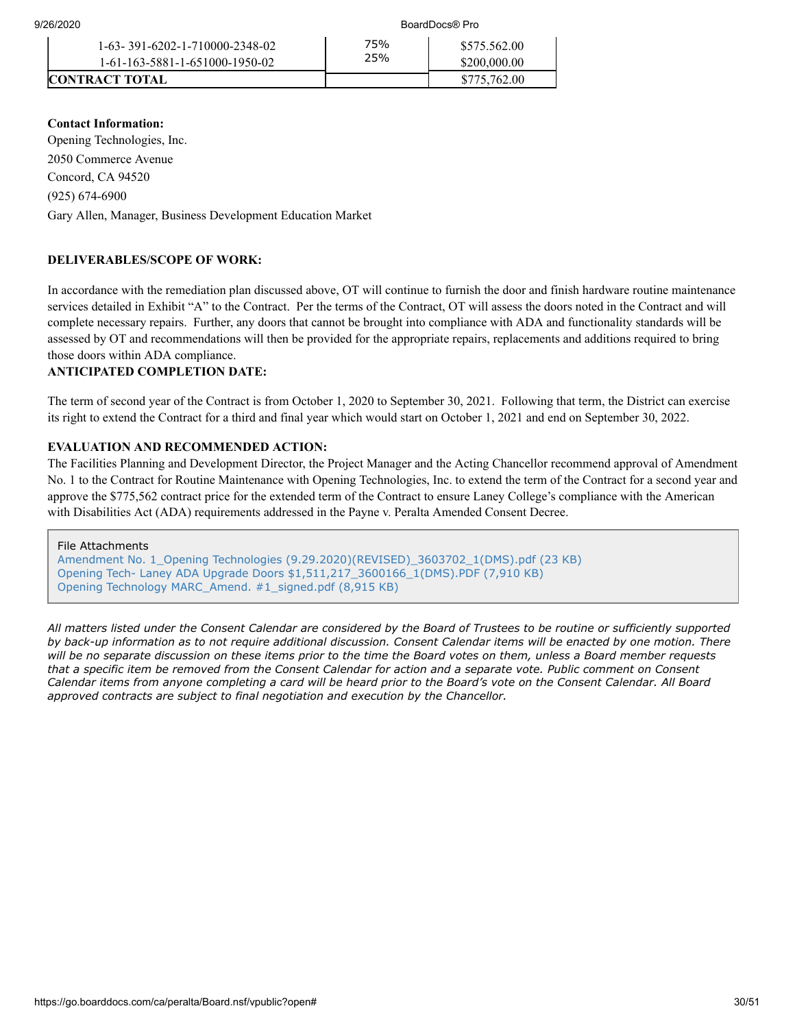| 9/26/2020 |
|-----------|
|-----------|

BoardDocs® Pro

| 1-63-391-6202-1-710000-2348-02<br>1-61-163-5881-1-651000-1950-02 | 25% | \$575.562.00<br>\$200,000.00 |
|------------------------------------------------------------------|-----|------------------------------|
| <b>CONTRACT TOTAL</b>                                            |     | \$775,762.00                 |

## **Contact Information:** Opening Technologies, Inc. 2050 Commerce Avenue Concord, CA 94520 (925) 674-6900 Gary Allen, Manager, Business Development Education Market

#### **DELIVERABLES/SCOPE OF WORK:**

In accordance with the remediation plan discussed above, OT will continue to furnish the door and finish hardware routine maintenance services detailed in Exhibit "A" to the Contract. Per the terms of the Contract, OT will assess the doors noted in the Contract and will complete necessary repairs. Further, any doors that cannot be brought into compliance with ADA and functionality standards will be assessed by OT and recommendations will then be provided for the appropriate repairs, replacements and additions required to bring those doors within ADA compliance.

#### **ANTICIPATED COMPLETION DATE:**

The term of second year of the Contract is from October 1, 2020 to September 30, 2021. Following that term, the District can exercise its right to extend the Contract for a third and final year which would start on October 1, 2021 and end on September 30, 2022.

#### **EVALUATION AND RECOMMENDED ACTION:**

The Facilities Planning and Development Director, the Project Manager and the Acting Chancellor recommend approval of Amendment No. 1 to the Contract for Routine Maintenance with Opening Technologies, Inc. to extend the term of the Contract for a second year and approve the \$775,562 contract price for the extended term of the Contract to ensure Laney College's compliance with the American with Disabilities Act (ADA) requirements addressed in the Payne v. Peralta Amended Consent Decree.

#### File Attachments

[Amendment No. 1\\_Opening Technologies \(9.29.2020\)\(REVISED\)\\_3603702\\_1\(DMS\).pdf \(23 KB\)](https://go.boarddocs.com/ca/peralta/Board.nsf/files/BTRUB97B38AE/$file/Amendment%20No.%201_Opening%20Technologies%20(9.29.2020)(REVISED)_3603702_1(DMS).pdf) [Opening Tech- Laney ADA Upgrade Doors \\$1,511,217\\_3600166\\_1\(DMS\).PDF \(7,910 KB\)](https://go.boarddocs.com/ca/peralta/Board.nsf/files/BTRUBS7B4CA2/$file/Opening%20Tech-%20Laney%20ADA%20Upgrade%20Doors%20%241%2C511%2C217_3600166_1(DMS).PDF) [Opening Technology MARC\\_Amend. #1\\_signed.pdf \(8,915 KB\)](https://go.boarddocs.com/ca/peralta/Board.nsf/files/BTSTHJ777200/$file/Opening%20Technology%20MARC_Amend.%20%231_signed.pdf)

*All matters listed under the Consent Calendar are considered by the Board of Trustees to be routine or sufficiently supported by back-up information as to not require additional discussion. Consent Calendar items will be enacted by one motion. There will be no separate discussion on these items prior to the time the Board votes on them, unless a Board member requests that a specific item be removed from the Consent Calendar for action and a separate vote. Public comment on Consent Calendar items from anyone completing a card will be heard prior to the Board's vote on the Consent Calendar. All Board approved contracts are subject to final negotiation and execution by the Chancellor.*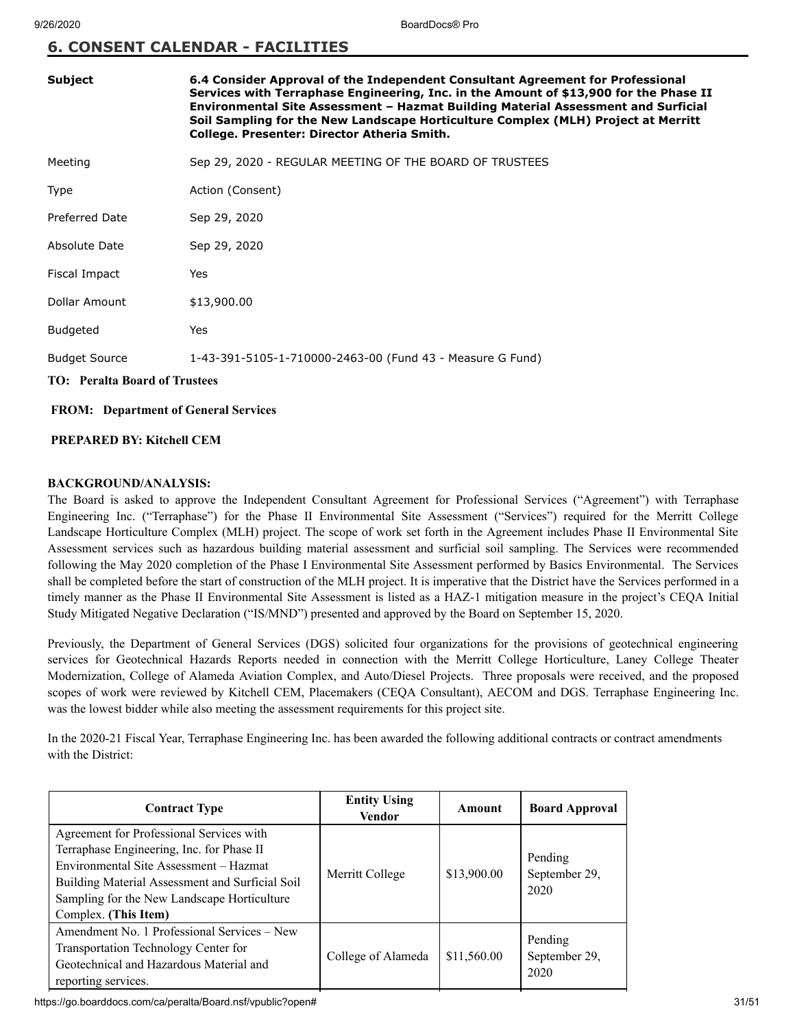### **6. CONSENT CALENDAR - FACILITIES**

| <b>Subject</b>                       | 6.4 Consider Approval of the Independent Consultant Agreement for Professional<br>Services with Terraphase Engineering, Inc. in the Amount of \$13,900 for the Phase II<br>Environmental Site Assessment - Hazmat Building Material Assessment and Surficial<br>Soil Sampling for the New Landscape Horticulture Complex (MLH) Project at Merritt<br>College. Presenter: Director Atheria Smith. |
|--------------------------------------|--------------------------------------------------------------------------------------------------------------------------------------------------------------------------------------------------------------------------------------------------------------------------------------------------------------------------------------------------------------------------------------------------|
| Meeting                              | Sep 29, 2020 - REGULAR MEETING OF THE BOARD OF TRUSTEES                                                                                                                                                                                                                                                                                                                                          |
| Type                                 | Action (Consent)                                                                                                                                                                                                                                                                                                                                                                                 |
| <b>Preferred Date</b>                | Sep 29, 2020                                                                                                                                                                                                                                                                                                                                                                                     |
| Absolute Date                        | Sep 29, 2020                                                                                                                                                                                                                                                                                                                                                                                     |
| Fiscal Impact                        | Yes                                                                                                                                                                                                                                                                                                                                                                                              |
| Dollar Amount                        | \$13,900.00                                                                                                                                                                                                                                                                                                                                                                                      |
| <b>Budgeted</b>                      | Yes                                                                                                                                                                                                                                                                                                                                                                                              |
| <b>Budget Source</b>                 | 1-43-391-5105-1-710000-2463-00 (Fund 43 - Measure G Fund)                                                                                                                                                                                                                                                                                                                                        |
| <b>TO: Peralta Board of Trustees</b> |                                                                                                                                                                                                                                                                                                                                                                                                  |

 **FROM: Department of General Services**

#### **PREPARED BY: Kitchell CEM**

#### **BACKGROUND/ANALYSIS:**

The Board is asked to approve the Independent Consultant Agreement for Professional Services ("Agreement") with Terraphase Engineering Inc. ("Terraphase") for the Phase II Environmental Site Assessment ("Services") required for the Merritt College Landscape Horticulture Complex (MLH) project. The scope of work set forth in the Agreement includes Phase II Environmental Site Assessment services such as hazardous building material assessment and surficial soil sampling. The Services were recommended following the May 2020 completion of the Phase I Environmental Site Assessment performed by Basics Environmental. The Services shall be completed before the start of construction of the MLH project. It is imperative that the District have the Services performed in a timely manner as the Phase II Environmental Site Assessment is listed as a HAZ-1 mitigation measure in the project's CEQA Initial Study Mitigated Negative Declaration ("IS/MND") presented and approved by the Board on September 15, 2020.

Previously, the Department of General Services (DGS) solicited four organizations for the provisions of geotechnical engineering services for Geotechnical Hazards Reports needed in connection with the Merritt College Horticulture, Laney College Theater Modernization, College of Alameda Aviation Complex, and Auto/Diesel Projects. Three proposals were received, and the proposed scopes of work were reviewed by Kitchell CEM, Placemakers (CEQA Consultant), AECOM and DGS. Terraphase Engineering Inc. was the lowest bidder while also meeting the assessment requirements for this project site.

In the 2020-21 Fiscal Year, Terraphase Engineering Inc. has been awarded the following additional contracts or contract amendments with the District:

| <b>Contract Type</b>                                                                                                                                                                                                                                      | <b>Entity Using</b><br>Vendor | Amount      | <b>Board Approval</b>            |
|-----------------------------------------------------------------------------------------------------------------------------------------------------------------------------------------------------------------------------------------------------------|-------------------------------|-------------|----------------------------------|
| Agreement for Professional Services with<br>Terraphase Engineering, Inc. for Phase II<br>Environmental Site Assessment – Hazmat<br>Building Material Assessment and Surficial Soil<br>Sampling for the New Landscape Horticulture<br>Complex. (This Item) | Merritt College               | \$13,900.00 | Pending<br>September 29,<br>2020 |
| Amendment No. 1 Professional Services – New<br>Transportation Technology Center for<br>Geotechnical and Hazardous Material and<br>reporting services.                                                                                                     | College of Alameda            | \$11,560.00 | Pending<br>September 29,<br>2020 |

https://go.boarddocs.com/ca/peralta/Board.nsf/vpublic?open# 31/51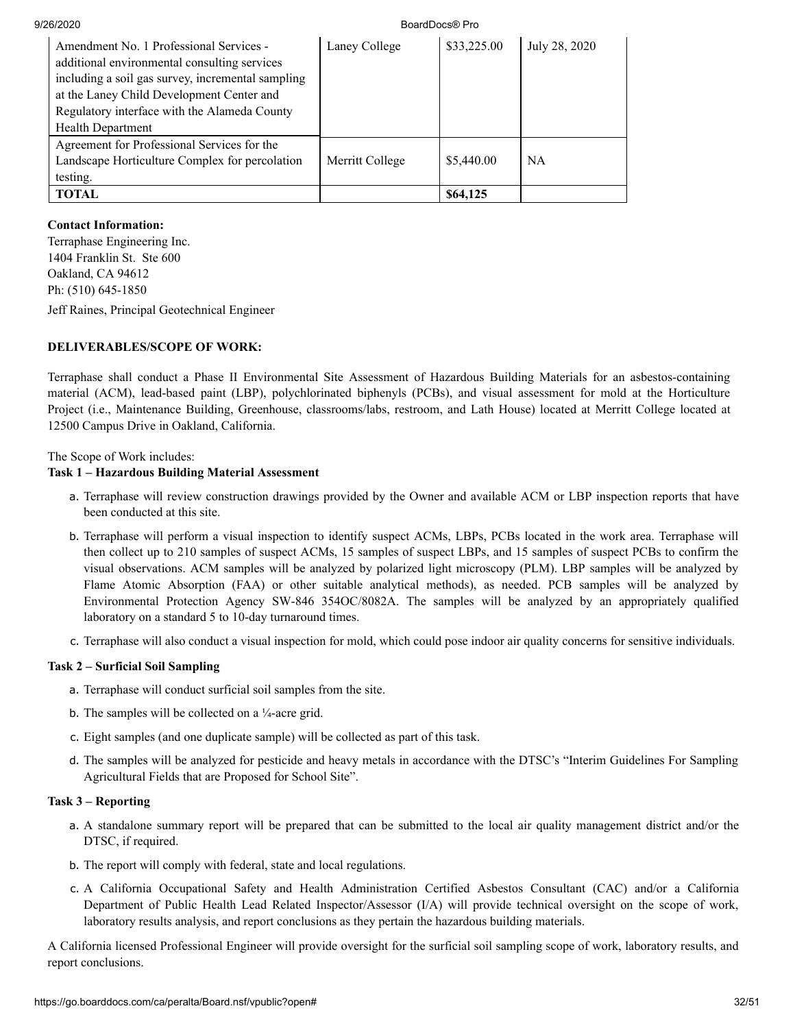| 9/26/2020                                                                                                                                                                                                                                                             |                 | BoardDocs® Pro |               |
|-----------------------------------------------------------------------------------------------------------------------------------------------------------------------------------------------------------------------------------------------------------------------|-----------------|----------------|---------------|
| Amendment No. 1 Professional Services -<br>additional environmental consulting services<br>including a soil gas survey, incremental sampling<br>at the Laney Child Development Center and<br>Regulatory interface with the Alameda County<br><b>Health Department</b> | Laney College   | \$33,225.00    | July 28, 2020 |
| Agreement for Professional Services for the<br>Landscape Horticulture Complex for percolation<br>testing.                                                                                                                                                             | Merritt College | \$5,440.00     | <b>NA</b>     |
| TOTAL                                                                                                                                                                                                                                                                 |                 | \$64,125       |               |

#### **Contact Information:**

Terraphase Engineering Inc. 1404 Franklin St. Ste 600 Oakland, CA 94612 Ph: (510) 645-1850

Jeff Raines, Principal Geotechnical Engineer

#### **DELIVERABLES/SCOPE OF WORK:**

Terraphase shall conduct a Phase II Environmental Site Assessment of Hazardous Building Materials for an asbestos‐containing material (ACM), lead‐based paint (LBP), polychlorinated biphenyls (PCBs), and visual assessment for mold at the Horticulture Project (i.e., Maintenance Building, Greenhouse, classrooms/labs, restroom, and Lath House) located at Merritt College located at 12500 Campus Drive in Oakland, California.

The Scope of Work includes:

#### **Task 1 – Hazardous Building Material Assessment**

- a. Terraphase will review construction drawings provided by the Owner and available ACM or LBP inspection reports that have been conducted at this site.
- b. Terraphase will perform a visual inspection to identify suspect ACMs, LBPs, PCBs located in the work area. Terraphase will then collect up to 210 samples of suspect ACMs, 15 samples of suspect LBPs, and 15 samples of suspect PCBs to confirm the visual observations. ACM samples will be analyzed by polarized light microscopy (PLM). LBP samples will be analyzed by Flame Atomic Absorption (FAA) or other suitable analytical methods), as needed. PCB samples will be analyzed by Environmental Protection Agency SW‐846 354OC/8082A. The samples will be analyzed by an appropriately qualified laboratory on a standard 5 to 10‐day turnaround times.
- c. Terraphase will also conduct a visual inspection for mold, which could pose indoor air quality concerns for sensitive individuals.

#### **Task 2 – Surficial Soil Sampling**

- a. Terraphase will conduct surficial soil samples from the site.
- b. The samples will be collected on a  $\frac{1}{4}$ -acre grid.
- c. Eight samples (and one duplicate sample) will be collected as part of this task.
- d. The samples will be analyzed for pesticide and heavy metals in accordance with the DTSC's "Interim Guidelines For Sampling Agricultural Fields that are Proposed for School Site".

#### **Task 3 – Reporting**

- a. A standalone summary report will be prepared that can be submitted to the local air quality management district and/or the DTSC, if required.
- b. The report will comply with federal, state and local regulations.
- c. A California Occupational Safety and Health Administration Certified Asbestos Consultant (CAC) and/or a California Department of Public Health Lead Related Inspector/Assessor (I/A) will provide technical oversight on the scope of work, laboratory results analysis, and report conclusions as they pertain the hazardous building materials.

A California licensed Professional Engineer will provide oversight for the surficial soil sampling scope of work, laboratory results, and report conclusions.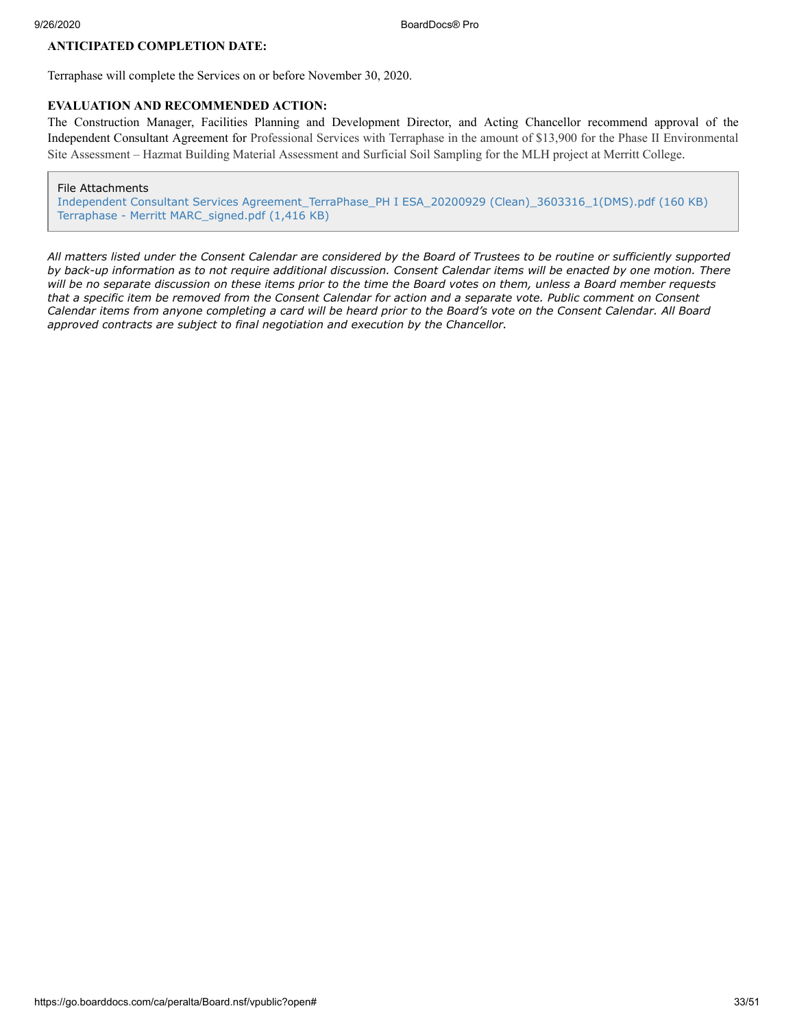#### **ANTICIPATED COMPLETION DATE:**

Terraphase will complete the Services on or before November 30, 2020.

#### **EVALUATION AND RECOMMENDED ACTION:**

The Construction Manager, Facilities Planning and Development Director, and Acting Chancellor recommend approval of the Independent Consultant Agreement for Professional Services with Terraphase in the amount of \$13,900 for the Phase II Environmental Site Assessment – Hazmat Building Material Assessment and Surficial Soil Sampling for the MLH project at Merritt College.

File Attachments

Independent Consultant Services Agreement TerraPhase\_PH I ESA\_20200929 (Clean)\_3603316\_1(DMS).pdf (160 KB) [Terraphase - Merritt MARC\\_signed.pdf \(1,416 KB\)](https://go.boarddocs.com/ca/peralta/Board.nsf/files/BTSVP981A8EC/$file/Terraphase%20-%20Merritt%20%20MARC_signed.pdf)

*All matters listed under the Consent Calendar are considered by the Board of Trustees to be routine or sufficiently supported by back-up information as to not require additional discussion. Consent Calendar items will be enacted by one motion. There will be no separate discussion on these items prior to the time the Board votes on them, unless a Board member requests that a specific item be removed from the Consent Calendar for action and a separate vote. Public comment on Consent Calendar items from anyone completing a card will be heard prior to the Board's vote on the Consent Calendar. All Board approved contracts are subject to final negotiation and execution by the Chancellor.*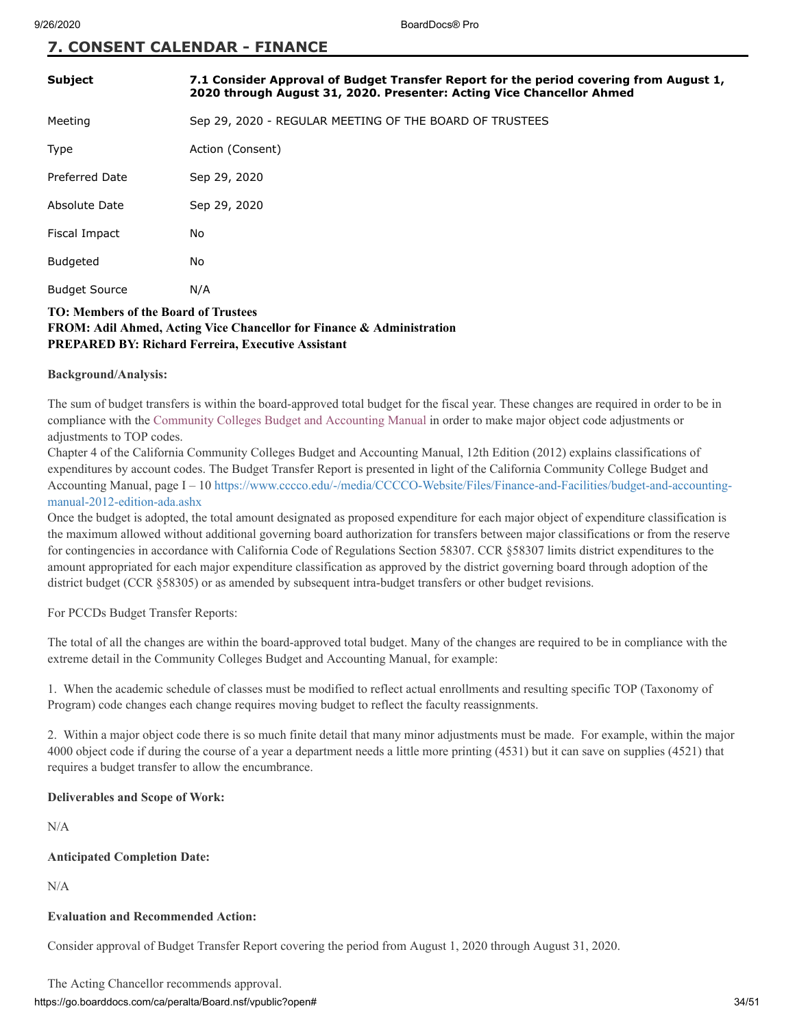### **7. CONSENT CALENDAR - FINANCE**

| <b>Subject</b>       | 7.1 Consider Approval of Budget Transfer Report for the period covering from August 1,<br>2020 through August 31, 2020. Presenter: Acting Vice Chancellor Ahmed |  |  |
|----------------------|-----------------------------------------------------------------------------------------------------------------------------------------------------------------|--|--|
| Meeting              | Sep 29, 2020 - REGULAR MEETING OF THE BOARD OF TRUSTEES                                                                                                         |  |  |
| Type                 | Action (Consent)                                                                                                                                                |  |  |
| Preferred Date       | Sep 29, 2020                                                                                                                                                    |  |  |
| Absolute Date        | Sep 29, 2020                                                                                                                                                    |  |  |
| Fiscal Impact        | No                                                                                                                                                              |  |  |
| <b>Budgeted</b>      | No                                                                                                                                                              |  |  |
| <b>Budget Source</b> | N/A                                                                                                                                                             |  |  |

#### **TO: Members of the Board of Trustees FROM: Adil Ahmed, Acting Vice Chancellor for Finance & Administration PREPARED BY: Richard Ferreira, Executive Assistant**

#### **Background/Analysis:**

The sum of budget transfers is within the board-approved total budget for the fiscal year. These changes are required in order to be in compliance with the [Community Colleges Budget and Accounting Manual](https://www.cccco.edu/-/media/CCCCO-Website/Files/Finance-and-Facilities/budget-and-accounting-manual-2012-edition-ada.ashx?la=en&hash=8D0B20749805F8DFEA3C3AFD2FDF0096A5361EB2) in order to make major object code adjustments or adjustments to TOP codes.

Chapter 4 of the California Community Colleges Budget and Accounting Manual, 12th Edition (2012) explains classifications of expenditures by account codes. The Budget Transfer Report is presented in light of the California Community College Budget and [Accounting Manual, page I – 10 https://www.cccco.edu/-/media/CCCCO-Website/Files/Finance-and-Facilities/budget-and-accounting](https://www.cccco.edu/-/media/CCCCO-Website/Files/Finance-and-Facilities/budget-and-accounting-manual-2012-edition-ada.ashx)manual-2012-edition-ada.ashx

Once the budget is adopted, the total amount designated as proposed expenditure for each major object of expenditure classification is the maximum allowed without additional governing board authorization for transfers between major classifications or from the reserve for contingencies in accordance with California Code of Regulations Section 58307. CCR §58307 limits district expenditures to the amount appropriated for each major expenditure classification as approved by the district governing board through adoption of the district budget (CCR §58305) or as amended by subsequent intra-budget transfers or other budget revisions.

For PCCDs Budget Transfer Reports:

The total of all the changes are within the board-approved total budget. Many of the changes are required to be in compliance with the extreme detail in the Community Colleges Budget and Accounting Manual, for example:

1. When the academic schedule of classes must be modified to reflect actual enrollments and resulting specific TOP (Taxonomy of Program) code changes each change requires moving budget to reflect the faculty reassignments.

2. Within a major object code there is so much finite detail that many minor adjustments must be made. For example, within the major 4000 object code if during the course of a year a department needs a little more printing (4531) but it can save on supplies (4521) that requires a budget transfer to allow the encumbrance.

#### **Deliverables and Scope of Work:**

N/A

#### **Anticipated Completion Date:**

N/A

#### **Evaluation and Recommended Action:**

Consider approval of Budget Transfer Report covering the period from August 1, 2020 through August 31, 2020.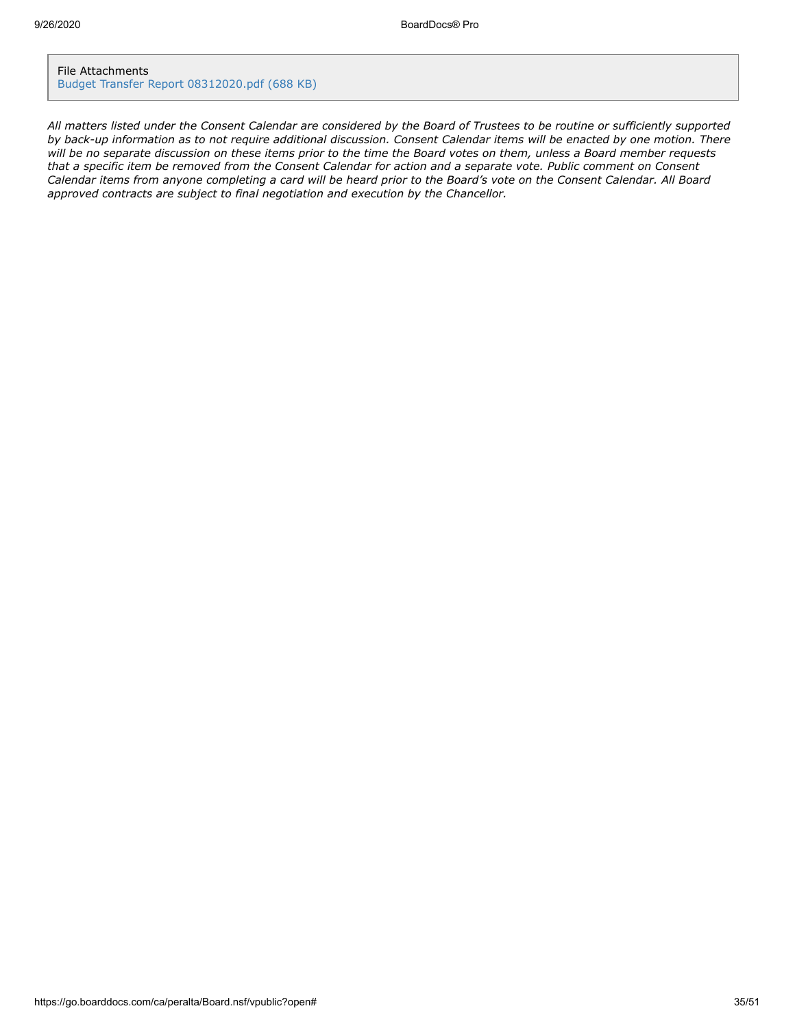File Attachments [Budget Transfer Report 08312020.pdf \(688 KB\)](https://go.boarddocs.com/ca/peralta/Board.nsf/files/BTD6A913F36B/$file/Budget%20Transfer%20Report%2008312020.pdf)

*All matters listed under the Consent Calendar are considered by the Board of Trustees to be routine or sufficiently supported by back-up information as to not require additional discussion. Consent Calendar items will be enacted by one motion. There will be no separate discussion on these items prior to the time the Board votes on them, unless a Board member requests that a specific item be removed from the Consent Calendar for action and a separate vote. Public comment on Consent Calendar items from anyone completing a card will be heard prior to the Board's vote on the Consent Calendar. All Board approved contracts are subject to final negotiation and execution by the Chancellor.*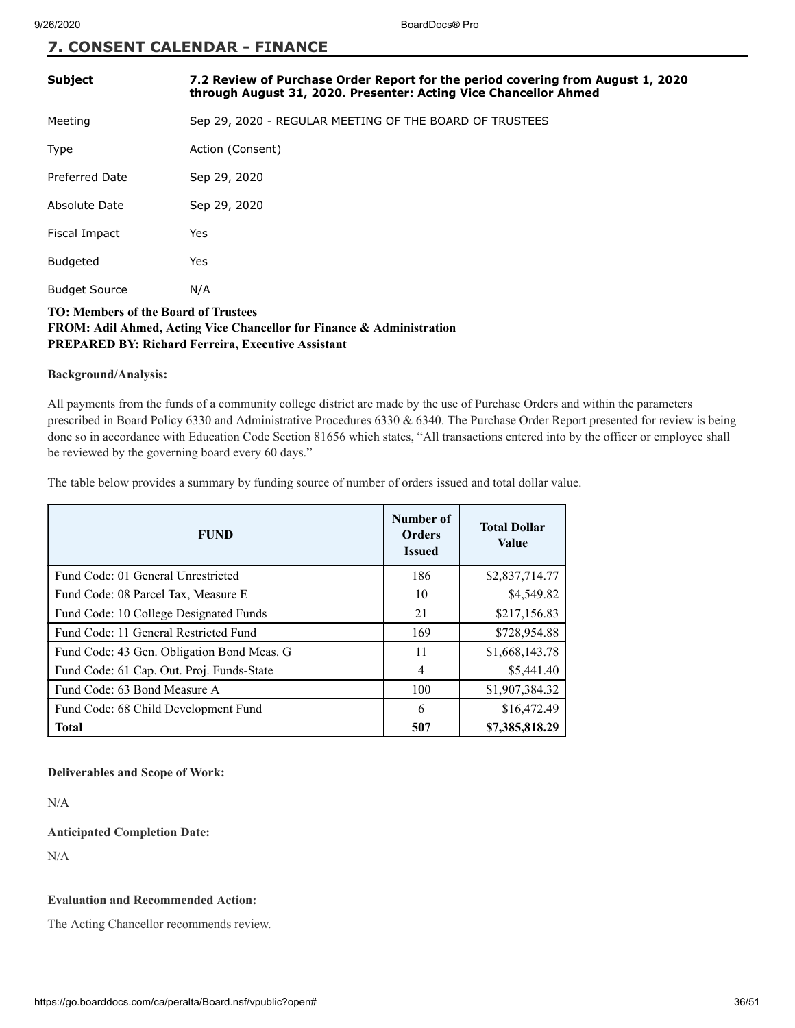#### **7. CONSENT CALENDAR - FINANCE**

| <b>Subject</b>        | 7.2 Review of Purchase Order Report for the period covering from August 1, 2020<br>through August 31, 2020. Presenter: Acting Vice Chancellor Ahmed |  |  |
|-----------------------|-----------------------------------------------------------------------------------------------------------------------------------------------------|--|--|
| Meeting               | Sep 29, 2020 - REGULAR MEETING OF THE BOARD OF TRUSTEES                                                                                             |  |  |
| Type                  | Action (Consent)                                                                                                                                    |  |  |
| <b>Preferred Date</b> | Sep 29, 2020                                                                                                                                        |  |  |
| Absolute Date         | Sep 29, 2020                                                                                                                                        |  |  |
| Fiscal Impact         | Yes                                                                                                                                                 |  |  |
| <b>Budgeted</b>       | Yes                                                                                                                                                 |  |  |
| <b>Budget Source</b>  | N/A                                                                                                                                                 |  |  |

#### **TO: Members of the Board of Trustees FROM: Adil Ahmed, Acting Vice Chancellor for Finance & Administration PREPARED BY: Richard Ferreira, Executive Assistant**

#### **Background/Analysis:**

All payments from the funds of a community college district are made by the use of Purchase Orders and within the parameters prescribed in Board Policy 6330 and Administrative Procedures 6330 & 6340. The Purchase Order Report presented for review is being done so in accordance with Education Code Section 81656 which states, "All transactions entered into by the officer or employee shall be reviewed by the governing board every 60 days."

The table below provides a summary by funding source of number of orders issued and total dollar value.

| <b>FUND</b>                                | Number of<br><b>Orders</b><br><b>Issued</b> | <b>Total Dollar</b><br><b>Value</b> |
|--------------------------------------------|---------------------------------------------|-------------------------------------|
| Fund Code: 01 General Unrestricted         | 186                                         | \$2,837,714.77                      |
| Fund Code: 08 Parcel Tax, Measure E        | 10                                          | \$4,549.82                          |
| Fund Code: 10 College Designated Funds     | 21                                          | \$217,156.83                        |
| Fund Code: 11 General Restricted Fund      | 169                                         | \$728,954.88                        |
| Fund Code: 43 Gen. Obligation Bond Meas. G | 11                                          | \$1,668,143.78                      |
| Fund Code: 61 Cap. Out. Proj. Funds-State  | $\overline{4}$                              | \$5,441.40                          |
| Fund Code: 63 Bond Measure A               | 100                                         | \$1,907,384.32                      |
| Fund Code: 68 Child Development Fund       | 6                                           | \$16,472.49                         |
| <b>Total</b>                               | 507                                         | \$7,385,818.29                      |

#### **Deliverables and Scope of Work:**

N/A

#### **Anticipated Completion Date:**

N/A

#### **Evaluation and Recommended Action:**

The Acting Chancellor recommends review.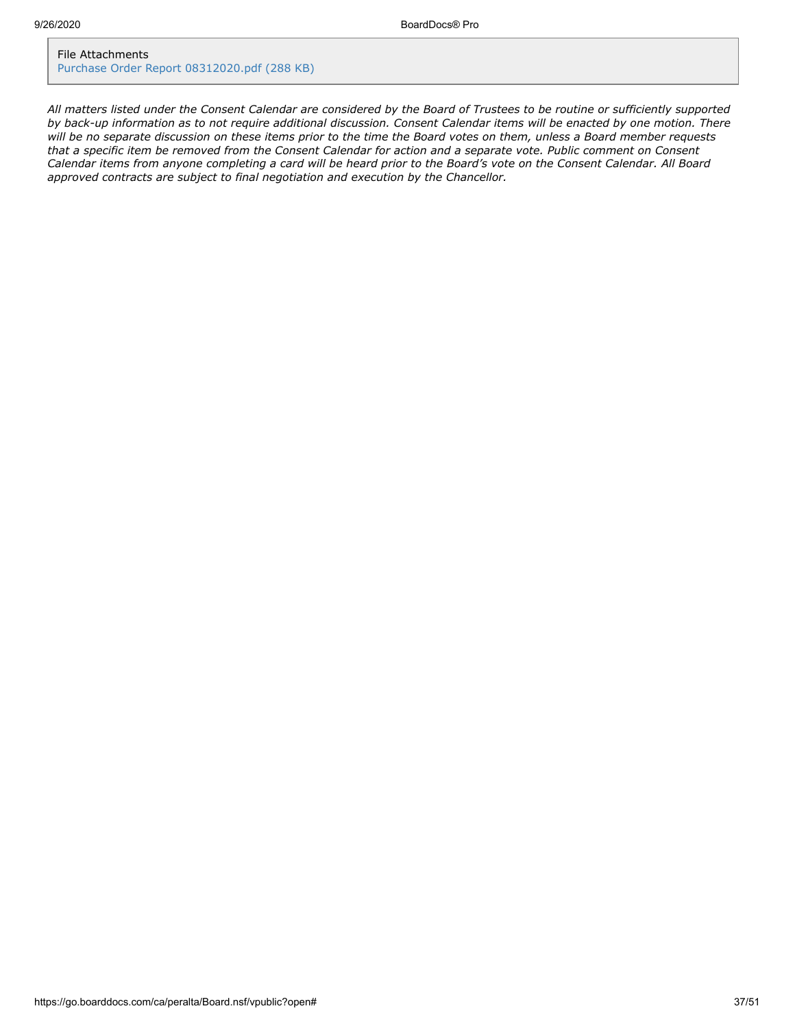#### File Attachments [Purchase Order Report 08312020.pdf \(288 KB\)](https://go.boarddocs.com/ca/peralta/Board.nsf/files/BTD6DD14686B/$file/Purchase%20Order%20Report%2008312020.pdf)

*All matters listed under the Consent Calendar are considered by the Board of Trustees to be routine or sufficiently supported by back-up information as to not require additional discussion. Consent Calendar items will be enacted by one motion. There will be no separate discussion on these items prior to the time the Board votes on them, unless a Board member requests that a specific item be removed from the Consent Calendar for action and a separate vote. Public comment on Consent Calendar items from anyone completing a card will be heard prior to the Board's vote on the Consent Calendar. All Board approved contracts are subject to final negotiation and execution by the Chancellor.*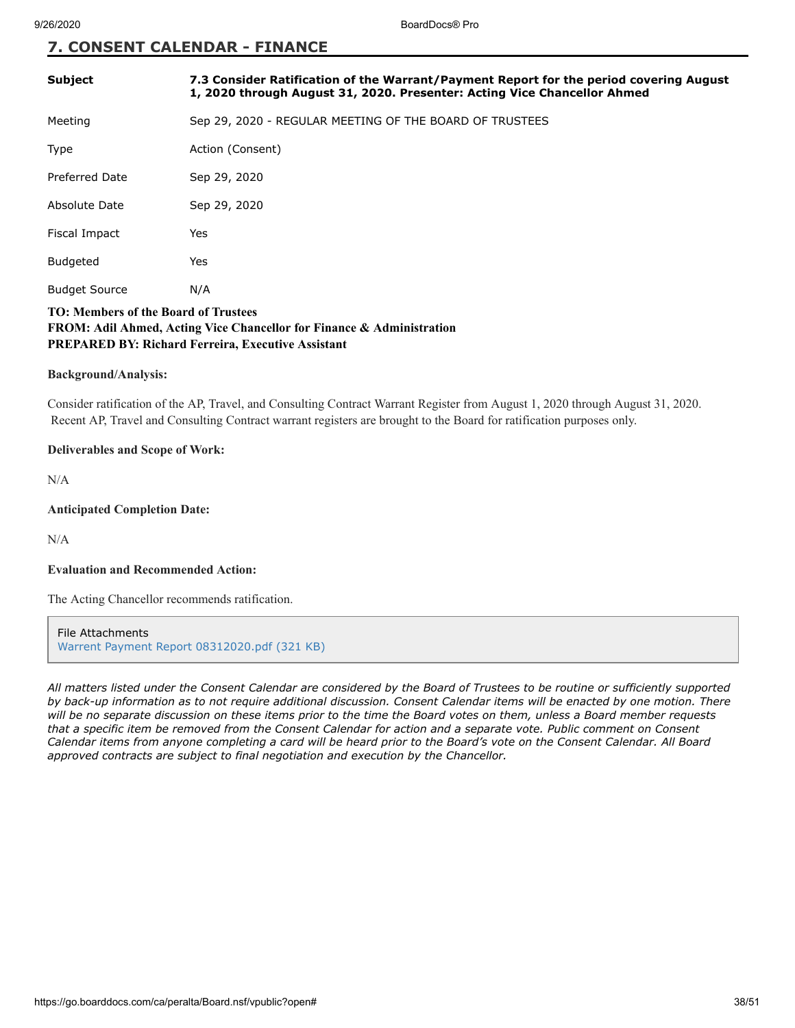#### **7. CONSENT CALENDAR - FINANCE**

| <b>Subject</b>       | 7.3 Consider Ratification of the Warrant/Payment Report for the period covering August<br>1, 2020 through August 31, 2020. Presenter: Acting Vice Chancellor Ahmed |  |  |
|----------------------|--------------------------------------------------------------------------------------------------------------------------------------------------------------------|--|--|
| Meeting              | Sep 29, 2020 - REGULAR MEETING OF THE BOARD OF TRUSTEES                                                                                                            |  |  |
| Type                 | Action (Consent)                                                                                                                                                   |  |  |
| Preferred Date       | Sep 29, 2020                                                                                                                                                       |  |  |
| Absolute Date        | Sep 29, 2020                                                                                                                                                       |  |  |
| Fiscal Impact        | Yes                                                                                                                                                                |  |  |
| <b>Budgeted</b>      | Yes                                                                                                                                                                |  |  |
| <b>Budget Source</b> | N/A                                                                                                                                                                |  |  |

#### **TO: Members of the Board of Trustees FROM: Adil Ahmed, Acting Vice Chancellor for Finance & Administration PREPARED BY: Richard Ferreira, Executive Assistant**

#### **Background/Analysis:**

Consider ratification of the AP, Travel, and Consulting Contract Warrant Register from August 1, 2020 through August 31, 2020. Recent AP, Travel and Consulting Contract warrant registers are brought to the Board for ratification purposes only.

#### **Deliverables and Scope of Work:**

N/A

#### **Anticipated Completion Date:**

N/A

#### **Evaluation and Recommended Action:**

The Acting Chancellor recommends ratification.

File Attachments [Warrent Payment Report 08312020.pdf \(321 KB\)](https://go.boarddocs.com/ca/peralta/Board.nsf/files/BTD6EU149FEB/$file/Warrent%20Payment%20Report%2008312020.pdf)

*All matters listed under the Consent Calendar are considered by the Board of Trustees to be routine or sufficiently supported by back-up information as to not require additional discussion. Consent Calendar items will be enacted by one motion. There will be no separate discussion on these items prior to the time the Board votes on them, unless a Board member requests that a specific item be removed from the Consent Calendar for action and a separate vote. Public comment on Consent Calendar items from anyone completing a card will be heard prior to the Board's vote on the Consent Calendar. All Board approved contracts are subject to final negotiation and execution by the Chancellor.*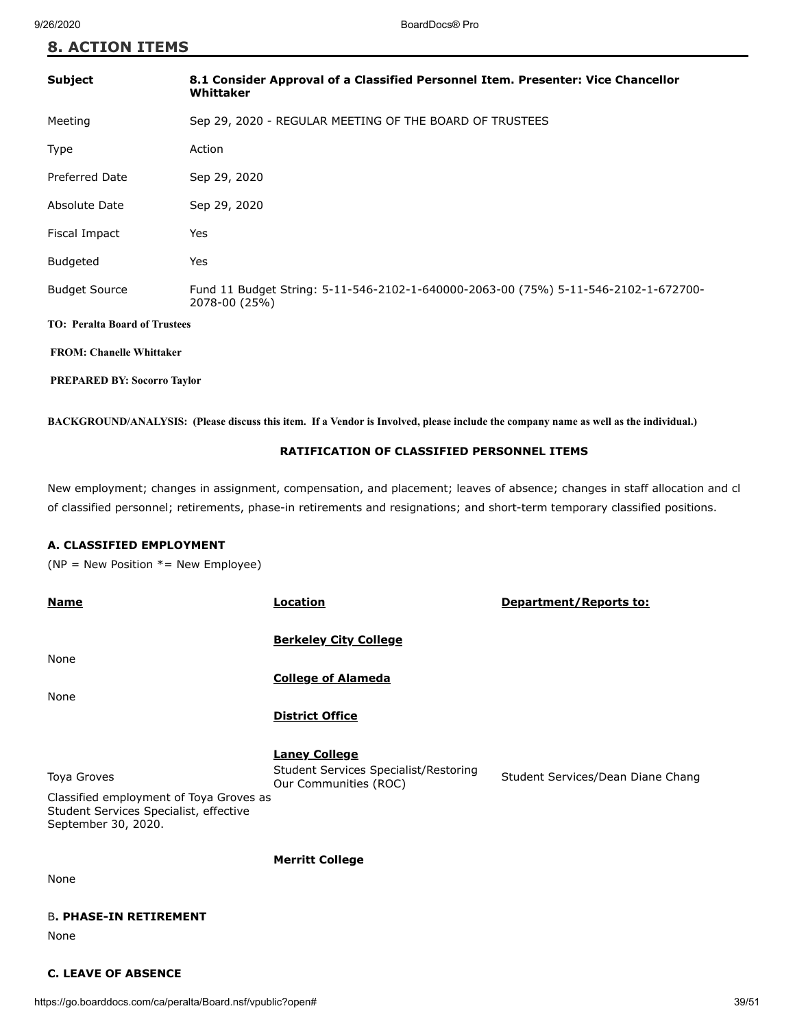|  |  |  | <b>8. ACTION ITEMS</b> |
|--|--|--|------------------------|
|--|--|--|------------------------|

| <b>Subject</b>                       | 8.1 Consider Approval of a Classified Personnel Item. Presenter: Vice Chancellor<br>Whittaker        |  |  |
|--------------------------------------|------------------------------------------------------------------------------------------------------|--|--|
| Meeting                              | Sep 29, 2020 - REGULAR MEETING OF THE BOARD OF TRUSTEES                                              |  |  |
| Type                                 | Action                                                                                               |  |  |
| <b>Preferred Date</b>                | Sep 29, 2020                                                                                         |  |  |
| Absolute Date                        | Sep 29, 2020                                                                                         |  |  |
| Fiscal Impact                        | Yes                                                                                                  |  |  |
| <b>Budgeted</b>                      | Yes                                                                                                  |  |  |
| <b>Budget Source</b>                 | Fund 11 Budget String: 5-11-546-2102-1-640000-2063-00 (75%) 5-11-546-2102-1-672700-<br>2078-00 (25%) |  |  |
| <b>TO: Peralta Board of Trustees</b> |                                                                                                      |  |  |
| <b>FROM: Chanelle Whittaker</b>      |                                                                                                      |  |  |
| <b>PREPARED BY: Socorro Taylor</b>   |                                                                                                      |  |  |

**BACKGROUND/ANALYSIS: (Please discuss this item. If a Vendor is Involved, please include the company name as well as the individual.)**

#### **RATIFICATION OF CLASSIFIED PERSONNEL ITEMS**

New employment; changes in assignment, compensation, and placement; leaves of absence; changes in staff allocation and cl of classified personnel; retirements, phase-in retirements and resignations; and short-term temporary classified positions.

#### **A. CLASSIFIED EMPLOYMENT**

( $NP = New Position * = New Empire)$ )

| <b>Name</b>                                                                                              | <b>Location</b>                                                       | Department/Reports to:            |
|----------------------------------------------------------------------------------------------------------|-----------------------------------------------------------------------|-----------------------------------|
| None                                                                                                     | <b>Berkeley City College</b>                                          |                                   |
|                                                                                                          | <b>College of Alameda</b>                                             |                                   |
| None                                                                                                     |                                                                       |                                   |
|                                                                                                          | <b>District Office</b>                                                |                                   |
|                                                                                                          |                                                                       |                                   |
|                                                                                                          | <b>Laney College</b>                                                  |                                   |
| Toya Groves                                                                                              | <b>Student Services Specialist/Restoring</b><br>Our Communities (ROC) | Student Services/Dean Diane Chang |
| Classified employment of Toya Groves as<br>Student Services Specialist, effective<br>September 30, 2020. |                                                                       |                                   |
|                                                                                                          | <b>Merritt College</b>                                                |                                   |
| None                                                                                                     |                                                                       |                                   |
| <b>B. PHASE-IN RETIREMENT</b>                                                                            |                                                                       |                                   |
| None                                                                                                     |                                                                       |                                   |
|                                                                                                          |                                                                       |                                   |

#### **C. LEAVE OF ABSENCE**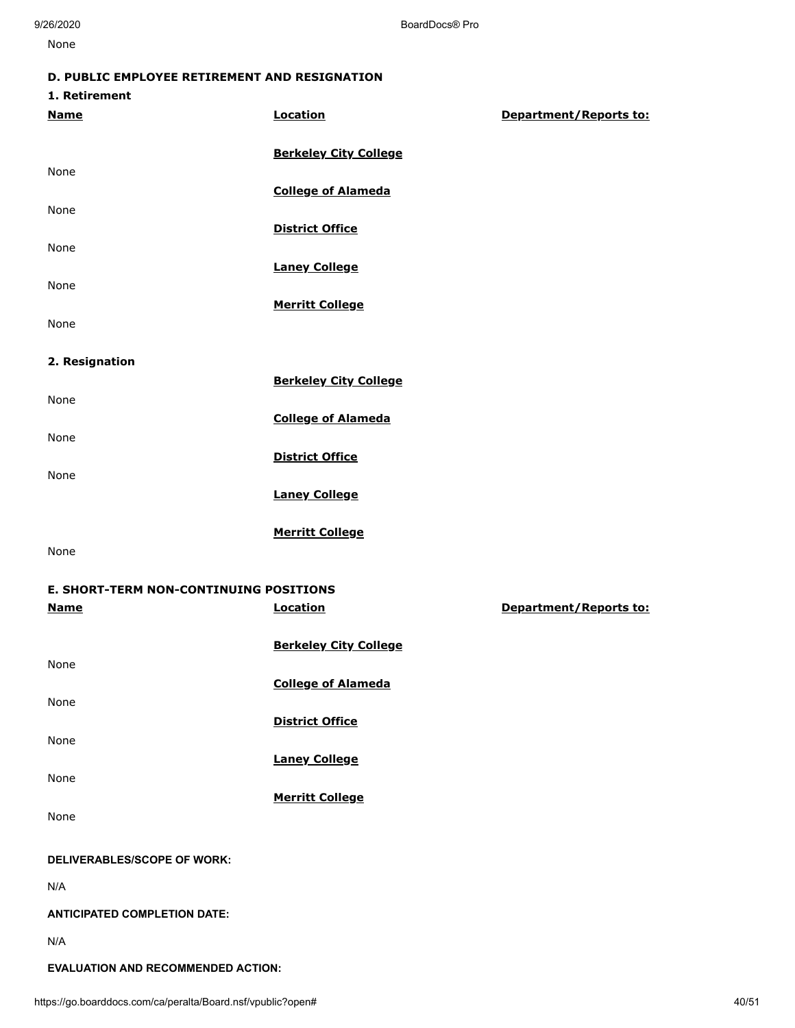None

#### **D. PUBLIC EMPLOYEE RETIREMENT AND RESIGNATION**

| 1. Retirement                          |                              |                        |
|----------------------------------------|------------------------------|------------------------|
| <b>Name</b>                            | <b>Location</b>              | Department/Reports to: |
|                                        | <b>Berkeley City College</b> |                        |
| None                                   | <b>College of Alameda</b>    |                        |
| None                                   | <b>District Office</b>       |                        |
| None                                   |                              |                        |
| None                                   | <b>Laney College</b>         |                        |
| None                                   | <b>Merritt College</b>       |                        |
|                                        |                              |                        |
| 2. Resignation                         |                              |                        |
| None                                   | <b>Berkeley City College</b> |                        |
| None                                   | <b>College of Alameda</b>    |                        |
| None                                   | <b>District Office</b>       |                        |
|                                        | <b>Laney College</b>         |                        |
|                                        | <b>Merritt College</b>       |                        |
| None                                   |                              |                        |
| E. SHORT-TERM NON-CONTINUING POSITIONS |                              |                        |
| <b>Name</b>                            | <b>Location</b>              | Department/Reports to: |
|                                        | <b>Berkeley City College</b> |                        |
| None                                   | <b>College of Alameda</b>    |                        |
| None                                   | <b>District Office</b>       |                        |
| None                                   | <b>Laney College</b>         |                        |
| None                                   |                              |                        |
| None                                   | <b>Merritt College</b>       |                        |
| DELIVERABLES/SCOPE OF WORK:            |                              |                        |
| N/A                                    |                              |                        |
| <b>ANTICIPATED COMPLETION DATE:</b>    |                              |                        |
| N/A                                    |                              |                        |
|                                        |                              |                        |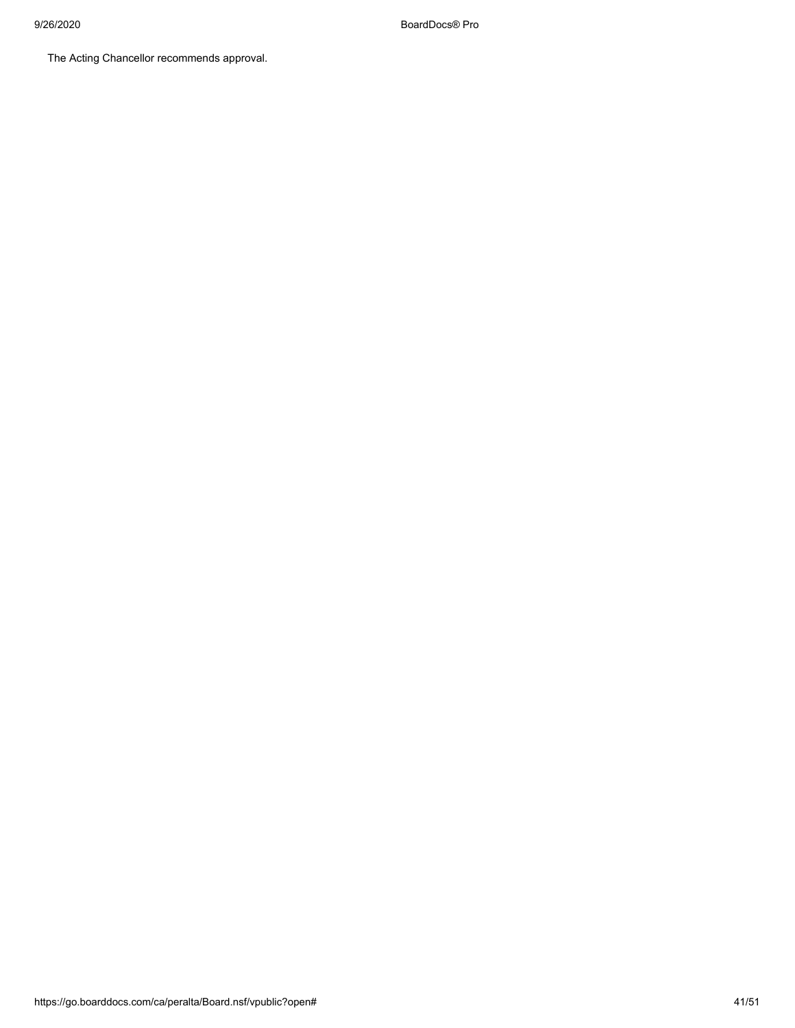The Acting Chancellor recommends approval.

9/26/2020 BoardDocs® Pro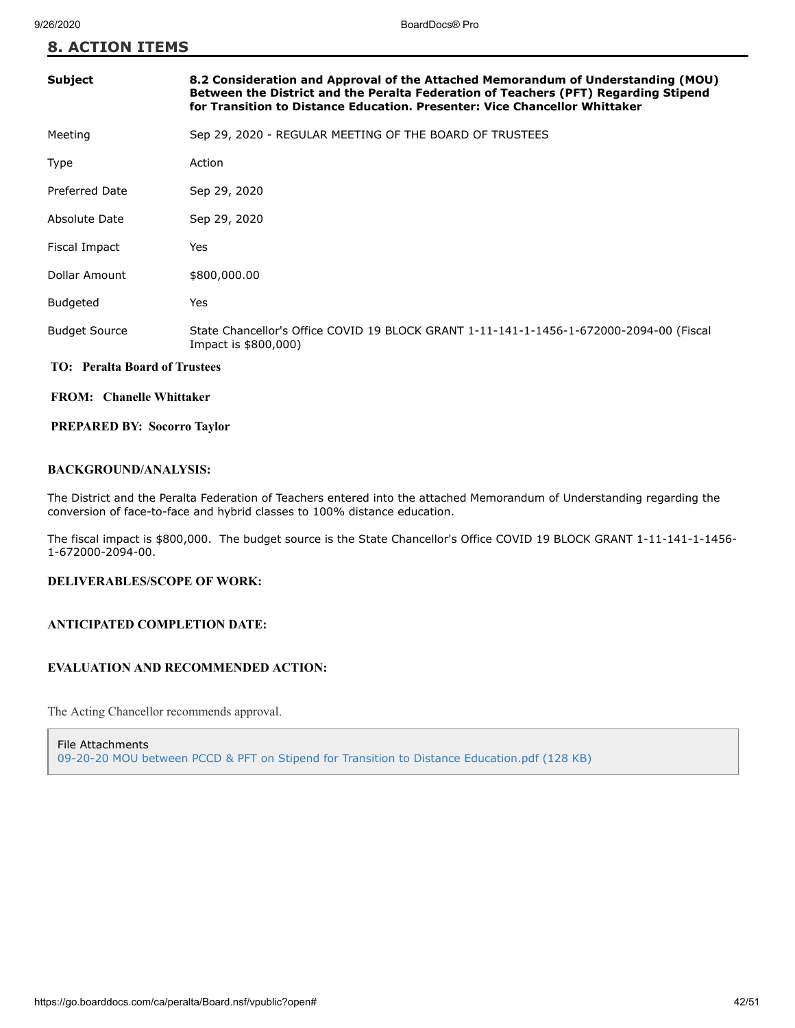**8. ACTION ITEMS**

| <b>Subject</b>                       | 8.2 Consideration and Approval of the Attached Memorandum of Understanding (MOU)<br>Between the District and the Peralta Federation of Teachers (PFT) Regarding Stipend<br>for Transition to Distance Education. Presenter: Vice Chancellor Whittaker |
|--------------------------------------|-------------------------------------------------------------------------------------------------------------------------------------------------------------------------------------------------------------------------------------------------------|
| Meeting                              | Sep 29, 2020 - REGULAR MEETING OF THE BOARD OF TRUSTEES                                                                                                                                                                                               |
| Type                                 | Action                                                                                                                                                                                                                                                |
| Preferred Date                       | Sep 29, 2020                                                                                                                                                                                                                                          |
| Absolute Date                        | Sep 29, 2020                                                                                                                                                                                                                                          |
| Fiscal Impact                        | Yes                                                                                                                                                                                                                                                   |
| Dollar Amount                        | \$800,000.00                                                                                                                                                                                                                                          |
| <b>Budgeted</b>                      | Yes                                                                                                                                                                                                                                                   |
| <b>Budget Source</b>                 | State Chancellor's Office COVID 19 BLOCK GRANT 1-11-141-1-1456-1-672000-2094-00 (Fiscal<br>Impact is \$800,000)                                                                                                                                       |
| <b>TO: Peralta Board of Trustees</b> |                                                                                                                                                                                                                                                       |

#### **FROM: Chanelle Whittaker**

#### **PREPARED BY: Socorro Taylor**

#### **BACKGROUND/ANALYSIS:**

The District and the Peralta Federation of Teachers entered into the attached Memorandum of Understanding regarding the conversion of face-to-face and hybrid classes to 100% distance education.

The fiscal impact is \$800,000. The budget source is the State Chancellor's Office COVID 19 BLOCK GRANT 1-11-141-1-1456- 1-672000-2094-00.

#### **DELIVERABLES/SCOPE OF WORK:**

#### **ANTICIPATED COMPLETION DATE:**

#### **EVALUATION AND RECOMMENDED ACTION:**

The Acting Chancellor recommends approval.

File Attachments [09-20-20 MOU between PCCD & PFT on Stipend for Transition to Distance Education.pdf \(128 KB\)](https://go.boarddocs.com/ca/peralta/Board.nsf/files/BTJT5E75A3E6/$file/09-20-20%20MOU%20between%20PCCD%20%26%20PFT%20on%20Stipend%20for%20Transition%20to%20Distance%20Education.pdf)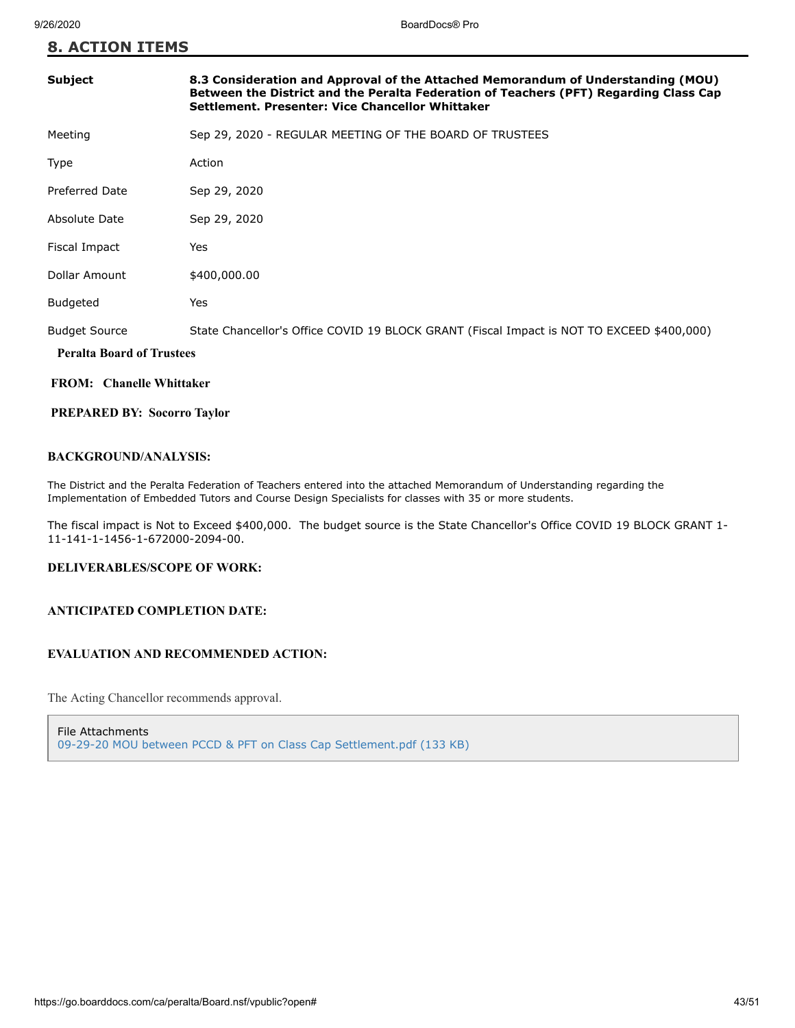**8. ACTION ITEMS**

| Subject                          | 8.3 Consideration and Approval of the Attached Memorandum of Understanding (MOU)<br>Between the District and the Peralta Federation of Teachers (PFT) Regarding Class Cap<br>Settlement. Presenter: Vice Chancellor Whittaker |  |
|----------------------------------|-------------------------------------------------------------------------------------------------------------------------------------------------------------------------------------------------------------------------------|--|
| Meeting                          | Sep 29, 2020 - REGULAR MEETING OF THE BOARD OF TRUSTEES                                                                                                                                                                       |  |
| Type                             | Action                                                                                                                                                                                                                        |  |
| <b>Preferred Date</b>            | Sep 29, 2020                                                                                                                                                                                                                  |  |
| Absolute Date                    | Sep 29, 2020                                                                                                                                                                                                                  |  |
| Fiscal Impact                    | Yes                                                                                                                                                                                                                           |  |
| Dollar Amount                    | \$400,000.00                                                                                                                                                                                                                  |  |
| <b>Budgeted</b>                  | Yes                                                                                                                                                                                                                           |  |
| <b>Budget Source</b>             | State Chancellor's Office COVID 19 BLOCK GRANT (Fiscal Impact is NOT TO EXCEED \$400,000)                                                                                                                                     |  |
| <b>Peralta Board of Trustees</b> |                                                                                                                                                                                                                               |  |
| <b>FROM:</b> Chanelle Whittaker  |                                                                                                                                                                                                                               |  |

 **PREPARED BY: Socorro Taylor**

#### **BACKGROUND/ANALYSIS:**

The District and the Peralta Federation of Teachers entered into the attached Memorandum of Understanding regarding the Implementation of Embedded Tutors and Course Design Specialists for classes with 35 or more students.

The fiscal impact is Not to Exceed \$400,000. The budget source is the State Chancellor's Office COVID 19 BLOCK GRANT 1-11-141-1-1456-1-672000-2094-00.

#### **DELIVERABLES/SCOPE OF WORK:**

#### **ANTICIPATED COMPLETION DATE:**

#### **EVALUATION AND RECOMMENDED ACTION:**

The Acting Chancellor recommends approval.

File Attachments [09-29-20 MOU between PCCD & PFT on Class Cap Settlement.pdf \(133 KB\)](https://go.boarddocs.com/ca/peralta/Board.nsf/files/BTJT7G75FB45/$file/09-29-20%20MOU%20between%20PCCD%20%26%20PFT%20on%20Class%20Cap%20Settlement.pdf)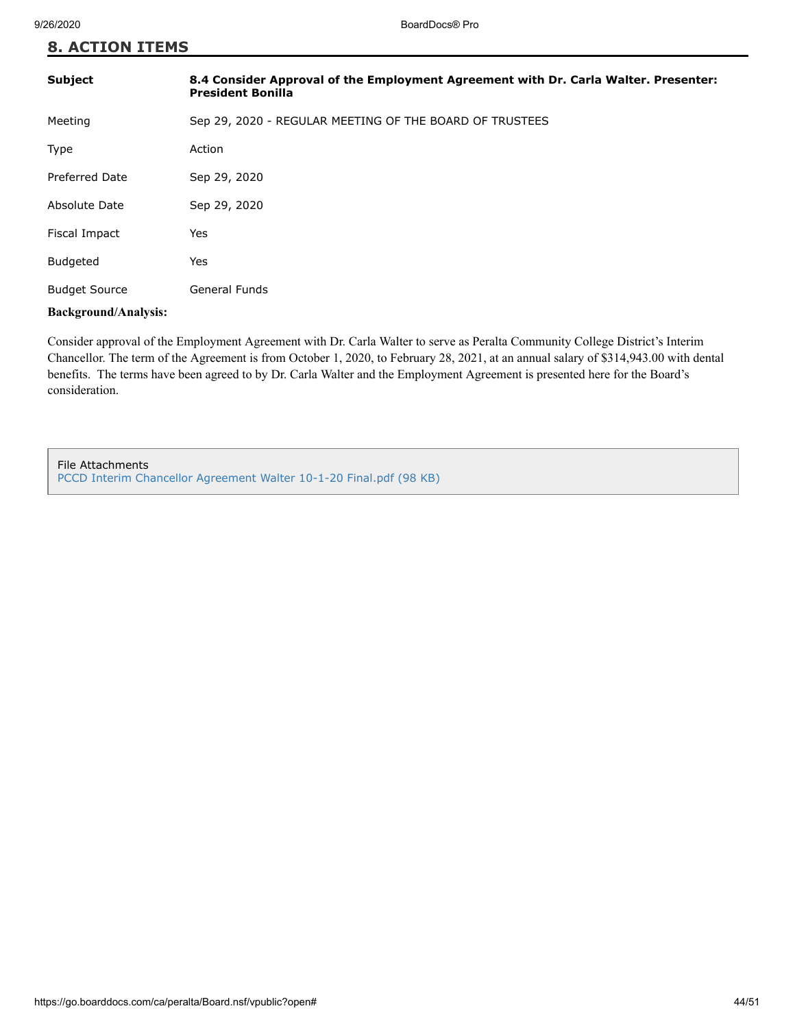# **8. ACTION ITEMS**

| <b>Subject</b>              | 8.4 Consider Approval of the Employment Agreement with Dr. Carla Walter. Presenter:<br><b>President Bonilla</b> |  |  |
|-----------------------------|-----------------------------------------------------------------------------------------------------------------|--|--|
| Meeting                     | Sep 29, 2020 - REGULAR MEETING OF THE BOARD OF TRUSTEES                                                         |  |  |
| Type                        | Action                                                                                                          |  |  |
| Preferred Date              | Sep 29, 2020                                                                                                    |  |  |
| Absolute Date               | Sep 29, 2020                                                                                                    |  |  |
| Fiscal Impact               | Yes                                                                                                             |  |  |
| <b>Budgeted</b>             | Yes                                                                                                             |  |  |
| <b>Budget Source</b>        | General Funds                                                                                                   |  |  |
| <b>Background/Analysis:</b> |                                                                                                                 |  |  |

#### Consider approval of the Employment Agreement with Dr. Carla Walter to serve as Peralta Community College District's Interim Chancellor. The term of the Agreement is from October 1, 2020, to February 28, 2021, at an annual salary of \$314,943.00 with dental benefits. The terms have been agreed to by Dr. Carla Walter and the Employment Agreement is presented here for the Board's consideration.

File Attachments [PCCD Interim Chancellor Agreement Walter 10-1-20 Final.pdf \(98 KB\)](https://go.boarddocs.com/ca/peralta/Board.nsf/files/BTT3H606E660/$file/PCCD%20Interim%20Chancellor%20Agreement%20Walter%2010-1-20%20Final.pdf)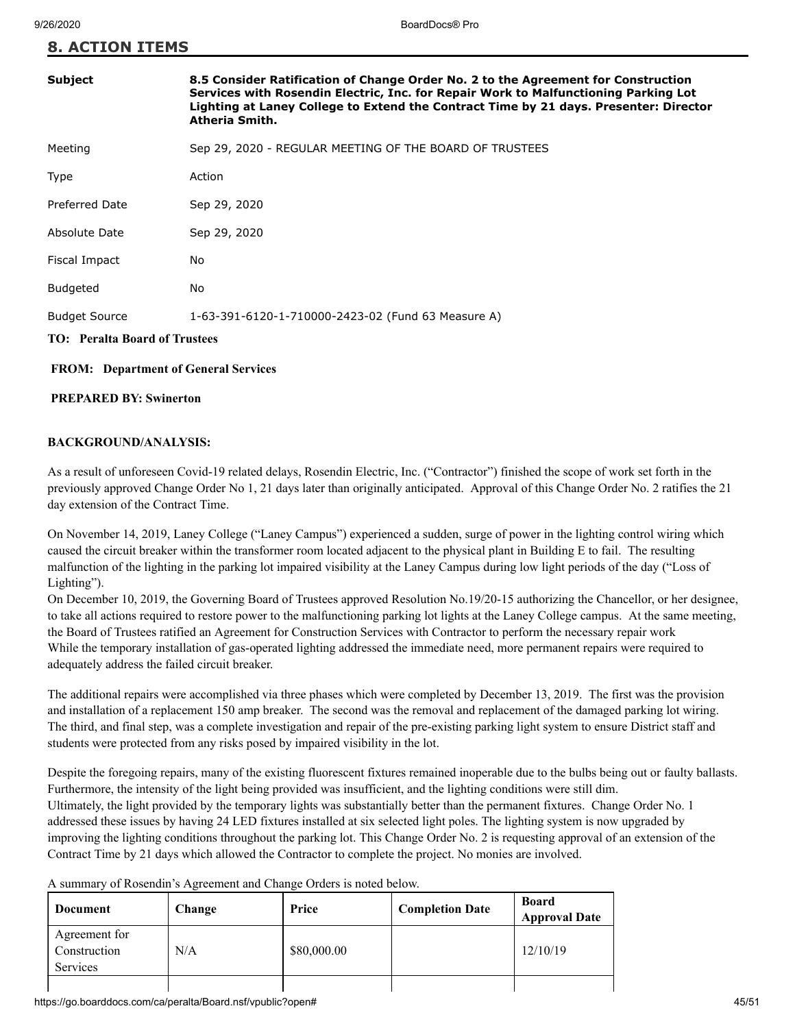|  |  | <b>8. ACTION ITEMS</b> |  |  |
|--|--|------------------------|--|--|
|--|--|------------------------|--|--|

## **Subject 8.5 Consider Ratification of Change Order No. 2 to the Agreement for Construction Services with Rosendin Electric, Inc. for Repair Work to Malfunctioning Parking Lot Lighting at Laney College to Extend the Contract Time by 21 days. Presenter: Director Atheria Smith.**

| Meeting | Sep 29, 2020 - REGULAR MEETING OF THE BOARD OF TRUSTEES |
|---------|---------------------------------------------------------|
|         |                                                         |

| <b>TO:</b> Peralta Board of Trustees |                                                    |  |
|--------------------------------------|----------------------------------------------------|--|
| <b>Budget Source</b>                 | 1-63-391-6120-1-710000-2423-02 (Fund 63 Measure A) |  |
| <b>Budgeted</b>                      | No                                                 |  |
| Fiscal Impact                        | No                                                 |  |
| Absolute Date                        | Sep 29, 2020                                       |  |
| <b>Preferred Date</b>                | Sep 29, 2020                                       |  |
| Type                                 | Action                                             |  |

#### **FROM: Department of General Services**

#### **PREPARED BY: Swinerton**

#### **BACKGROUND/ANALYSIS:**

As a result of unforeseen Covid-19 related delays, Rosendin Electric, Inc. ("Contractor") finished the scope of work set forth in the previously approved Change Order No 1, 21 days later than originally anticipated. Approval of this Change Order No. 2 ratifies the 21 day extension of the Contract Time.

On November 14, 2019, Laney College ("Laney Campus") experienced a sudden, surge of power in the lighting control wiring which caused the circuit breaker within the transformer room located adjacent to the physical plant in Building E to fail. The resulting malfunction of the lighting in the parking lot impaired visibility at the Laney Campus during low light periods of the day ("Loss of Lighting").

On December 10, 2019, the Governing Board of Trustees approved Resolution No.19/20-15 authorizing the Chancellor, or her designee, to take all actions required to restore power to the malfunctioning parking lot lights at the Laney College campus. At the same meeting, the Board of Trustees ratified an Agreement for Construction Services with Contractor to perform the necessary repair work While the temporary installation of gas-operated lighting addressed the immediate need, more permanent repairs were required to adequately address the failed circuit breaker.

The additional repairs were accomplished via three phases which were completed by December 13, 2019. The first was the provision and installation of a replacement 150 amp breaker. The second was the removal and replacement of the damaged parking lot wiring. The third, and final step, was a complete investigation and repair of the pre-existing parking light system to ensure District staff and students were protected from any risks posed by impaired visibility in the lot.

Despite the foregoing repairs, many of the existing fluorescent fixtures remained inoperable due to the bulbs being out or faulty ballasts. Furthermore, the intensity of the light being provided was insufficient, and the lighting conditions were still dim. Ultimately, the light provided by the temporary lights was substantially better than the permanent fixtures. Change Order No. 1 addressed these issues by having 24 LED fixtures installed at six selected light poles. The lighting system is now upgraded by improving the lighting conditions throughout the parking lot. This Change Order No. 2 is requesting approval of an extension of the Contract Time by 21 days which allowed the Contractor to complete the project. No monies are involved.

A summary of Rosendin's Agreement and Change Orders is noted below.

| Document                                  | Change | Price       | <b>Completion Date</b> | Board<br><b>Approval Date</b> |
|-------------------------------------------|--------|-------------|------------------------|-------------------------------|
| Agreement for<br>Construction<br>Services | N/A    | \$80,000.00 |                        | 12/10/19                      |
|                                           |        |             |                        |                               |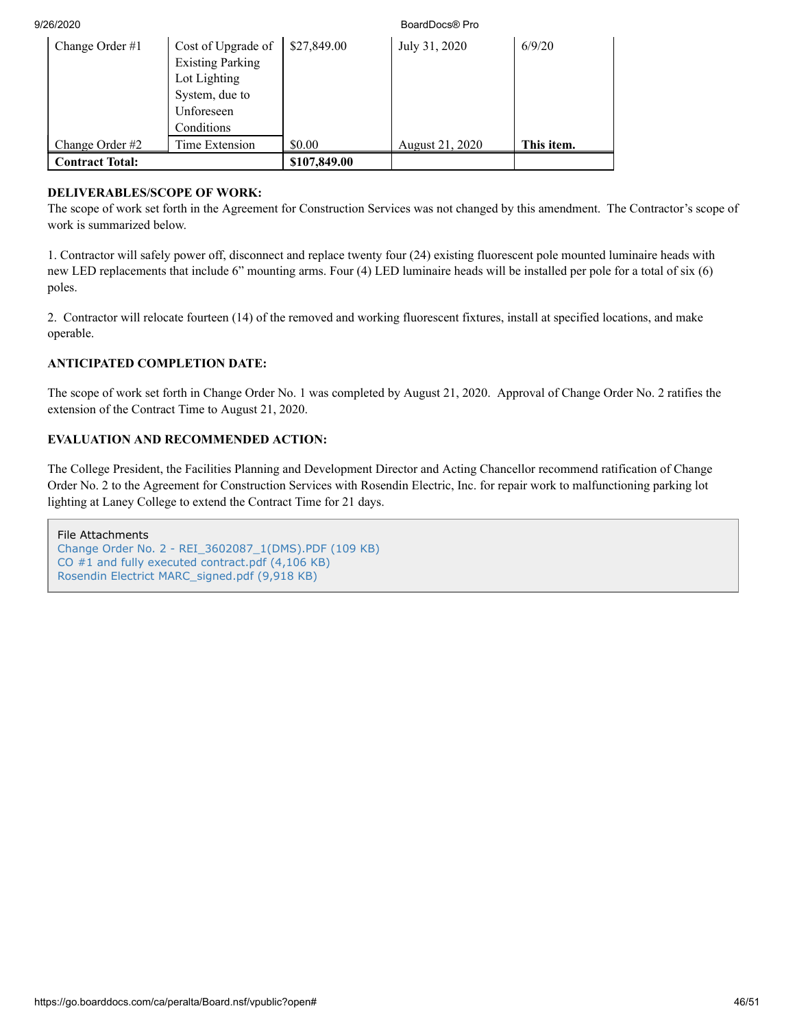#### 9/26/2020 BoardDocs® Pro

| Change Order #1        | Cost of Upgrade of      | \$27,849.00  | July 31, 2020   | 6/9/20     |
|------------------------|-------------------------|--------------|-----------------|------------|
|                        | <b>Existing Parking</b> |              |                 |            |
|                        | Lot Lighting            |              |                 |            |
|                        | System, due to          |              |                 |            |
|                        | Unforeseen              |              |                 |            |
|                        | Conditions              |              |                 |            |
| Change Order #2        | Time Extension          | \$0.00       | August 21, 2020 | This item. |
| <b>Contract Total:</b> |                         | \$107,849.00 |                 |            |

#### **DELIVERABLES/SCOPE OF WORK:**

The scope of work set forth in the Agreement for Construction Services was not changed by this amendment. The Contractor's scope of work is summarized below.

1. Contractor will safely power off, disconnect and replace twenty four (24) existing fluorescent pole mounted luminaire heads with new LED replacements that include 6" mounting arms. Four (4) LED luminaire heads will be installed per pole for a total of six (6) poles.

2. Contractor will relocate fourteen (14) of the removed and working fluorescent fixtures, install at specified locations, and make operable.

#### **ANTICIPATED COMPLETION DATE:**

The scope of work set forth in Change Order No. 1 was completed by August 21, 2020. Approval of Change Order No. 2 ratifies the extension of the Contract Time to August 21, 2020.

#### **EVALUATION AND RECOMMENDED ACTION:**

The College President, the Facilities Planning and Development Director and Acting Chancellor recommend ratification of Change Order No. 2 to the Agreement for Construction Services with Rosendin Electric, Inc. for repair work to malfunctioning parking lot lighting at Laney College to extend the Contract Time for 21 days.

File Attachments [Change Order No. 2 - REI\\_3602087\\_1\(DMS\).PDF \(109 KB\)](https://go.boarddocs.com/ca/peralta/Board.nsf/files/BTFQWF6B46C8/$file/Change%20Order%20No.%202%20-%20REI_3602087_1(DMS).PDF) [CO #1 and fully executed contract.pdf \(4,106 KB\)](https://go.boarddocs.com/ca/peralta/Board.nsf/files/BTFQWP6B4CC6/$file/CO%20%231%20and%20fully%20executed%20contract.pdf) [Rosendin Electrict MARC\\_signed.pdf \(9,918 KB\)](https://go.boarddocs.com/ca/peralta/Board.nsf/files/BTRTXK798291/$file/Rosendin%20Electrict%20MARC_signed.pdf)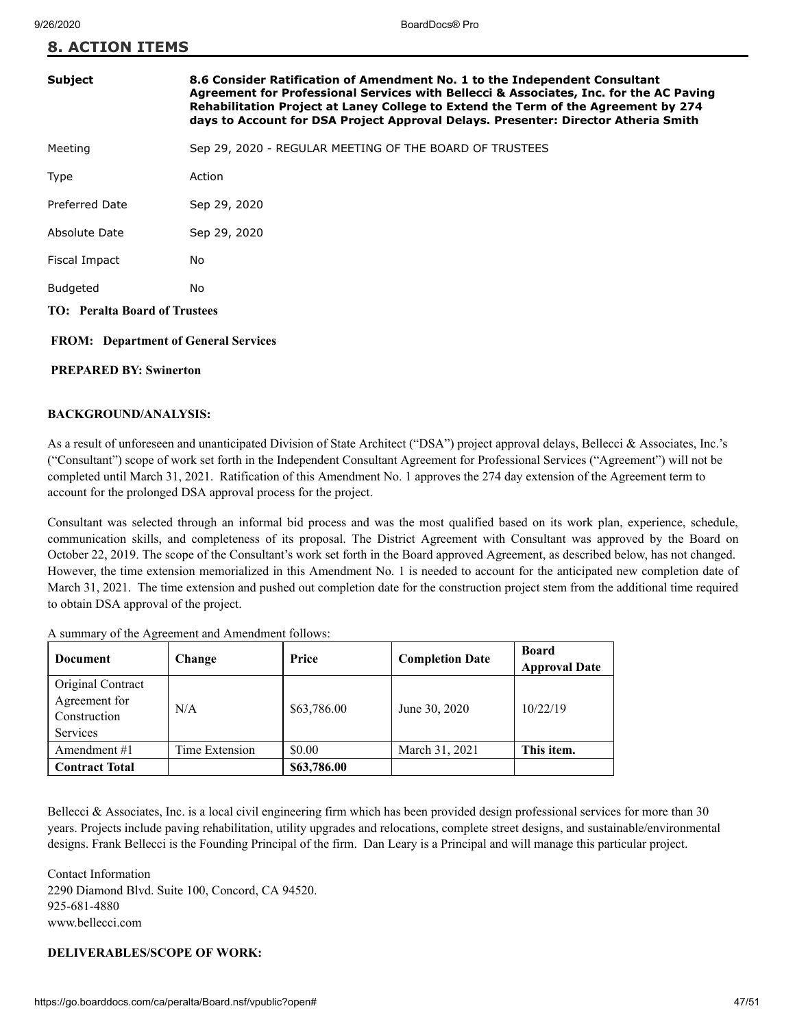| <b>8. ACTION ITEMS</b> |
|------------------------|
|------------------------|

#### **Subject 8.6 Consider Ratification of Amendment No. 1 to the Independent Consultant Agreement for Professional Services with Bellecci & Associates, Inc. for the AC Paving Rehabilitation Project at Laney College to Extend the Term of the Agreement by 274 days to Account for DSA Project Approval Delays. Presenter: Director Atheria Smith**

| Meeting | Sep 29, 2020 - REGULAR MEETING OF THE BOARD OF TRUSTEES |  |  |
|---------|---------------------------------------------------------|--|--|
|---------|---------------------------------------------------------|--|--|

| Type           | Action       |
|----------------|--------------|
| Preferred Date | Sep 29, 2020 |

Absolute Date Sep 29, 2020

- Fiscal Impact No
- Budgeted No

#### **TO: Peralta Board of Trustees**

#### **FROM: Department of General Services**

#### **PREPARED BY: Swinerton**

#### **BACKGROUND/ANALYSIS:**

As a result of unforeseen and unanticipated Division of State Architect ("DSA") project approval delays, Bellecci & Associates, Inc.'s ("Consultant") scope of work set forth in the Independent Consultant Agreement for Professional Services ("Agreement") will not be completed until March 31, 2021. Ratification of this Amendment No. 1 approves the 274 day extension of the Agreement term to account for the prolonged DSA approval process for the project.

Consultant was selected through an informal bid process and was the most qualified based on its work plan, experience, schedule, communication skills, and completeness of its proposal. The District Agreement with Consultant was approved by the Board on October 22, 2019. The scope of the Consultant's work set forth in the Board approved Agreement, as described below, has not changed. However, the time extension memorialized in this Amendment No. 1 is needed to account for the anticipated new completion date of March 31, 2021. The time extension and pushed out completion date for the construction project stem from the additional time required to obtain DSA approval of the project.

| <b>Document</b>                                                       | Change         | Price       | <b>Completion Date</b> | <b>Board</b><br><b>Approval Date</b> |
|-----------------------------------------------------------------------|----------------|-------------|------------------------|--------------------------------------|
| Original Contract<br>Agreement for<br>Construction<br><b>Services</b> | N/A            | \$63,786.00 | June 30, 2020          | 10/22/19                             |
| Amendment $#1$                                                        | Time Extension | \$0.00      | March 31, 2021         | This item.                           |
| <b>Contract Total</b>                                                 |                | \$63,786.00 |                        |                                      |

A summary of the Agreement and Amendment follows:

Bellecci & Associates, Inc. is a local civil engineering firm which has been provided design professional services for more than 30 years. Projects include paving rehabilitation, utility upgrades and relocations, complete street designs, and sustainable/environmental designs. Frank Bellecci is the Founding Principal of the firm. Dan Leary is a Principal and will manage this particular project.

Contact Information 2290 Diamond Blvd. Suite 100, Concord, CA 94520. 925-681-4880 www.bellecci.com

#### **DELIVERABLES/SCOPE OF WORK:**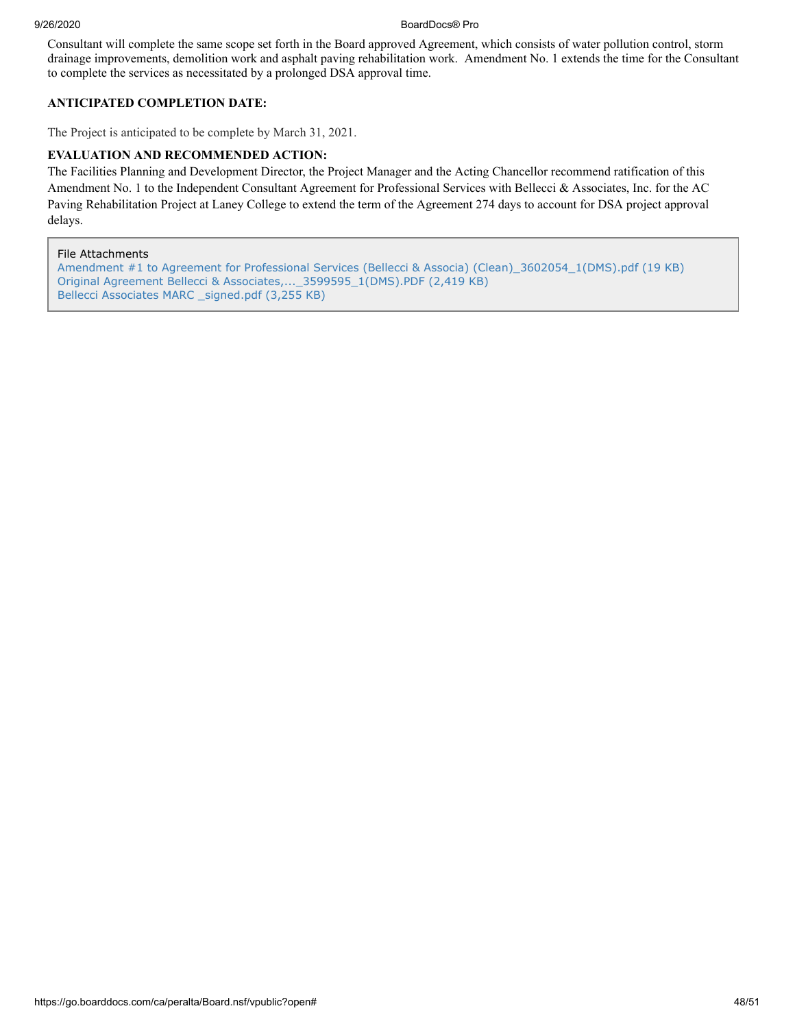9/26/2020 BoardDocs® Pro

Consultant will complete the same scope set forth in the Board approved Agreement, which consists of water pollution control, storm drainage improvements, demolition work and asphalt paving rehabilitation work. Amendment No. 1 extends the time for the Consultant to complete the services as necessitated by a prolonged DSA approval time.

#### **ANTICIPATED COMPLETION DATE:**

The Project is anticipated to be complete by March 31, 2021.

#### **EVALUATION AND RECOMMENDED ACTION:**

The Facilities Planning and Development Director, the Project Manager and the Acting Chancellor recommend ratification of this Amendment No. 1 to the Independent Consultant Agreement for Professional Services with Bellecci & Associates, Inc. for the AC Paving Rehabilitation Project at Laney College to extend the term of the Agreement 274 days to account for DSA project approval delays.

File Attachments Amendment #1 to Agreement for Professional Services (Bellecci & Associa) (Clean) 3602054 1(DMS).pdf (19 KB) [Original Agreement Bellecci & Associates,...\\_3599595\\_1\(DMS\).PDF \(2,419 KB\)](https://go.boarddocs.com/ca/peralta/Board.nsf/files/BTFU8F7AD005/$file/Original%20Agreement%20Bellecci%20%26%20Associates%2C..._3599595_1(DMS).PDF) [Bellecci Associates MARC \\_signed.pdf \(3,255 KB\)](https://go.boarddocs.com/ca/peralta/Board.nsf/files/BTRTZ779BF63/$file/Bellecci%20Associates%20MARC%20_signed.pdf)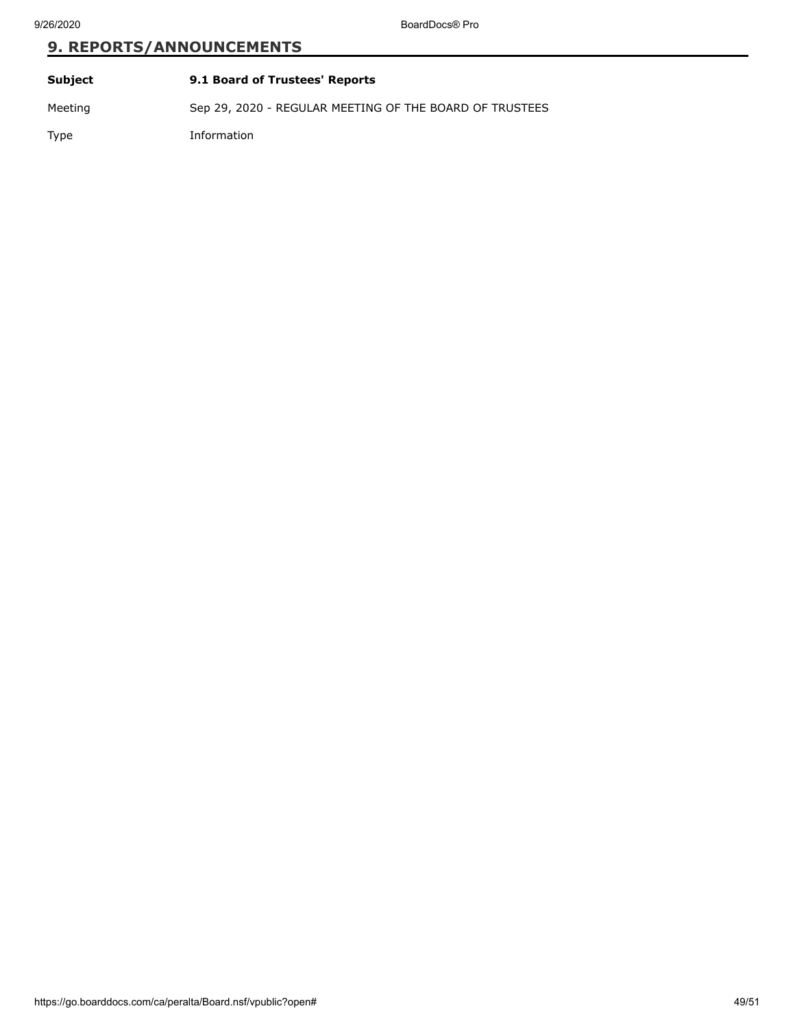# **9. REPORTS/ANNOUNCEMENTS**

| Subject | 9.1 Board of Trustees' Reports                          |
|---------|---------------------------------------------------------|
| Meeting | Sep 29, 2020 - REGULAR MEETING OF THE BOARD OF TRUSTEES |
| Type    | Information                                             |

https://go.boarddocs.com/ca/peralta/Board.nsf/vpublic?open# 49/51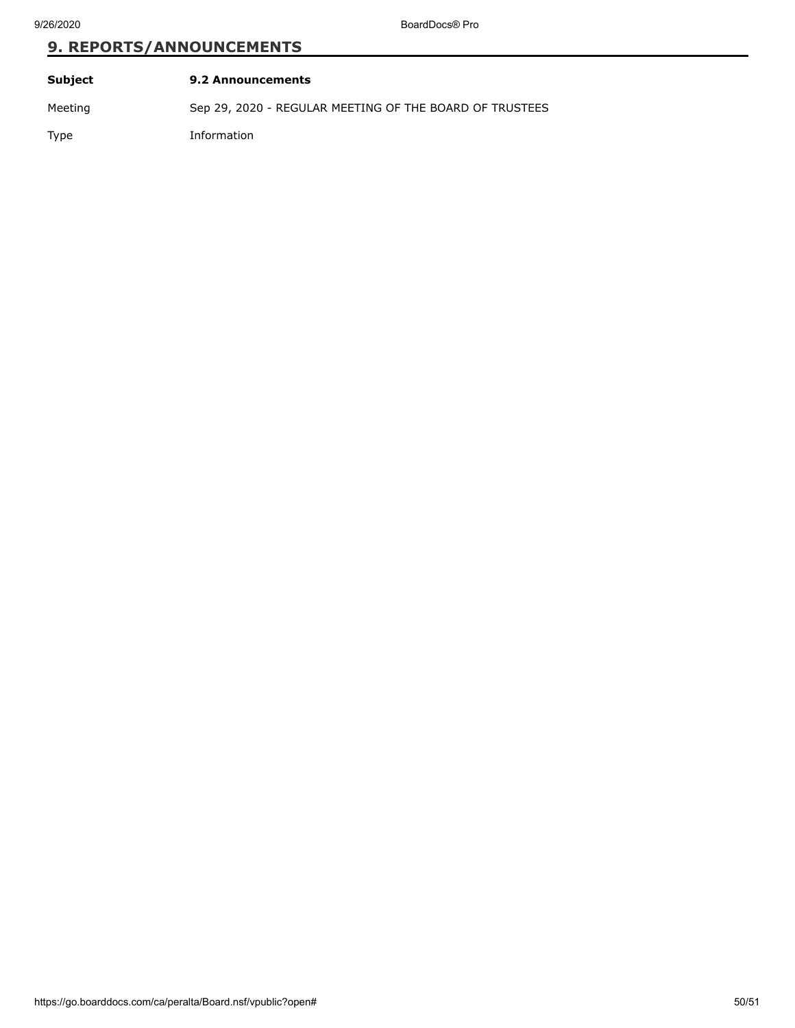9/26/2020 BoardDocs® Pro

# **9. REPORTS/ANNOUNCEMENTS**

| Subject | 9.2 Announcements                                       |
|---------|---------------------------------------------------------|
| Meeting | Sep 29, 2020 - REGULAR MEETING OF THE BOARD OF TRUSTEES |
| Type    | Information                                             |